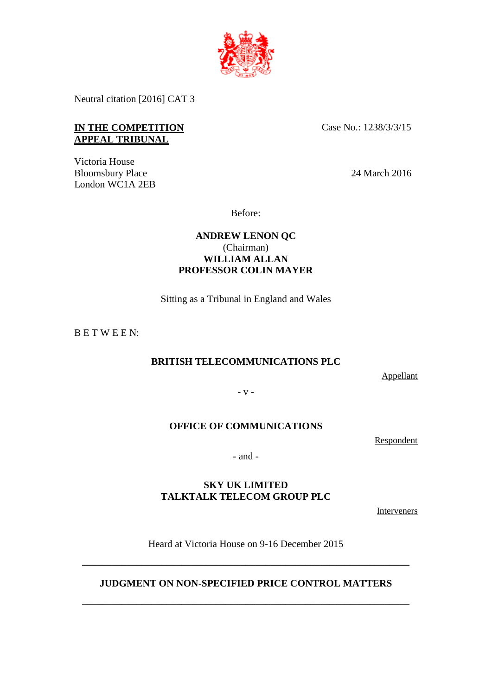

Neutral citation [2016] CAT 3

## **IN THE COMPETITION** Case No.: 1238/3/3/15 **APPEAL TRIBUNAL**

Victoria House Bloomsbury Place 24 March 2016 London WC1A 2EB

Before:

# **ANDREW LENON QC** (Chairman) **WILLIAM ALLAN PROFESSOR COLIN MAYER**

Sitting as a Tribunal in England and Wales

B E T W E E N:

# **BRITISH TELECOMMUNICATIONS PLC**

Appellant

- v -

# **OFFICE OF COMMUNICATIONS**

Respondent

- and -

# **SKY UK LIMITED TALKTALK TELECOM GROUP PLC**

**Interveners** 

Heard at Victoria House on 9-16 December 2015

# **JUDGMENT ON NON-SPECIFIED PRICE CONTROL MATTERS**

**\_\_\_\_\_\_\_\_\_\_\_\_\_\_\_\_\_\_\_\_\_\_\_\_\_\_\_\_\_\_\_\_\_\_\_\_\_\_\_\_\_\_\_\_\_\_\_\_\_\_\_\_\_\_\_\_\_\_\_\_\_\_\_\_\_\_** 

**\_\_\_\_\_\_\_\_\_\_\_\_\_\_\_\_\_\_\_\_\_\_\_\_\_\_\_\_\_\_\_\_\_\_\_\_\_\_\_\_\_\_\_\_\_\_\_\_\_\_\_\_\_\_\_\_\_\_\_\_\_\_\_\_\_\_**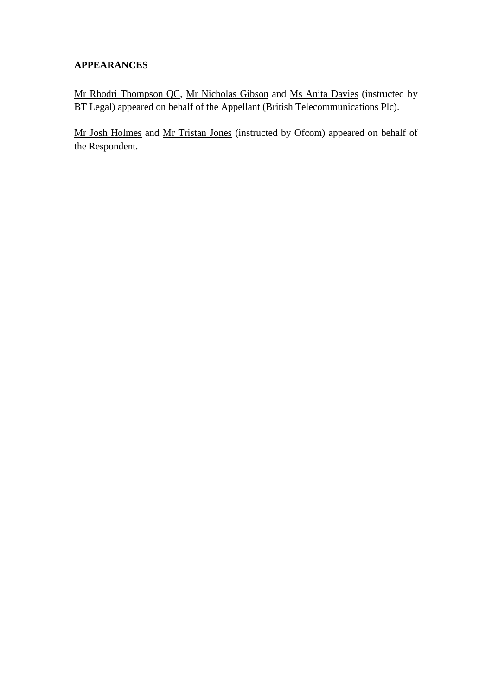# **APPEARANCES**

Mr Rhodri Thompson QC, Mr Nicholas Gibson and Ms Anita Davies (instructed by BT Legal) appeared on behalf of the Appellant (British Telecommunications Plc).

Mr Josh Holmes and Mr Tristan Jones (instructed by Ofcom) appeared on behalf of the Respondent.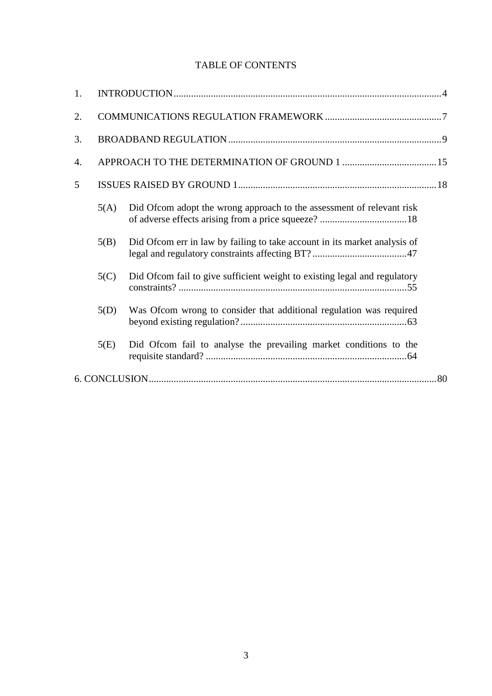# TABLE OF CONTENTS

| 1. |      |                                                                           |  |
|----|------|---------------------------------------------------------------------------|--|
| 2. |      |                                                                           |  |
| 3. |      |                                                                           |  |
| 4. |      |                                                                           |  |
| 5  |      |                                                                           |  |
|    | 5(A) | Did Ofcom adopt the wrong approach to the assessment of relevant risk     |  |
|    | 5(B) | Did Ofcom err in law by failing to take account in its market analysis of |  |
|    | 5(C) | Did Ofcom fail to give sufficient weight to existing legal and regulatory |  |
|    | 5(D) | Was Ofcom wrong to consider that additional regulation was required       |  |
|    | 5(E) | Did Ofcom fail to analyse the prevailing market conditions to the         |  |
|    |      |                                                                           |  |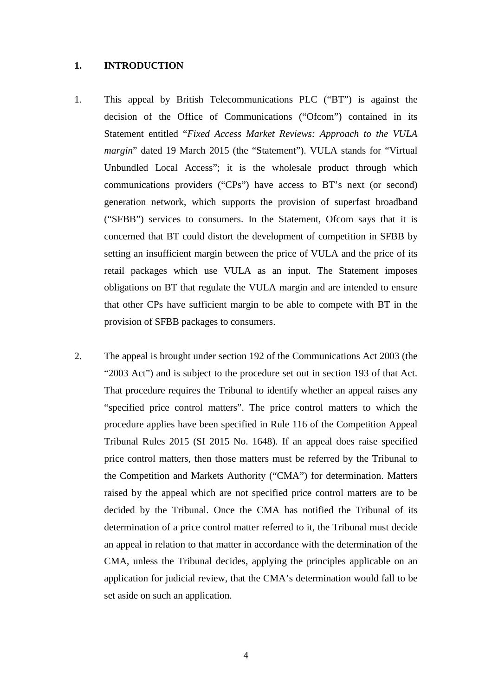#### <span id="page-3-0"></span>**1. INTRODUCTION**

- 1. This appeal by British Telecommunications PLC ("BT") is against the decision of the Office of Communications ("Ofcom") contained in its Statement entitled "*Fixed Access Market Reviews: Approach to the VULA margin*" dated 19 March 2015 (the "Statement"). VULA stands for "Virtual Unbundled Local Access"; it is the wholesale product through which communications providers ("CPs") have access to BT's next (or second) generation network, which supports the provision of superfast broadband ("SFBB") services to consumers. In the Statement, Ofcom says that it is concerned that BT could distort the development of competition in SFBB by setting an insufficient margin between the price of VULA and the price of its retail packages which use VULA as an input. The Statement imposes obligations on BT that regulate the VULA margin and are intended to ensure that other CPs have sufficient margin to be able to compete with BT in the provision of SFBB packages to consumers.
- 2. The appeal is brought under section 192 of the Communications Act 2003 (the "2003 Act") and is subject to the procedure set out in section 193 of that Act. That procedure requires the Tribunal to identify whether an appeal raises any "specified price control matters". The price control matters to which the procedure applies have been specified in Rule 116 of the Competition Appeal Tribunal Rules 2015 (SI 2015 No. 1648). If an appeal does raise specified price control matters, then those matters must be referred by the Tribunal to the Competition and Markets Authority ("CMA") for determination. Matters raised by the appeal which are not specified price control matters are to be decided by the Tribunal. Once the CMA has notified the Tribunal of its determination of a price control matter referred to it, the Tribunal must decide an appeal in relation to that matter in accordance with the determination of the CMA, unless the Tribunal decides, applying the principles applicable on an application for judicial review, that the CMA's determination would fall to be set aside on such an application.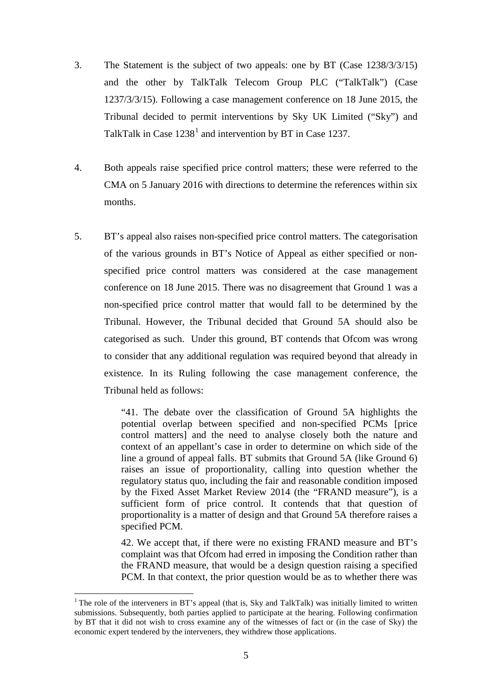- 3. The Statement is the subject of two appeals: one by BT (Case 1238/3/3/15) and the other by TalkTalk Telecom Group PLC ("TalkTalk") (Case 1237/3/3/15). Following a case management conference on 18 June 2015, the Tribunal decided to permit interventions by Sky UK Limited ("Sky") and TalkTalk in Case  $1238<sup>1</sup>$  $1238<sup>1</sup>$  and intervention by BT in Case 1237.
- 4. Both appeals raise specified price control matters; these were referred to the CMA on 5 January 2016 with directions to determine the references within six months.
- 5. BT's appeal also raises non-specified price control matters. The categorisation of the various grounds in BT's Notice of Appeal as either specified or nonspecified price control matters was considered at the case management conference on 18 June 2015. There was no disagreement that Ground 1 was a non-specified price control matter that would fall to be determined by the Tribunal. However, the Tribunal decided that Ground 5A should also be categorised as such. Under this ground, BT contends that Ofcom was wrong to consider that any additional regulation was required beyond that already in existence. In its Ruling following the case management conference, the Tribunal held as follows:

"41. The debate over the classification of Ground 5A highlights the potential overlap between specified and non-specified PCMs [price control matters] and the need to analyse closely both the nature and context of an appellant's case in order to determine on which side of the line a ground of appeal falls. BT submits that Ground 5A (like Ground 6) raises an issue of proportionality, calling into question whether the regulatory status quo, including the fair and reasonable condition imposed by the Fixed Asset Market Review 2014 (the "FRAND measure"), is a sufficient form of price control. It contends that that question of proportionality is a matter of design and that Ground 5A therefore raises a specified PCM.

42. We accept that, if there were no existing FRAND measure and BT's complaint was that Ofcom had erred in imposing the Condition rather than the FRAND measure, that would be a design question raising a specified PCM. In that context, the prior question would be as to whether there was

<span id="page-4-0"></span><sup>&</sup>lt;sup>1</sup> The role of the interveners in BT's appeal (that is, Sky and TalkTalk) was initially limited to written submissions. Subsequently, both parties applied to participate at the hearing. Following confirmation by BT that it did not wish to cross examine any of the witnesses of fact or (in the case of Sky) the economic expert tendered by the interveners, they withdrew those applications.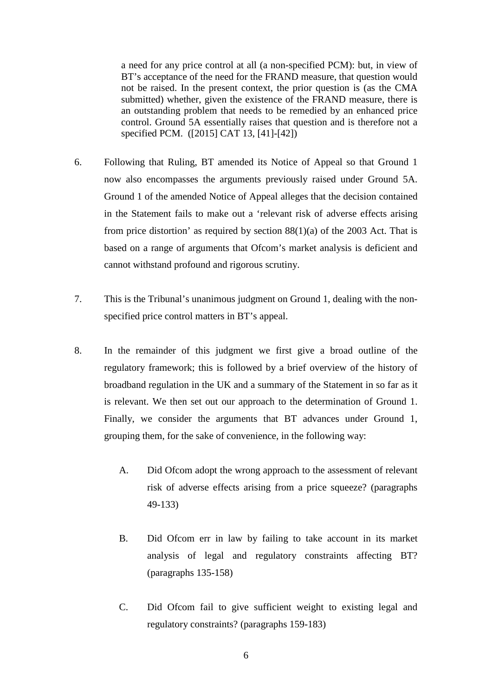a need for any price control at all (a non-specified PCM): but, in view of BT's acceptance of the need for the FRAND measure, that question would not be raised. In the present context, the prior question is (as the CMA submitted) whether, given the existence of the FRAND measure, there is an outstanding problem that needs to be remedied by an enhanced price control. Ground 5A essentially raises that question and is therefore not a specified PCM. ([2015] CAT 13, [41]-[42])

- 6. Following that Ruling, BT amended its Notice of Appeal so that Ground 1 now also encompasses the arguments previously raised under Ground 5A. Ground 1 of the amended Notice of Appeal alleges that the decision contained in the Statement fails to make out a 'relevant risk of adverse effects arising from price distortion' as required by section  $88(1)(a)$  of the 2003 Act. That is based on a range of arguments that Ofcom's market analysis is deficient and cannot withstand profound and rigorous scrutiny.
- <span id="page-5-0"></span>7. This is the Tribunal's unanimous judgment on Ground 1, dealing with the nonspecified price control matters in BT's appeal.
- 8. In the remainder of this judgment we first give a broad outline of the regulatory framework; this is followed by a brief overview of the history of broadband regulation in the UK and a summary of the Statement in so far as it is relevant. We then set out our approach to the determination of Ground 1. Finally, we consider the arguments that BT advances under Ground 1, grouping them, for the sake of convenience, in the following way:
	- A. Did Ofcom adopt the wrong approach to the assessment of relevant risk of adverse effects arising from a price squeeze? (paragraphs [49](#page-18-0)[-133\)](#page-46-1)
	- B. Did Ofcom err in law by failing to take account in its market analysis of legal and regulatory constraints affecting BT? (paragraphs [135](#page-47-0)[-158\)](#page-53-0)
	- C. Did Ofcom fail to give sufficient weight to existing legal and regulatory constraints? (paragraphs [159-](#page-54-1)[183\)](#page-62-1)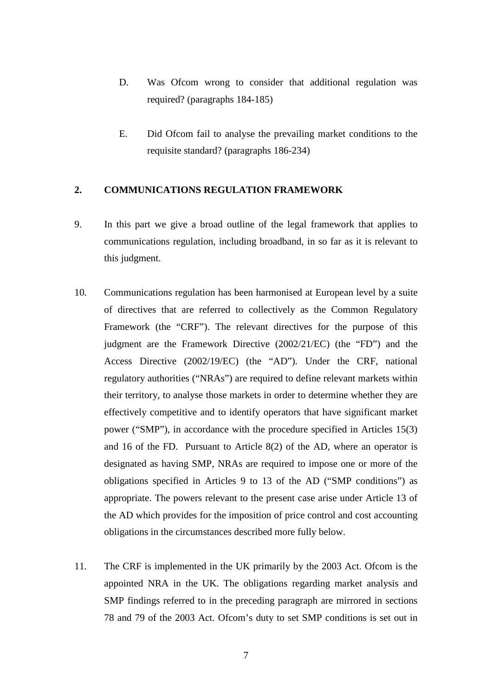- D. Was Ofcom wrong to consider that additional regulation was required? (paragraphs [184](#page-62-2)[-185\)](#page-63-1)
- E. Did Ofcom fail to analyse the prevailing market conditions to the requisite standard? (paragraphs [186-](#page-63-2)[234\)](#page-78-0)

### <span id="page-6-0"></span>**2. COMMUNICATIONS REGULATION FRAMEWORK**

- 9. In this part we give a broad outline of the legal framework that applies to communications regulation, including broadband, in so far as it is relevant to this judgment.
- 10. Communications regulation has been harmonised at European level by a suite of directives that are referred to collectively as the Common Regulatory Framework (the "CRF"). The relevant directives for the purpose of this judgment are the Framework Directive (2002/21/EC) (the "FD") and the Access Directive (2002/19/EC) (the "AD"). Under the CRF, national regulatory authorities ("NRAs") are required to define relevant markets within their territory, to analyse those markets in order to determine whether they are effectively competitive and to identify operators that have significant market power ("SMP"), in accordance with the procedure specified in Articles 15(3) and 16 of the FD. Pursuant to Article 8(2) of the AD, where an operator is designated as having SMP, NRAs are required to impose one or more of the obligations specified in Articles 9 to 13 of the AD ("SMP conditions") as appropriate. The powers relevant to the present case arise under Article 13 of the AD which provides for the imposition of price control and cost accounting obligations in the circumstances described more fully below.
- 11. The CRF is implemented in the UK primarily by the 2003 Act. Ofcom is the appointed NRA in the UK. The obligations regarding market analysis and SMP findings referred to in the preceding paragraph are mirrored in sections 78 and 79 of the 2003 Act. Ofcom's duty to set SMP conditions is set out in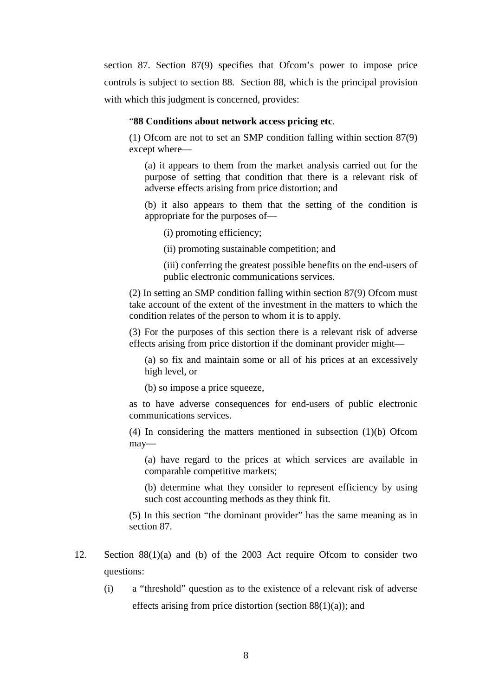section 87. Section 87(9) specifies that Ofcom's power to impose price controls is subject to section 88. Section 88, which is the principal provision with which this judgment is concerned, provides:

#### "**88 Conditions about network access pricing etc**.

(1) Ofcom are not to set an SMP condition falling within section 87(9) except where—

(a) it appears to them from the market analysis carried out for the purpose of setting that condition that there is a relevant risk of adverse effects arising from price distortion; and

(b) it also appears to them that the setting of the condition is appropriate for the purposes of—

(i) promoting efficiency;

(ii) promoting sustainable competition; and

(iii) conferring the greatest possible benefits on the end-users of public electronic communications services.

(2) In setting an SMP condition falling within section 87(9) Ofcom must take account of the extent of the investment in the matters to which the condition relates of the person to whom it is to apply.

(3) For the purposes of this section there is a relevant risk of adverse effects arising from price distortion if the dominant provider might—

(a) so fix and maintain some or all of his prices at an excessively high level, or

(b) so impose a price squeeze,

as to have adverse consequences for end-users of public electronic communications services.

(4) In considering the matters mentioned in subsection (1)(b) Ofcom may—

(a) have regard to the prices at which services are available in comparable competitive markets;

(b) determine what they consider to represent efficiency by using such cost accounting methods as they think fit.

(5) In this section "the dominant provider" has the same meaning as in section 87.

- 12. Section 88(1)(a) and (b) of the 2003 Act require Ofcom to consider two questions:
	- (i) a "threshold" question as to the existence of a relevant risk of adverse effects arising from price distortion (section 88(1)(a)); and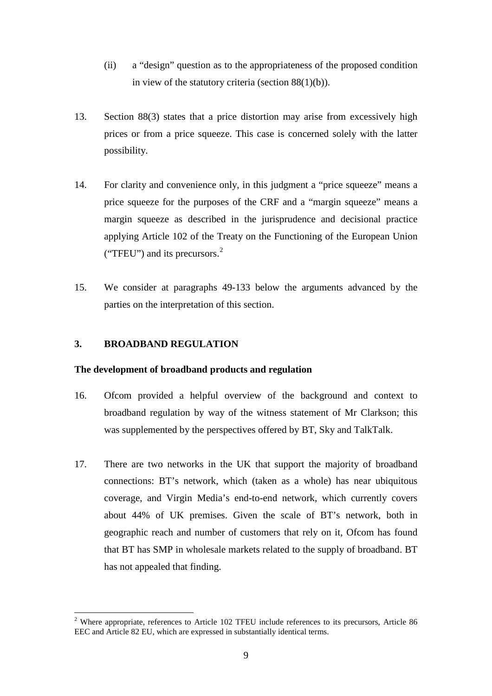- (ii) a "design" question as to the appropriateness of the proposed condition in view of the statutory criteria (section  $88(1)(b)$ ).
- 13. Section 88(3) states that a price distortion may arise from excessively high prices or from a price squeeze. This case is concerned solely with the latter possibility.
- 14. For clarity and convenience only, in this judgment a "price squeeze" means a price squeeze for the purposes of the CRF and a "margin squeeze" means a margin squeeze as described in the jurisprudence and decisional practice applying Article 102 of the Treaty on the Functioning of the European Union ("TFEU") and its precursors.<sup>[2](#page-8-1)</sup>
- 15. We consider at paragraphs [49-](#page-18-0)[133](#page-46-1) below the arguments advanced by the parties on the interpretation of this section.

## <span id="page-8-0"></span>**3. BROADBAND REGULATION**

 $\overline{a}$ 

#### **The development of broadband products and regulation**

- 16. Ofcom provided a helpful overview of the background and context to broadband regulation by way of the witness statement of Mr Clarkson; this was supplemented by the perspectives offered by BT, Sky and TalkTalk.
- 17. There are two networks in the UK that support the majority of broadband connections: BT's network, which (taken as a whole) has near ubiquitous coverage, and Virgin Media's end-to-end network, which currently covers about 44% of UK premises. Given the scale of BT's network, both in geographic reach and number of customers that rely on it, Ofcom has found that BT has SMP in wholesale markets related to the supply of broadband. BT has not appealed that finding.

<span id="page-8-1"></span><sup>&</sup>lt;sup>2</sup> Where appropriate, references to Article 102 TFEU include references to its precursors, Article 86 EEC and Article 82 EU, which are expressed in substantially identical terms.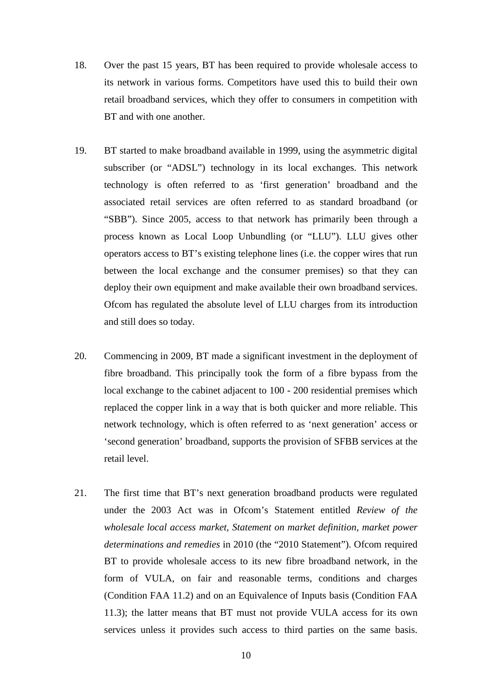- 18. Over the past 15 years, BT has been required to provide wholesale access to its network in various forms. Competitors have used this to build their own retail broadband services, which they offer to consumers in competition with BT and with one another.
- 19. BT started to make broadband available in 1999, using the asymmetric digital subscriber (or "ADSL") technology in its local exchanges. This network technology is often referred to as 'first generation' broadband and the associated retail services are often referred to as standard broadband (or "SBB"). Since 2005, access to that network has primarily been through a process known as Local Loop Unbundling (or "LLU"). LLU gives other operators access to BT's existing telephone lines (i.e. the copper wires that run between the local exchange and the consumer premises) so that they can deploy their own equipment and make available their own broadband services. Ofcom has regulated the absolute level of LLU charges from its introduction and still does so today.
- 20. Commencing in 2009, BT made a significant investment in the deployment of fibre broadband. This principally took the form of a fibre bypass from the local exchange to the cabinet adjacent to 100 - 200 residential premises which replaced the copper link in a way that is both quicker and more reliable. This network technology, which is often referred to as 'next generation' access or 'second generation' broadband, supports the provision of SFBB services at the retail level.
- 21. The first time that BT's next generation broadband products were regulated under the 2003 Act was in Ofcom's Statement entitled *Review of the wholesale local access market, Statement on market definition, market power determinations and remedies* in 2010 (the "2010 Statement"). Ofcom required BT to provide wholesale access to its new fibre broadband network, in the form of VULA, on fair and reasonable terms, conditions and charges (Condition FAA 11.2) and on an Equivalence of Inputs basis (Condition FAA 11.3); the latter means that BT must not provide VULA access for its own services unless it provides such access to third parties on the same basis.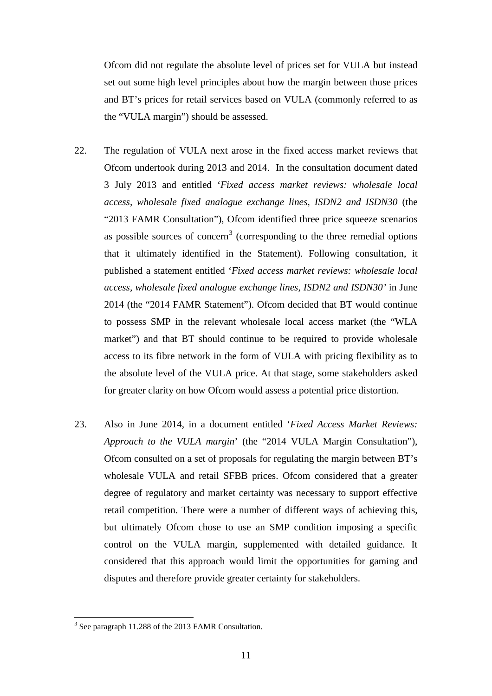Ofcom did not regulate the absolute level of prices set for VULA but instead set out some high level principles about how the margin between those prices and BT's prices for retail services based on VULA (commonly referred to as the "VULA margin") should be assessed.

- <span id="page-10-1"></span>22. The regulation of VULA next arose in the fixed access market reviews that Ofcom undertook during 2013 and 2014. In the consultation document dated 3 July 2013 and entitled '*Fixed access market reviews: wholesale local access, wholesale fixed analogue exchange lines, ISDN2 and ISDN30* (the "2013 FAMR Consultation"), Ofcom identified three price squeeze scenarios as possible sources of concern<sup>[3](#page-10-0)</sup> (corresponding to the three remedial options that it ultimately identified in the Statement). Following consultation, it published a statement entitled '*Fixed access market reviews: wholesale local access, wholesale fixed analogue exchange lines, ISDN2 and ISDN30'* in June 2014 (the "2014 FAMR Statement"). Ofcom decided that BT would continue to possess SMP in the relevant wholesale local access market (the "WLA market") and that BT should continue to be required to provide wholesale access to its fibre network in the form of VULA with pricing flexibility as to the absolute level of the VULA price. At that stage, some stakeholders asked for greater clarity on how Ofcom would assess a potential price distortion.
- 23. Also in June 2014, in a document entitled '*Fixed Access Market Reviews: Approach to the VULA margin*' (the "2014 VULA Margin Consultation"), Ofcom consulted on a set of proposals for regulating the margin between BT's wholesale VULA and retail SFBB prices. Of com considered that a greater degree of regulatory and market certainty was necessary to support effective retail competition. There were a number of different ways of achieving this, but ultimately Ofcom chose to use an SMP condition imposing a specific control on the VULA margin, supplemented with detailed guidance. It considered that this approach would limit the opportunities for gaming and disputes and therefore provide greater certainty for stakeholders.

<span id="page-10-0"></span><sup>&</sup>lt;sup>3</sup> See paragraph 11.288 of the 2013 FAMR Consultation.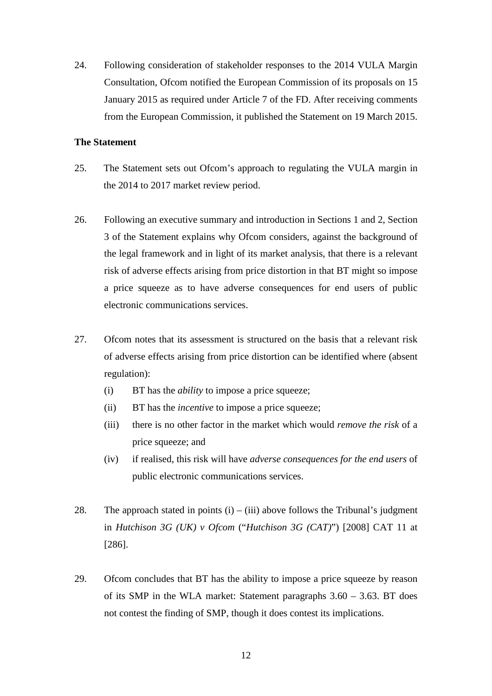24. Following consideration of stakeholder responses to the 2014 VULA Margin Consultation, Ofcom notified the European Commission of its proposals on 15 January 2015 as required under Article 7 of the FD. After receiving comments from the European Commission, it published the Statement on 19 March 2015.

## **The Statement**

- <span id="page-11-0"></span>25. The Statement sets out Ofcom's approach to regulating the VULA margin in the 2014 to 2017 market review period.
- 26. Following an executive summary and introduction in Sections 1 and 2, Section 3 of the Statement explains why Ofcom considers, against the background of the legal framework and in light of its market analysis, that there is a relevant risk of adverse effects arising from price distortion in that BT might so impose a price squeeze as to have adverse consequences for end users of public electronic communications services.
- 27. Ofcom notes that its assessment is structured on the basis that a relevant risk of adverse effects arising from price distortion can be identified where (absent regulation):
	- (i) BT has the *ability* to impose a price squeeze;
	- (ii) BT has the *incentive* to impose a price squeeze;
	- (iii) there is no other factor in the market which would *remove the risk* of a price squeeze; and
	- (iv) if realised, this risk will have *adverse consequences for the end users* of public electronic communications services.
- 28. The approach stated in points  $(i) (iii)$  above follows the Tribunal's judgment in *Hutchison 3G (UK) v Ofcom* ("*Hutchison 3G (CAT)*") [2008] CAT 11 at [286].
- 29. Ofcom concludes that BT has the ability to impose a price squeeze by reason of its SMP in the WLA market: Statement paragraphs  $3.60 - 3.63$ . BT does not contest the finding of SMP, though it does contest its implications.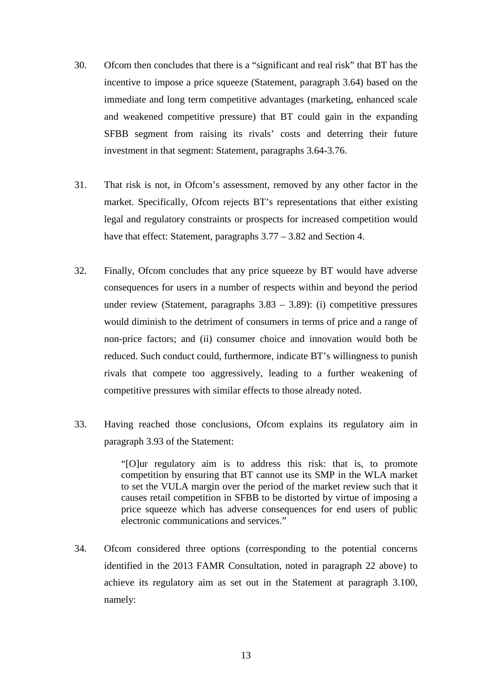- 30. Ofcom then concludes that there is a "significant and real risk" that BT has the incentive to impose a price squeeze (Statement, paragraph 3.64) based on the immediate and long term competitive advantages (marketing, enhanced scale and weakened competitive pressure) that BT could gain in the expanding SFBB segment from raising its rivals' costs and deterring their future investment in that segment: Statement, paragraphs 3.64-3.76.
- 31. That risk is not, in Ofcom's assessment, removed by any other factor in the market. Specifically, Ofcom rejects BT's representations that either existing legal and regulatory constraints or prospects for increased competition would have that effect: Statement, paragraphs  $3.77 - 3.82$  and Section 4.
- 32. Finally, Ofcom concludes that any price squeeze by BT would have adverse consequences for users in a number of respects within and beyond the period under review (Statement, paragraphs 3.83 – 3.89): (i) competitive pressures would diminish to the detriment of consumers in terms of price and a range of non-price factors; and (ii) consumer choice and innovation would both be reduced. Such conduct could, furthermore, indicate BT's willingness to punish rivals that compete too aggressively, leading to a further weakening of competitive pressures with similar effects to those already noted.
- 33. Having reached those conclusions, Ofcom explains its regulatory aim in paragraph 3.93 of the Statement:

"[O]ur regulatory aim is to address this risk: that is, to promote competition by ensuring that BT cannot use its SMP in the WLA market to set the VULA margin over the period of the market review such that it causes retail competition in SFBB to be distorted by virtue of imposing a price squeeze which has adverse consequences for end users of public electronic communications and services."

34. Ofcom considered three options (corresponding to the potential concerns identified in the 2013 FAMR Consultation, noted in paragraph [22](#page-10-1) above) to achieve its regulatory aim as set out in the Statement at paragraph 3.100, namely: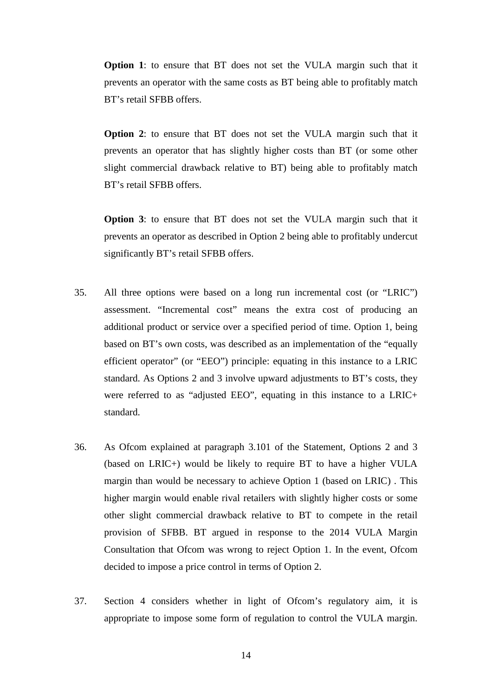**Option 1**: to ensure that BT does not set the VULA margin such that it prevents an operator with the same costs as BT being able to profitably match BT's retail SFBB offers.

**Option 2**: to ensure that BT does not set the VULA margin such that it prevents an operator that has slightly higher costs than BT (or some other slight commercial drawback relative to BT) being able to profitably match BT's retail SFBB offers.

**Option 3**: to ensure that BT does not set the VULA margin such that it prevents an operator as described in Option 2 being able to profitably undercut significantly BT's retail SFBB offers.

- 35. All three options were based on a long run incremental cost (or "LRIC") assessment. "Incremental cost" means the extra cost of producing an additional product or service over a specified period of time. Option 1, being based on BT's own costs, was described as an implementation of the "equally efficient operator" (or "EEO") principle: equating in this instance to a LRIC standard. As Options 2 and 3 involve upward adjustments to BT's costs, they were referred to as "adjusted EEO", equating in this instance to a LRIC+ standard.
- 36. As Ofcom explained at paragraph 3.101 of the Statement, Options 2 and 3 (based on LRIC+) would be likely to require BT to have a higher VULA margin than would be necessary to achieve Option 1 (based on LRIC) . This higher margin would enable rival retailers with slightly higher costs or some other slight commercial drawback relative to BT to compete in the retail provision of SFBB. BT argued in response to the 2014 VULA Margin Consultation that Ofcom was wrong to reject Option 1. In the event, Ofcom decided to impose a price control in terms of Option 2.
- 37. Section 4 considers whether in light of Ofcom's regulatory aim, it is appropriate to impose some form of regulation to control the VULA margin.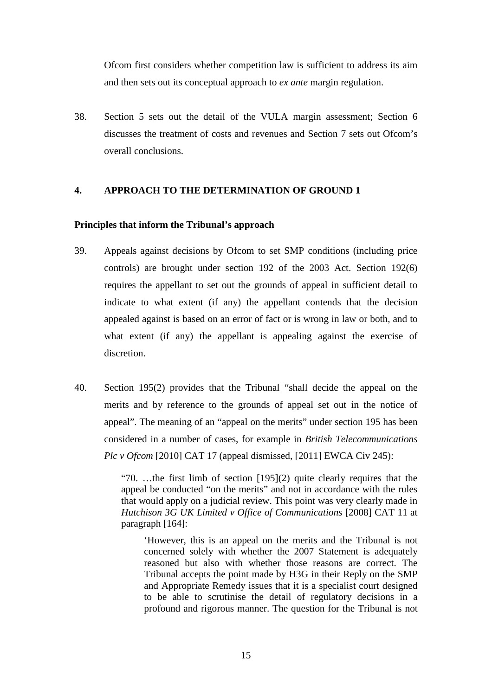Ofcom first considers whether competition law is sufficient to address its aim and then sets out its conceptual approach to *ex ante* margin regulation.

<span id="page-14-1"></span>38. Section 5 sets out the detail of the VULA margin assessment; Section 6 discusses the treatment of costs and revenues and Section 7 sets out Ofcom's overall conclusions.

## <span id="page-14-0"></span>**4. APPROACH TO THE DETERMINATION OF GROUND 1**

### **Principles that inform the Tribunal's approach**

- 39. Appeals against decisions by Ofcom to set SMP conditions (including price controls) are brought under section 192 of the 2003 Act. Section 192(6) requires the appellant to set out the grounds of appeal in sufficient detail to indicate to what extent (if any) the appellant contends that the decision appealed against is based on an error of fact or is wrong in law or both, and to what extent (if any) the appellant is appealing against the exercise of discretion.
- 40. Section 195(2) provides that the Tribunal "shall decide the appeal on the merits and by reference to the grounds of appeal set out in the notice of appeal". The meaning of an "appeal on the merits" under section 195 has been considered in a number of cases, for example in *British Telecommunications Plc v Ofcom* [2010] CAT 17 (appeal dismissed, [2011] EWCA Civ 245):

"70. …the first limb of section [195](2) quite clearly requires that the appeal be conducted "on the merits" and not in accordance with the rules that would apply on a judicial review. This point was very clearly made in *Hutchison 3G UK Limited v Office of Communications* [2008] CAT 11 at paragraph [164]:

'However, this is an appeal on the merits and the Tribunal is not concerned solely with whether the 2007 Statement is adequately reasoned but also with whether those reasons are correct. The Tribunal accepts the point made by H3G in their Reply on the SMP and Appropriate Remedy issues that it is a specialist court designed to be able to scrutinise the detail of regulatory decisions in a profound and rigorous manner. The question for the Tribunal is not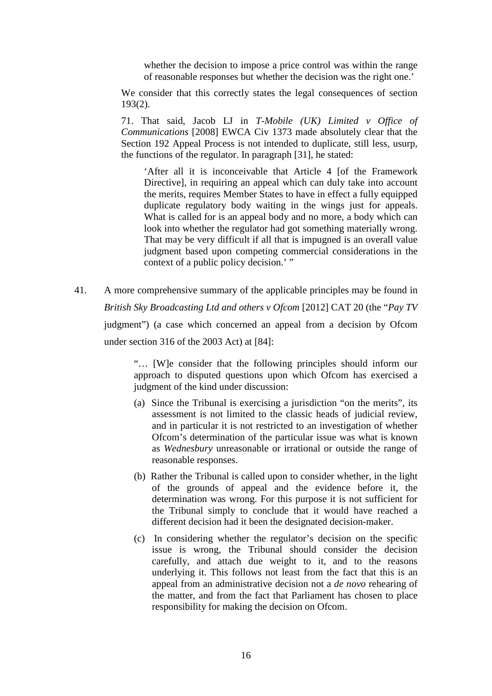whether the decision to impose a price control was within the range of reasonable responses but whether the decision was the right one.'

We consider that this correctly states the legal consequences of section 193(2).

71. That said, Jacob LJ in *T-Mobile (UK) Limited v Office of Communications* [2008] EWCA Civ 1373 made absolutely clear that the Section 192 Appeal Process is not intended to duplicate, still less, usurp, the functions of the regulator. In paragraph [31], he stated:

'After all it is inconceivable that Article 4 [of the Framework Directive], in requiring an appeal which can duly take into account the merits, requires Member States to have in effect a fully equipped duplicate regulatory body waiting in the wings just for appeals. What is called for is an appeal body and no more, a body which can look into whether the regulator had got something materially wrong. That may be very difficult if all that is impugned is an overall value judgment based upon competing commercial considerations in the context of a public policy decision.' "

41. A more comprehensive summary of the applicable principles may be found in *British Sky Broadcasting Ltd and others v Ofcom* [2012] CAT 20 (the "*Pay TV* judgment") (a case which concerned an appeal from a decision by Ofcom under section 316 of the 2003 Act) at [84]:

> "… [W]e consider that the following principles should inform our approach to disputed questions upon which Ofcom has exercised a judgment of the kind under discussion:

- (a) Since the Tribunal is exercising a jurisdiction "on the merits", its assessment is not limited to the classic heads of judicial review, and in particular it is not restricted to an investigation of whether Ofcom's determination of the particular issue was what is known as *Wednesbury* unreasonable or irrational or outside the range of reasonable responses.
- (b) Rather the Tribunal is called upon to consider whether, in the light of the grounds of appeal and the evidence before it, the determination was wrong. For this purpose it is not sufficient for the Tribunal simply to conclude that it would have reached a different decision had it been the designated decision-maker.
- (c) In considering whether the regulator's decision on the specific issue is wrong, the Tribunal should consider the decision carefully, and attach due weight to it, and to the reasons underlying it. This follows not least from the fact that this is an appeal from an administrative decision not a *de novo* rehearing of the matter, and from the fact that Parliament has chosen to place responsibility for making the decision on Ofcom.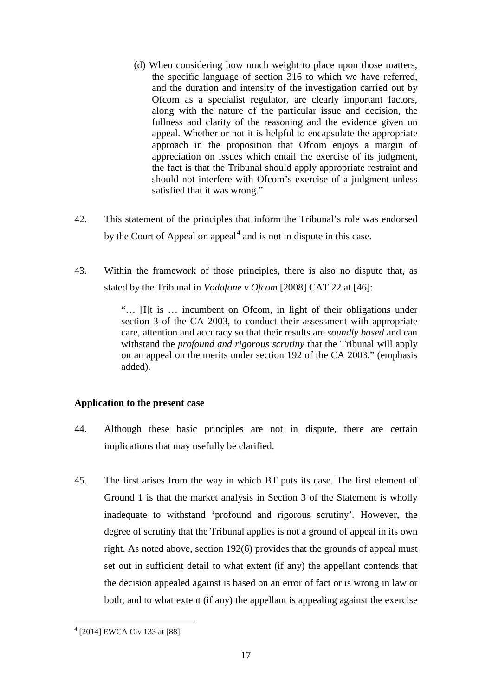- (d) When considering how much weight to place upon those matters, the specific language of section 316 to which we have referred, and the duration and intensity of the investigation carried out by Ofcom as a specialist regulator, are clearly important factors, along with the nature of the particular issue and decision, the fullness and clarity of the reasoning and the evidence given on appeal. Whether or not it is helpful to encapsulate the appropriate approach in the proposition that Ofcom enjoys a margin of appreciation on issues which entail the exercise of its judgment, the fact is that the Tribunal should apply appropriate restraint and should not interfere with Ofcom's exercise of a judgment unless satisfied that it was wrong."
- 42. This statement of the principles that inform the Tribunal's role was endorsed by the Court of Appeal on appeal $<sup>4</sup>$  $<sup>4</sup>$  $<sup>4</sup>$  and is not in dispute in this case.</sup>
- 43. Within the framework of those principles, there is also no dispute that, as stated by the Tribunal in *Vodafone v Ofcom* [2008] CAT 22 at [46]:

"… [I]t is … incumbent on Ofcom, in light of their obligations under section 3 of the CA 2003, to conduct their assessment with appropriate care, attention and accuracy so that their results are *soundly based* and can withstand the *profound and rigorous scrutiny* that the Tribunal will apply on an appeal on the merits under section 192 of the CA 2003." (emphasis added).

# **Application to the present case**

- 44. Although these basic principles are not in dispute, there are certain implications that may usefully be clarified.
- 45. The first arises from the way in which BT puts its case. The first element of Ground 1 is that the market analysis in Section 3 of the Statement is wholly inadequate to withstand 'profound and rigorous scrutiny'. However, the degree of scrutiny that the Tribunal applies is not a ground of appeal in its own right. As noted above, section 192(6) provides that the grounds of appeal must set out in sufficient detail to what extent (if any) the appellant contends that the decision appealed against is based on an error of fact or is wrong in law or both; and to what extent (if any) the appellant is appealing against the exercise

<span id="page-16-0"></span> $\overline{a}$  $4$  [2014] EWCA Civ 133 at [88].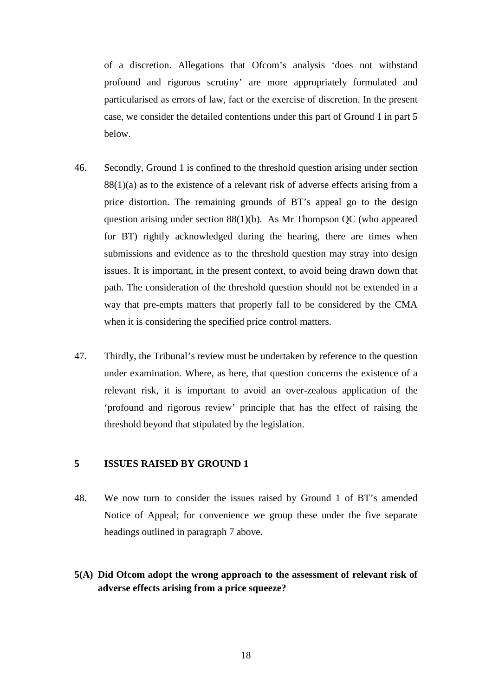of a discretion. Allegations that Ofcom's analysis 'does not withstand profound and rigorous scrutiny' are more appropriately formulated and particularised as errors of law, fact or the exercise of discretion. In the present case, we consider the detailed contentions under this part of Ground 1 in part 5 below.

- 46. Secondly, Ground 1 is confined to the threshold question arising under section  $88(1)(a)$  as to the existence of a relevant risk of adverse effects arising from a price distortion. The remaining grounds of BT's appeal go to the design question arising under section 88(1)(b). As Mr Thompson QC (who appeared for BT) rightly acknowledged during the hearing, there are times when submissions and evidence as to the threshold question may stray into design issues. It is important, in the present context, to avoid being drawn down that path. The consideration of the threshold question should not be extended in a way that pre-empts matters that properly fall to be considered by the CMA when it is considering the specified price control matters.
- 47. Thirdly, the Tribunal's review must be undertaken by reference to the question under examination. Where, as here, that question concerns the existence of a relevant risk, it is important to avoid an over-zealous application of the 'profound and rigorous review' principle that has the effect of raising the threshold beyond that stipulated by the legislation.

## <span id="page-17-0"></span>**5 ISSUES RAISED BY GROUND 1**

- 48. We now turn to consider the issues raised by Ground 1 of BT's amended Notice of Appeal; for convenience we group these under the five separate headings outlined in paragraph [7](#page-5-0) above.
- <span id="page-17-1"></span>**5(A) Did Ofcom adopt the wrong approach to the assessment of relevant risk of adverse effects arising from a price squeeze?**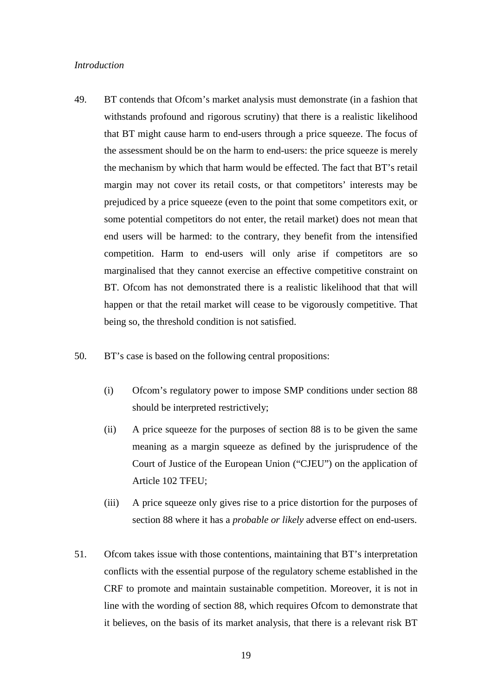#### *Introduction*

- <span id="page-18-0"></span>49. BT contends that Ofcom's market analysis must demonstrate (in a fashion that withstands profound and rigorous scrutiny) that there is a realistic likelihood that BT might cause harm to end-users through a price squeeze. The focus of the assessment should be on the harm to end-users: the price squeeze is merely the mechanism by which that harm would be effected. The fact that BT's retail margin may not cover its retail costs, or that competitors' interests may be prejudiced by a price squeeze (even to the point that some competitors exit, or some potential competitors do not enter, the retail market) does not mean that end users will be harmed: to the contrary, they benefit from the intensified competition. Harm to end-users will only arise if competitors are so marginalised that they cannot exercise an effective competitive constraint on BT. Ofcom has not demonstrated there is a realistic likelihood that that will happen or that the retail market will cease to be vigorously competitive. That being so, the threshold condition is not satisfied.
- <span id="page-18-1"></span>50. BT's case is based on the following central propositions:
	- (i) Ofcom's regulatory power to impose SMP conditions under section 88 should be interpreted restrictively;
	- (ii) A price squeeze for the purposes of section 88 is to be given the same meaning as a margin squeeze as defined by the jurisprudence of the Court of Justice of the European Union ("CJEU") on the application of Article 102 TFEU;
	- (iii) A price squeeze only gives rise to a price distortion for the purposes of section 88 where it has a *probable or likely* adverse effect on end-users.
- 51. Ofcom takes issue with those contentions, maintaining that BT's interpretation conflicts with the essential purpose of the regulatory scheme established in the CRF to promote and maintain sustainable competition. Moreover, it is not in line with the wording of section 88, which requires Ofcom to demonstrate that it believes, on the basis of its market analysis, that there is a relevant risk BT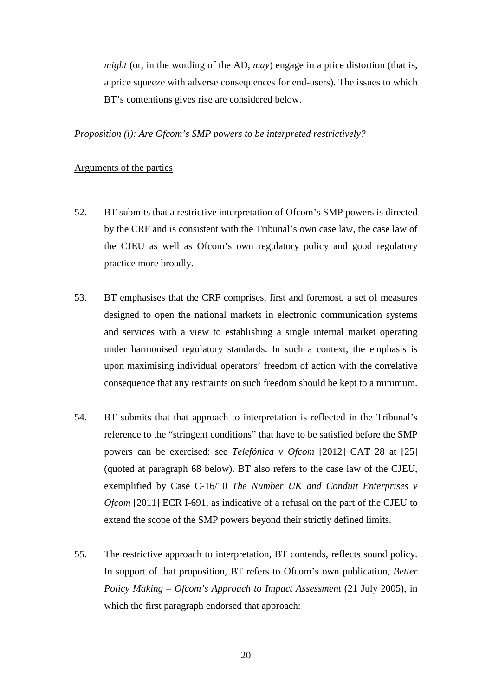*might* (or, in the wording of the AD, *may*) engage in a price distortion (that is, a price squeeze with adverse consequences for end-users). The issues to which BT's contentions gives rise are considered below.

*Proposition (i): Are Ofcom's SMP powers to be interpreted restrictively?*

### Arguments of the parties

- 52. BT submits that a restrictive interpretation of Ofcom's SMP powers is directed by the CRF and is consistent with the Tribunal's own case law, the case law of the CJEU as well as Ofcom's own regulatory policy and good regulatory practice more broadly.
- 53. BT emphasises that the CRF comprises, first and foremost, a set of measures designed to open the national markets in electronic communication systems and services with a view to establishing a single internal market operating under harmonised regulatory standards. In such a context, the emphasis is upon maximising individual operators' freedom of action with the correlative consequence that any restraints on such freedom should be kept to a minimum.
- 54. BT submits that that approach to interpretation is reflected in the Tribunal's reference to the "stringent conditions" that have to be satisfied before the SMP powers can be exercised: see *Telefónica v Ofcom* [2012] CAT 28 at [25] (quoted at paragraph [68](#page-23-0) below). BT also refers to the case law of the CJEU, exemplified by Case C-16/10 *The Number UK and Conduit Enterprises v Ofcom* [2011] ECR I-691, as indicative of a refusal on the part of the CJEU to extend the scope of the SMP powers beyond their strictly defined limits.
- <span id="page-19-0"></span>55. The restrictive approach to interpretation, BT contends, reflects sound policy. In support of that proposition, BT refers to Ofcom's own publication, *Better Policy Making – Ofcom's Approach to Impact Assessment* (21 July 2005), in which the first paragraph endorsed that approach: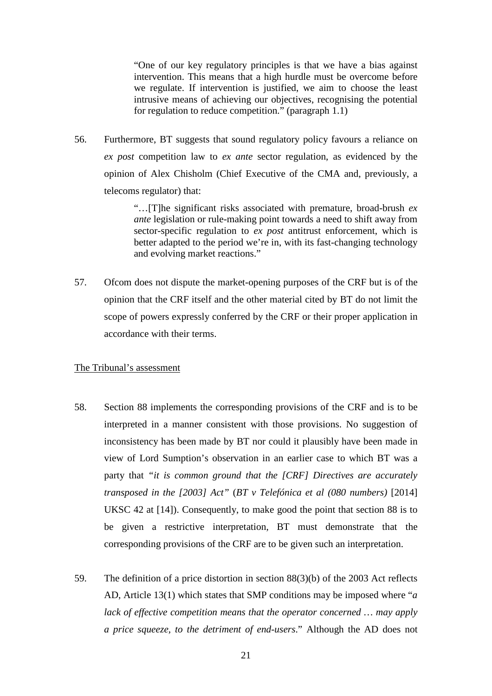"One of our key regulatory principles is that we have a bias against intervention. This means that a high hurdle must be overcome before we regulate. If intervention is justified, we aim to choose the least intrusive means of achieving our objectives, recognising the potential for regulation to reduce competition." (paragraph 1.1)

<span id="page-20-0"></span>56. Furthermore, BT suggests that sound regulatory policy favours a reliance on *ex post* competition law to *ex ante* sector regulation, as evidenced by the opinion of Alex Chisholm (Chief Executive of the CMA and, previously, a telecoms regulator) that:

> "…[T]he significant risks associated with premature, broad-brush *ex ante* legislation or rule-making point towards a need to shift away from sector-specific regulation to *ex post* antitrust enforcement, which is better adapted to the period we're in, with its fast-changing technology and evolving market reactions."

57. Ofcom does not dispute the market-opening purposes of the CRF but is of the opinion that the CRF itself and the other material cited by BT do not limit the scope of powers expressly conferred by the CRF or their proper application in accordance with their terms.

#### The Tribunal's assessment

- 58. Section 88 implements the corresponding provisions of the CRF and is to be interpreted in a manner consistent with those provisions. No suggestion of inconsistency has been made by BT nor could it plausibly have been made in view of Lord Sumption's observation in an earlier case to which BT was a party that *"it is common ground that the [CRF] Directives are accurately transposed in the [2003] Act"* (*BT v Telefónica et al (080 numbers)* [2014] UKSC 42 at [14]). Consequently, to make good the point that section 88 is to be given a restrictive interpretation, BT must demonstrate that the corresponding provisions of the CRF are to be given such an interpretation.
- <span id="page-20-1"></span>59. The definition of a price distortion in section 88(3)(b) of the 2003 Act reflects AD, Article 13(1) which states that SMP conditions may be imposed where "*a lack of effective competition means that the operator concerned … may apply a price squeeze, to the detriment of end-users*." Although the AD does not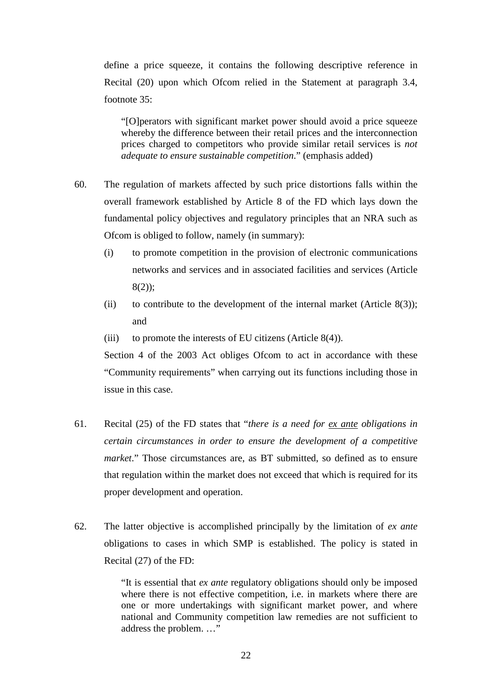define a price squeeze, it contains the following descriptive reference in Recital (20) upon which Ofcom relied in the Statement at paragraph 3.4, footnote 35:

"[O]perators with significant market power should avoid a price squeeze whereby the difference between their retail prices and the interconnection prices charged to competitors who provide similar retail services is *not adequate to ensure sustainable competition*." (emphasis added)

- 60. The regulation of markets affected by such price distortions falls within the overall framework established by Article 8 of the FD which lays down the fundamental policy objectives and regulatory principles that an NRA such as Ofcom is obliged to follow, namely (in summary):
	- (i) to promote competition in the provision of electronic communications networks and services and in associated facilities and services (Article 8(2));
	- (ii) to contribute to the development of the internal market (Article  $8(3)$ ); and
	- (iii) to promote the interests of EU citizens (Article  $8(4)$ ).

Section 4 of the 2003 Act obliges Ofcom to act in accordance with these "Community requirements" when carrying out its functions including those in issue in this case.

- 61. Recital (25) of the FD states that "*there is a need for ex ante obligations in certain circumstances in order to ensure the development of a competitive market*." Those circumstances are, as BT submitted, so defined as to ensure that regulation within the market does not exceed that which is required for its proper development and operation.
- <span id="page-21-0"></span>62. The latter objective is accomplished principally by the limitation of *ex ante* obligations to cases in which SMP is established. The policy is stated in Recital (27) of the FD:

"It is essential that *ex ante* regulatory obligations should only be imposed where there is not effective competition, i.e. in markets where there are one or more undertakings with significant market power, and where national and Community competition law remedies are not sufficient to address the problem. …"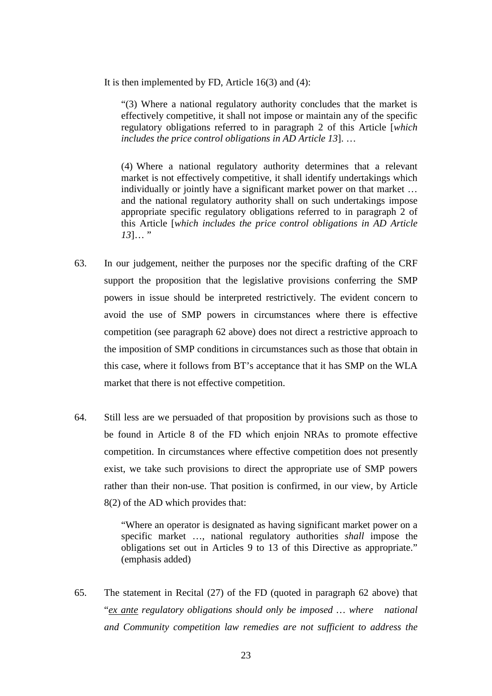It is then implemented by FD, Article  $16(3)$  and  $(4)$ :

"(3) Where a national regulatory authority concludes that the market is effectively competitive, it shall not impose or maintain any of the specific regulatory obligations referred to in paragraph 2 of this Article [*which includes the price control obligations in AD Article 13*]. …

(4) Where a national regulatory authority determines that a relevant market is not effectively competitive, it shall identify undertakings which individually or jointly have a significant market power on that market … and the national regulatory authority shall on such undertakings impose appropriate specific regulatory obligations referred to in paragraph 2 of this Article [*which includes the price control obligations in AD Article 13*]… "

- 63. In our judgement, neither the purposes nor the specific drafting of the CRF support the proposition that the legislative provisions conferring the SMP powers in issue should be interpreted restrictively. The evident concern to avoid the use of SMP powers in circumstances where there is effective competition (see paragraph [62](#page-21-0) above) does not direct a restrictive approach to the imposition of SMP conditions in circumstances such as those that obtain in this case, where it follows from BT's acceptance that it has SMP on the WLA market that there is not effective competition.
- 64. Still less are we persuaded of that proposition by provisions such as those to be found in Article 8 of the FD which enjoin NRAs to promote effective competition. In circumstances where effective competition does not presently exist, we take such provisions to direct the appropriate use of SMP powers rather than their non-use. That position is confirmed, in our view, by Article 8(2) of the AD which provides that:

"Where an operator is designated as having significant market power on a specific market …, national regulatory authorities *shall* impose the obligations set out in Articles 9 to 13 of this Directive as appropriate." (emphasis added)

65. The statement in Recital (27) of the FD (quoted in paragraph [62](#page-21-0) above) that "*ex ante regulatory obligations should only be imposed … where national and Community competition law remedies are not sufficient to address the*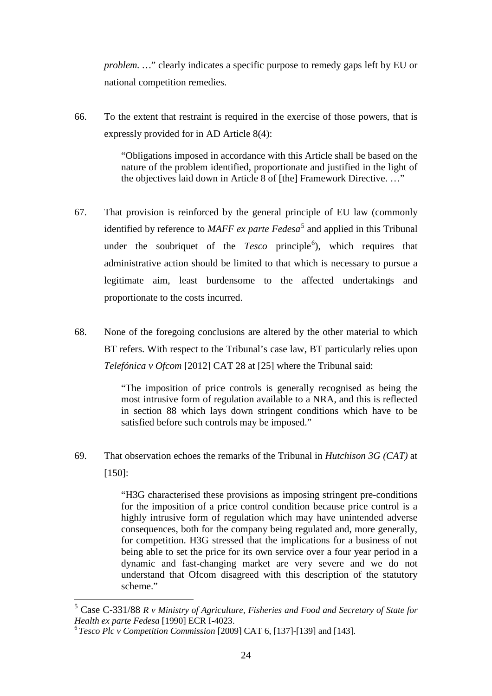*problem.* ..." clearly indicates a specific purpose to remedy gaps left by EU or national competition remedies.

66. To the extent that restraint is required in the exercise of those powers, that is expressly provided for in AD Article 8(4):

> "Obligations imposed in accordance with this Article shall be based on the nature of the problem identified, proportionate and justified in the light of the objectives laid down in Article 8 of [the] Framework Directive. …"

- 67. That provision is reinforced by the general principle of EU law (commonly identified by reference to *MAFF ex parte Fedesa*<sup>[5](#page-23-1)</sup> and applied in this Tribunal under the soubriquet of the *Tesco* principle<sup>[6](#page-23-2)</sup>), which requires that administrative action should be limited to that which is necessary to pursue a legitimate aim, least burdensome to the affected undertakings and proportionate to the costs incurred.
- <span id="page-23-0"></span>68. None of the foregoing conclusions are altered by the other material to which BT refers. With respect to the Tribunal's case law, BT particularly relies upon *Telefónica v Ofcom* [2012] CAT 28 at [25] where the Tribunal said:

"The imposition of price controls is generally recognised as being the most intrusive form of regulation available to a NRA, and this is reflected in section 88 which lays down stringent conditions which have to be satisfied before such controls may be imposed."

69. That observation echoes the remarks of the Tribunal in *Hutchison 3G (CAT)* at [150]:

> "H3G characterised these provisions as imposing stringent pre-conditions for the imposition of a price control condition because price control is a highly intrusive form of regulation which may have unintended adverse consequences, both for the company being regulated and, more generally, for competition. H3G stressed that the implications for a business of not being able to set the price for its own service over a four year period in a dynamic and fast-changing market are very severe and we do not understand that Ofcom disagreed with this description of the statutory scheme."

<span id="page-23-1"></span><sup>5</sup> Case C-331/88 *R v Ministry of Agriculture, Fisheries and Food and Secretary of State for Health ex parte Fedesa* [1990] ECR I-4023.

<span id="page-23-2"></span><sup>6</sup>*Tesco Plc v Competition Commission* [2009] CAT 6, [137]-[139] and [143].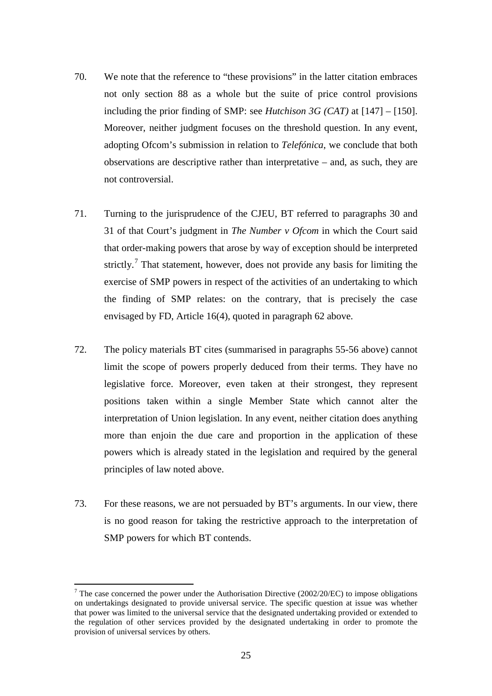- 70. We note that the reference to "these provisions" in the latter citation embraces not only section 88 as a whole but the suite of price control provisions including the prior finding of SMP: see *Hutchison 3G (CAT)* at [147] – [150]. Moreover, neither judgment focuses on the threshold question. In any event, adopting Ofcom's submission in relation to *Telefónica*, we conclude that both observations are descriptive rather than interpretative – and, as such, they are not controversial.
- 71. Turning to the jurisprudence of the CJEU, BT referred to paragraphs 30 and 31 of that Court's judgment in *The Number v Ofcom* in which the Court said that order-making powers that arose by way of exception should be interpreted strictly.<sup>[7](#page-24-0)</sup> That statement, however, does not provide any basis for limiting the exercise of SMP powers in respect of the activities of an undertaking to which the finding of SMP relates: on the contrary, that is precisely the case envisaged by FD, Article 16(4), quoted in paragraph [62](#page-21-0) above.
- 72. The policy materials BT cites (summarised in paragraphs [55-](#page-19-0)[56](#page-20-0) above) cannot limit the scope of powers properly deduced from their terms. They have no legislative force. Moreover, even taken at their strongest, they represent positions taken within a single Member State which cannot alter the interpretation of Union legislation. In any event, neither citation does anything more than enjoin the due care and proportion in the application of these powers which is already stated in the legislation and required by the general principles of law noted above.
- 73. For these reasons, we are not persuaded by BT's arguments. In our view, there is no good reason for taking the restrictive approach to the interpretation of SMP powers for which BT contends.

<span id="page-24-0"></span><sup>&</sup>lt;sup>7</sup> The case concerned the power under the Authorisation Directive (2002/20/EC) to impose obligations on undertakings designated to provide universal service. The specific question at issue was whether that power was limited to the universal service that the designated undertaking provided or extended to the regulation of other services provided by the designated undertaking in order to promote the provision of universal services by others.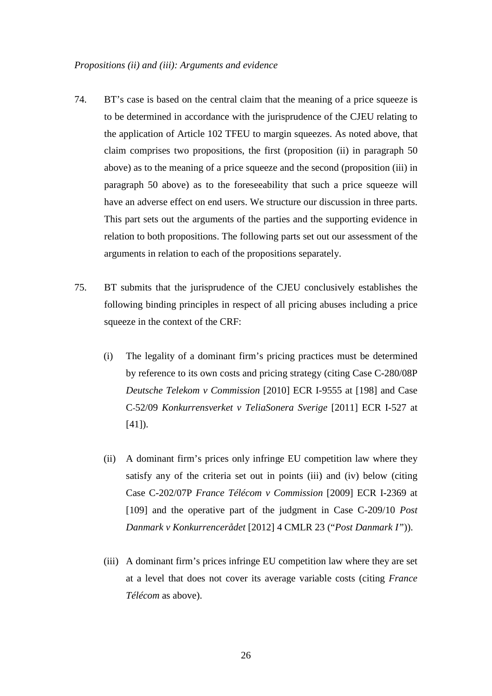- 74. BT's case is based on the central claim that the meaning of a price squeeze is to be determined in accordance with the jurisprudence of the CJEU relating to the application of Article 102 TFEU to margin squeezes. As noted above, that claim comprises two propositions, the first (proposition (ii) in paragraph [50](#page-18-1)  above) as to the meaning of a price squeeze and the second (proposition (iii) in paragraph [50](#page-18-1) above) as to the foreseeability that such a price squeeze will have an adverse effect on end users. We structure our discussion in three parts. This part sets out the arguments of the parties and the supporting evidence in relation to both propositions. The following parts set out our assessment of the arguments in relation to each of the propositions separately.
- <span id="page-25-0"></span>75. BT submits that the jurisprudence of the CJEU conclusively establishes the following binding principles in respect of all pricing abuses including a price squeeze in the context of the CRF:
	- (i) The legality of a dominant firm's pricing practices must be determined by reference to its own costs and pricing strategy (citing Case C-280/08P *Deutsche Telekom v Commission* [2010] ECR I-9555 at [198] and Case C-52/09 *Konkurrensverket v TeliaSonera Sverige* [2011] ECR I-527 at [41]).
	- (ii) A dominant firm's prices only infringe EU competition law where they satisfy any of the criteria set out in points (iii) and (iv) below (citing Case C-202/07P *France Télécom v Commission* [2009] ECR I-2369 at [109] and the operative part of the judgment in Case C-209/10 *Post Danmark v Konkurrencerådet* [2012] 4 CMLR 23 ("*Post Danmark I"*)).
	- (iii) A dominant firm's prices infringe EU competition law where they are set at a level that does not cover its average variable costs (citing *France Télécom* as above).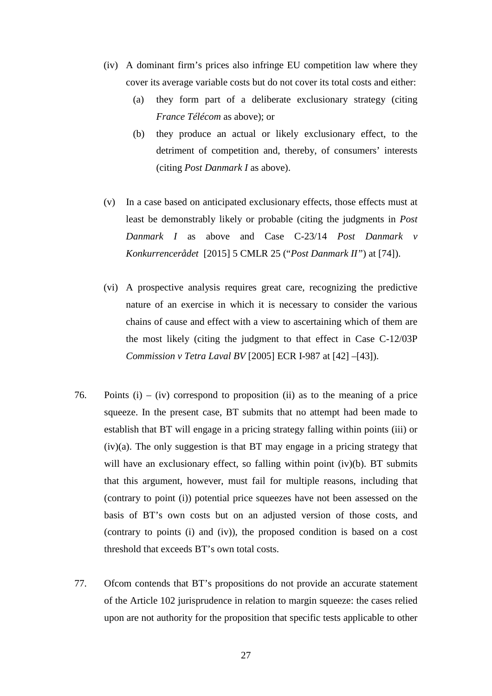- (iv) A dominant firm's prices also infringe EU competition law where they cover its average variable costs but do not cover its total costs and either:
	- (a) they form part of a deliberate exclusionary strategy (citing *France Télécom* as above); or
	- (b) they produce an actual or likely exclusionary effect, to the detriment of competition and, thereby, of consumers' interests (citing *Post Danmark I* as above).
- (v) In a case based on anticipated exclusionary effects, those effects must at least be demonstrably likely or probable (citing the judgments in *Post Danmark I* as above and Case C-23/14 *Post Danmark v Konkurrencerådet* [2015] 5 CMLR 25 ("*Post Danmark II"*) at [74]).
- (vi) A prospective analysis requires great care, recognizing the predictive nature of an exercise in which it is necessary to consider the various chains of cause and effect with a view to ascertaining which of them are the most likely (citing the judgment to that effect in Case C-12/03P *Commission v Tetra Laval BV* [2005] ECR I-987 at [42] –[43]).
- 76. Points (i) (iv) correspond to proposition (ii) as to the meaning of a price squeeze. In the present case, BT submits that no attempt had been made to establish that BT will engage in a pricing strategy falling within points (iii) or  $(iv)(a)$ . The only suggestion is that BT may engage in a pricing strategy that will have an exclusionary effect, so falling within point (iv)(b). BT submits that this argument, however, must fail for multiple reasons, including that (contrary to point (i)) potential price squeezes have not been assessed on the basis of BT's own costs but on an adjusted version of those costs, and (contrary to points (i) and (iv)), the proposed condition is based on a cost threshold that exceeds BT's own total costs.
- 77. Ofcom contends that BT's propositions do not provide an accurate statement of the Article 102 jurisprudence in relation to margin squeeze: the cases relied upon are not authority for the proposition that specific tests applicable to other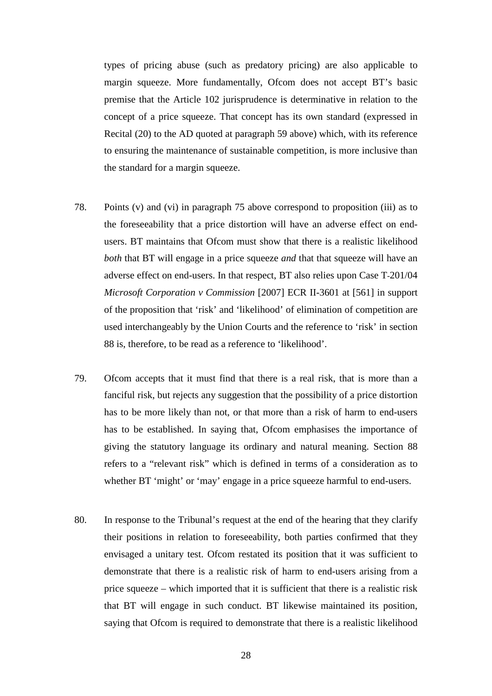types of pricing abuse (such as predatory pricing) are also applicable to margin squeeze. More fundamentally, Ofcom does not accept BT's basic premise that the Article 102 jurisprudence is determinative in relation to the concept of a price squeeze. That concept has its own standard (expressed in Recital (20) to the AD quoted at paragraph [59](#page-20-1) above) which, with its reference to ensuring the maintenance of sustainable competition, is more inclusive than the standard for a margin squeeze.

- 78. Points (v) and (vi) in paragraph [75](#page-25-0) above correspond to proposition (iii) as to the foreseeability that a price distortion will have an adverse effect on endusers. BT maintains that Ofcom must show that there is a realistic likelihood *both* that BT will engage in a price squeeze *and* that that squeeze will have an adverse effect on end-users. In that respect, BT also relies upon Case T-201/04 *Microsoft Corporation v Commission* [2007] ECR II-3601 at [561] in support of the proposition that 'risk' and 'likelihood' of elimination of competition are used interchangeably by the Union Courts and the reference to 'risk' in section 88 is, therefore, to be read as a reference to 'likelihood'.
- 79. Ofcom accepts that it must find that there is a real risk, that is more than a fanciful risk, but rejects any suggestion that the possibility of a price distortion has to be more likely than not, or that more than a risk of harm to end-users has to be established. In saying that, Ofcom emphasises the importance of giving the statutory language its ordinary and natural meaning. Section 88 refers to a "relevant risk" which is defined in terms of a consideration as to whether BT 'might' or 'may' engage in a price squeeze harmful to end-users.
- 80. In response to the Tribunal's request at the end of the hearing that they clarify their positions in relation to foreseeability, both parties confirmed that they envisaged a unitary test. Ofcom restated its position that it was sufficient to demonstrate that there is a realistic risk of harm to end-users arising from a price squeeze – which imported that it is sufficient that there is a realistic risk that BT will engage in such conduct. BT likewise maintained its position, saying that Ofcom is required to demonstrate that there is a realistic likelihood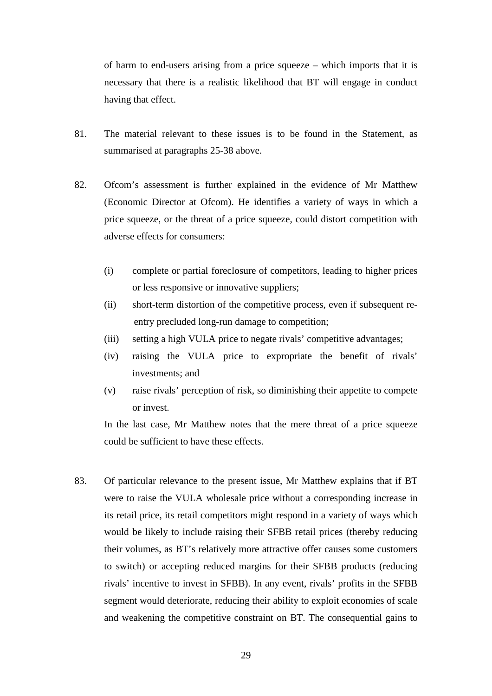of harm to end-users arising from a price squeeze – which imports that it is necessary that there is a realistic likelihood that BT will engage in conduct having that effect.

- 81. The material relevant to these issues is to be found in the Statement, as summarised at paragraphs [25-](#page-11-0)[38](#page-14-1) above.
- 82. Ofcom's assessment is further explained in the evidence of Mr Matthew (Economic Director at Ofcom). He identifies a variety of ways in which a price squeeze, or the threat of a price squeeze, could distort competition with adverse effects for consumers:
	- (i) complete or partial foreclosure of competitors, leading to higher prices or less responsive or innovative suppliers;
	- (ii) short-term distortion of the competitive process, even if subsequent reentry precluded long-run damage to competition;
	- (iii) setting a high VULA price to negate rivals' competitive advantages;
	- (iv) raising the VULA price to expropriate the benefit of rivals' investments; and
	- (v) raise rivals' perception of risk, so diminishing their appetite to compete or invest.

In the last case, Mr Matthew notes that the mere threat of a price squeeze could be sufficient to have these effects.

83. Of particular relevance to the present issue, Mr Matthew explains that if BT were to raise the VULA wholesale price without a corresponding increase in its retail price, its retail competitors might respond in a variety of ways which would be likely to include raising their SFBB retail prices (thereby reducing their volumes, as BT's relatively more attractive offer causes some customers to switch) or accepting reduced margins for their SFBB products (reducing rivals' incentive to invest in SFBB). In any event, rivals' profits in the SFBB segment would deteriorate, reducing their ability to exploit economies of scale and weakening the competitive constraint on BT. The consequential gains to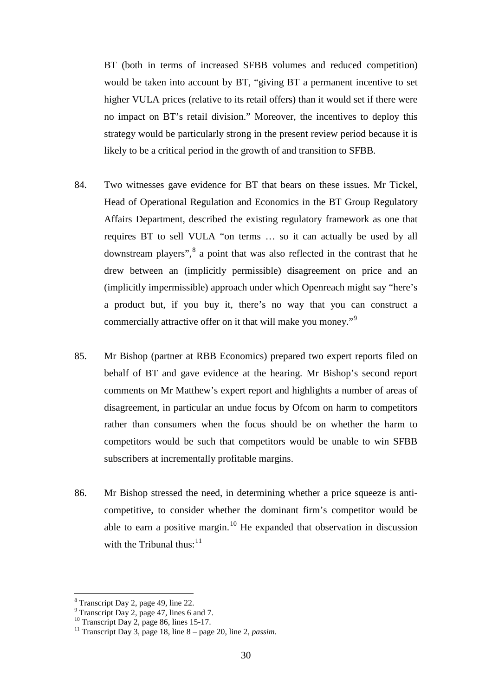BT (both in terms of increased SFBB volumes and reduced competition) would be taken into account by BT, "giving BT a permanent incentive to set higher VULA prices (relative to its retail offers) than it would set if there were no impact on BT's retail division." Moreover, the incentives to deploy this strategy would be particularly strong in the present review period because it is likely to be a critical period in the growth of and transition to SFBB.

- 84. Two witnesses gave evidence for BT that bears on these issues. Mr Tickel, Head of Operational Regulation and Economics in the BT Group Regulatory Affairs Department, described the existing regulatory framework as one that requires BT to sell VULA "on terms … so it can actually be used by all downstream players",<sup>[8](#page-29-0)</sup> a point that was also reflected in the contrast that he drew between an (implicitly permissible) disagreement on price and an (implicitly impermissible) approach under which Openreach might say "here's a product but, if you buy it, there's no way that you can construct a commercially attractive offer on it that will make you money."[9](#page-29-1)
- 85. Mr Bishop (partner at RBB Economics) prepared two expert reports filed on behalf of BT and gave evidence at the hearing. Mr Bishop's second report comments on Mr Matthew's expert report and highlights a number of areas of disagreement, in particular an undue focus by Ofcom on harm to competitors rather than consumers when the focus should be on whether the harm to competitors would be such that competitors would be unable to win SFBB subscribers at incrementally profitable margins.
- 86. Mr Bishop stressed the need, in determining whether a price squeeze is anticompetitive, to consider whether the dominant firm's competitor would be able to earn a positive margin.<sup>[10](#page-29-2)</sup> He expanded that observation in discussion with the Tribunal thus: $11$

<span id="page-29-0"></span><sup>&</sup>lt;sup>8</sup> Transcript Day 2, page 49, line 22.<br><sup>9</sup> Transcript Day 2, page 47, lines 6 and 7.

<span id="page-29-3"></span>

<span id="page-29-2"></span><span id="page-29-1"></span><sup>11</sup> Transcript Day 2, *page 14*, and 3 dines 15-17.<br><sup>10</sup> Transcript Day 2, page 86, lines 15-17.<br><sup>11</sup> Transcript Day 3, page 18, line 8 – page 20, line 2, *passim*.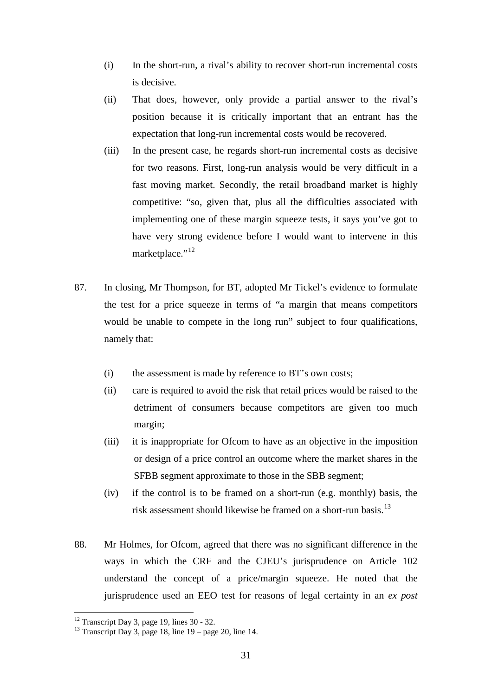- (i) In the short-run, a rival's ability to recover short-run incremental costs is decisive.
- (ii) That does, however, only provide a partial answer to the rival's position because it is critically important that an entrant has the expectation that long-run incremental costs would be recovered.
- (iii) In the present case, he regards short-run incremental costs as decisive for two reasons. First, long-run analysis would be very difficult in a fast moving market. Secondly, the retail broadband market is highly competitive: "so, given that, plus all the difficulties associated with implementing one of these margin squeeze tests, it says you've got to have very strong evidence before I would want to intervene in this marketplace."<sup>[12](#page-30-0)</sup>
- 87. In closing, Mr Thompson, for BT, adopted Mr Tickel's evidence to formulate the test for a price squeeze in terms of "a margin that means competitors would be unable to compete in the long run" subject to four qualifications, namely that:
	- (i) the assessment is made by reference to BT's own costs;
	- (ii) care is required to avoid the risk that retail prices would be raised to the detriment of consumers because competitors are given too much margin;
	- (iii) it is inappropriate for Ofcom to have as an objective in the imposition or design of a price control an outcome where the market shares in the SFBB segment approximate to those in the SBB segment;
	- (iv) if the control is to be framed on a short-run (e.g. monthly) basis, the risk assessment should likewise be framed on a short-run basis.<sup>13</sup>
- 88. Mr Holmes, for Ofcom, agreed that there was no significant difference in the ways in which the CRF and the CJEU's jurisprudence on Article 102 understand the concept of a price/margin squeeze. He noted that the jurisprudence used an EEO test for reasons of legal certainty in an *ex post*

<span id="page-30-0"></span><sup>&</sup>lt;sup>12</sup> Transcript Day 3, page 19, lines  $30 - 32$ .

<span id="page-30-1"></span><sup>&</sup>lt;sup>13</sup> Transcript Day 3, page 18, line  $19$  – page 20, line 14.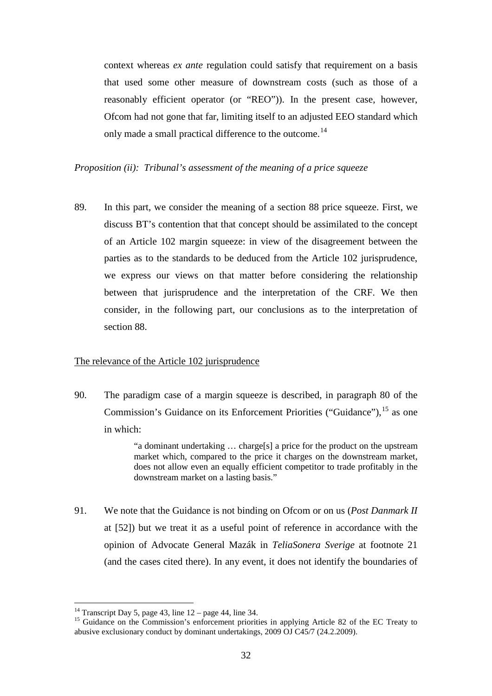context whereas *ex ante* regulation could satisfy that requirement on a basis that used some other measure of downstream costs (such as those of a reasonably efficient operator (or "REO")). In the present case, however, Ofcom had not gone that far, limiting itself to an adjusted EEO standard which only made a small practical difference to the outcome.<sup>[14](#page-31-0)</sup>

*Proposition (ii): Tribunal's assessment of the meaning of a price squeeze* 

89. In this part, we consider the meaning of a section 88 price squeeze. First, we discuss BT's contention that that concept should be assimilated to the concept of an Article 102 margin squeeze: in view of the disagreement between the parties as to the standards to be deduced from the Article 102 jurisprudence, we express our views on that matter before considering the relationship between that jurisprudence and the interpretation of the CRF. We then consider, in the following part, our conclusions as to the interpretation of section 88.

## The relevance of the Article 102 jurisprudence

90. The paradigm case of a margin squeeze is described, in paragraph 80 of the Commission's Guidance on its Enforcement Priorities ("Guidance"), <sup>[15](#page-31-1)</sup> as one in which:

> "a dominant undertaking … charge[s] a price for the product on the upstream market which, compared to the price it charges on the downstream market, does not allow even an equally efficient competitor to trade profitably in the downstream market on a lasting basis."

91. We note that the Guidance is not binding on Ofcom or on us (*Post Danmark II* at [52]) but we treat it as a useful point of reference in accordance with the opinion of Advocate General Mazák in *TeliaSonera Sverige* at footnote 21 (and the cases cited there). In any event, it does not identify the boundaries of

<sup>&</sup>lt;sup>14</sup> Transcript Day 5, page 43, line  $12$  – page 44, line 34.

<span id="page-31-1"></span><span id="page-31-0"></span><sup>&</sup>lt;sup>15</sup> Guidance on the Commission's enforcement priorities in applying Article 82 of the EC Treaty to abusive exclusionary conduct by dominant undertakings, 2009 OJ C45/7 (24.2.2009).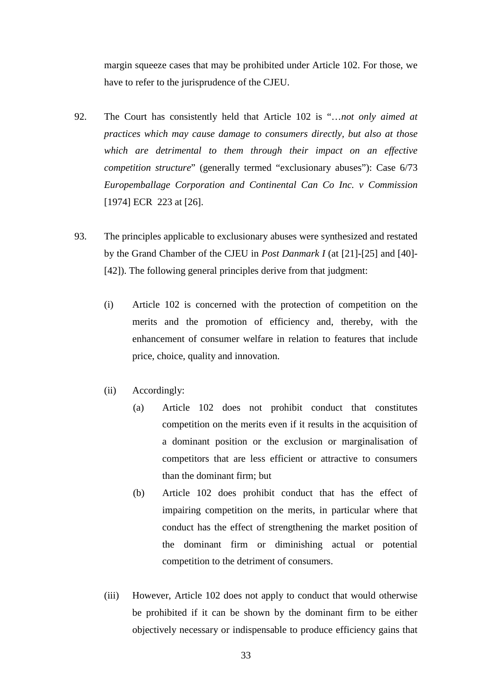margin squeeze cases that may be prohibited under Article 102. For those, we have to refer to the jurisprudence of the CJEU.

- 92. The Court has consistently held that Article 102 is "…*not only aimed at practices which may cause damage to consumers directly, but also at those which are detrimental to them through their impact on an effective competition structure*" (generally termed "exclusionary abuses"): Case 6/73 *Europemballage Corporation and Continental Can Co Inc. v Commission*  [1974] ECR 223 at [26].
- <span id="page-32-0"></span>93. The principles applicable to exclusionary abuses were synthesized and restated by the Grand Chamber of the CJEU in *Post Danmark I* (at [21]-[25] and [40]- [42]). The following general principles derive from that judgment:
	- (i) Article 102 is concerned with the protection of competition on the merits and the promotion of efficiency and, thereby, with the enhancement of consumer welfare in relation to features that include price, choice, quality and innovation.
	- (ii) Accordingly:
		- (a) Article 102 does not prohibit conduct that constitutes competition on the merits even if it results in the acquisition of a dominant position or the exclusion or marginalisation of competitors that are less efficient or attractive to consumers than the dominant firm; but
		- (b) Article 102 does prohibit conduct that has the effect of impairing competition on the merits, in particular where that conduct has the effect of strengthening the market position of the dominant firm or diminishing actual or potential competition to the detriment of consumers.
	- (iii) However, Article 102 does not apply to conduct that would otherwise be prohibited if it can be shown by the dominant firm to be either objectively necessary or indispensable to produce efficiency gains that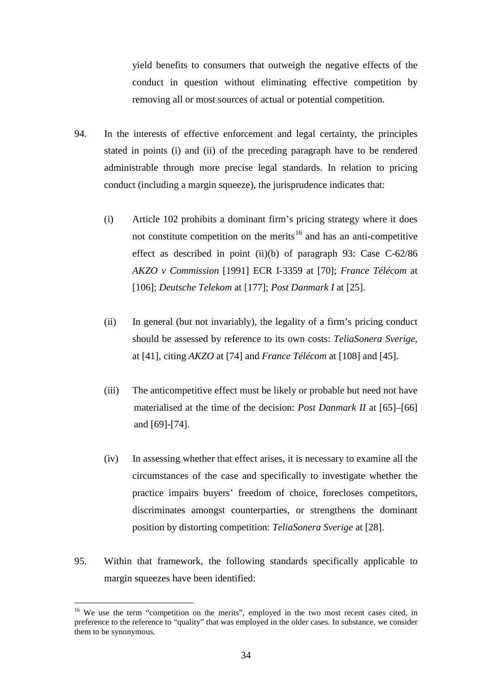yield benefits to consumers that outweigh the negative effects of the conduct in question without eliminating effective competition by removing all or most sources of actual or potential competition.

- 94. In the interests of effective enforcement and legal certainty, the principles stated in points (i) and (ii) of the preceding paragraph have to be rendered administrable through more precise legal standards. In relation to pricing conduct (including a margin squeeze), the jurisprudence indicates that:
	- (i) Article 102 prohibits a dominant firm's pricing strategy where it does not constitute competition on the merits<sup>[16](#page-33-0)</sup> and has an anti-competitive effect as described in point (ii)(b) of paragraph [93:](#page-32-0) Case C-62/86 *AKZO v Commission* [1991] ECR I-3359 at [70]; *France Télécom* at [106]; *Deutsche Telekom* at [177]; *Post Danmark I* at [25].
	- (ii) In general (but not invariably), the legality of a firm's pricing conduct should be assessed by reference to its own costs: *TeliaSonera Sverige*, at [41], citing *AKZO* at [74] and *France Télécom* at [108] and [45].
	- (iii) The anticompetitive effect must be likely or probable but need not have materialised at the time of the decision: *Post Danmark II* at [65]–[66] and [69]-[74].
	- (iv) In assessing whether that effect arises, it is necessary to examine all the circumstances of the case and specifically to investigate whether the practice impairs buyers' freedom of choice, forecloses competitors, discriminates amongst counterparties, or strengthens the dominant position by distorting competition: *TeliaSonera Sverige* at [28].
- 95. Within that framework, the following standards specifically applicable to margin squeezes have been identified:

<span id="page-33-0"></span><sup>&</sup>lt;sup>16</sup> We use the term "competition on the merits", employed in the two most recent cases cited, in preference to the reference to "quality" that was employed in the older cases. In substance, we consider them to be synonymous.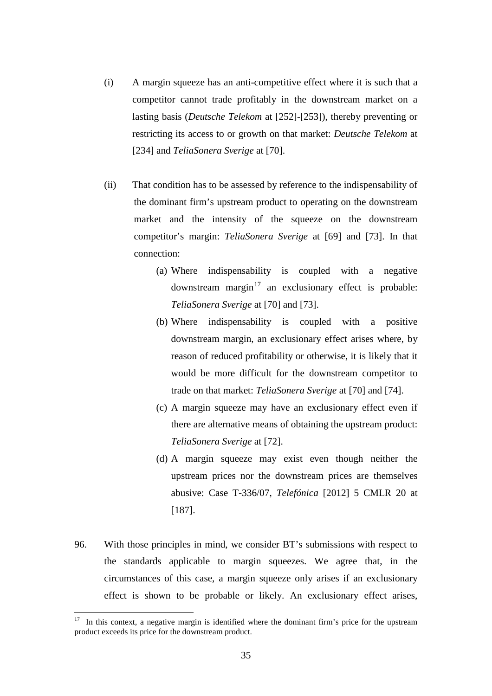- (i) A margin squeeze has an anti-competitive effect where it is such that a competitor cannot trade profitably in the downstream market on a lasting basis (*Deutsche Telekom* at [252]-[253]), thereby preventing or restricting its access to or growth on that market: *Deutsche Telekom* at [234] and *TeliaSonera Sverige* at [70].
- (ii) That condition has to be assessed by reference to the indispensability of the dominant firm's upstream product to operating on the downstream market and the intensity of the squeeze on the downstream competitor's margin: *TeliaSonera Sverige* at [69] and [73]. In that connection:
	- (a) Where indispensability is coupled with a negative downstream margin $17$  an exclusionary effect is probable: *TeliaSonera Sverige* at [70] and [73].
	- (b) Where indispensability is coupled with a positive downstream margin, an exclusionary effect arises where, by reason of reduced profitability or otherwise, it is likely that it would be more difficult for the downstream competitor to trade on that market: *TeliaSonera Sverige* at [70] and [74].
	- (c) A margin squeeze may have an exclusionary effect even if there are alternative means of obtaining the upstream product: *TeliaSonera Sverige* at [72].
	- (d) A margin squeeze may exist even though neither the upstream prices nor the downstream prices are themselves abusive: Case T-336/07, *Telefónica* [2012] 5 CMLR 20 at [187].
- 96. With those principles in mind, we consider BT's submissions with respect to the standards applicable to margin squeezes. We agree that, in the circumstances of this case, a margin squeeze only arises if an exclusionary effect is shown to be probable or likely. An exclusionary effect arises,

<span id="page-34-0"></span> $17$  In this context, a negative margin is identified where the dominant firm's price for the upstream product exceeds its price for the downstream product.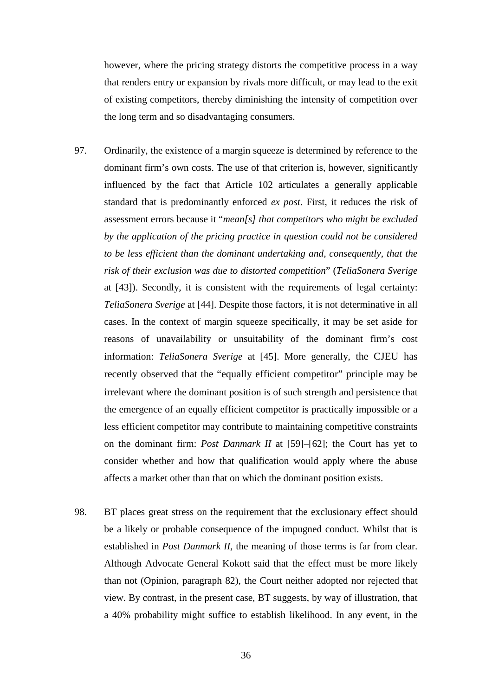however, where the pricing strategy distorts the competitive process in a way that renders entry or expansion by rivals more difficult, or may lead to the exit of existing competitors, thereby diminishing the intensity of competition over the long term and so disadvantaging consumers.

- 97. Ordinarily, the existence of a margin squeeze is determined by reference to the dominant firm's own costs. The use of that criterion is, however, significantly influenced by the fact that Article 102 articulates a generally applicable standard that is predominantly enforced *ex post*. First, it reduces the risk of assessment errors because it "*mean[s] that competitors who might be excluded by the application of the pricing practice in question could not be considered to be less efficient than the dominant undertaking and, consequently, that the risk of their exclusion was due to distorted competition*" (*TeliaSonera Sverige* at [43]). Secondly, it is consistent with the requirements of legal certainty: *TeliaSonera Sverige* at [44]. Despite those factors, it is not determinative in all cases. In the context of margin squeeze specifically, it may be set aside for reasons of unavailability or unsuitability of the dominant firm's cost information: *TeliaSonera Sverige* at [45]. More generally, the CJEU has recently observed that the "equally efficient competitor" principle may be irrelevant where the dominant position is of such strength and persistence that the emergence of an equally efficient competitor is practically impossible or a less efficient competitor may contribute to maintaining competitive constraints on the dominant firm: *Post Danmark II* at [59]–[62]; the Court has yet to consider whether and how that qualification would apply where the abuse affects a market other than that on which the dominant position exists.
- 98. BT places great stress on the requirement that the exclusionary effect should be a likely or probable consequence of the impugned conduct. Whilst that is established in *Post Danmark II*, the meaning of those terms is far from clear. Although Advocate General Kokott said that the effect must be more likely than not (Opinion, paragraph 82), the Court neither adopted nor rejected that view. By contrast, in the present case, BT suggests, by way of illustration, that a 40% probability might suffice to establish likelihood. In any event, in the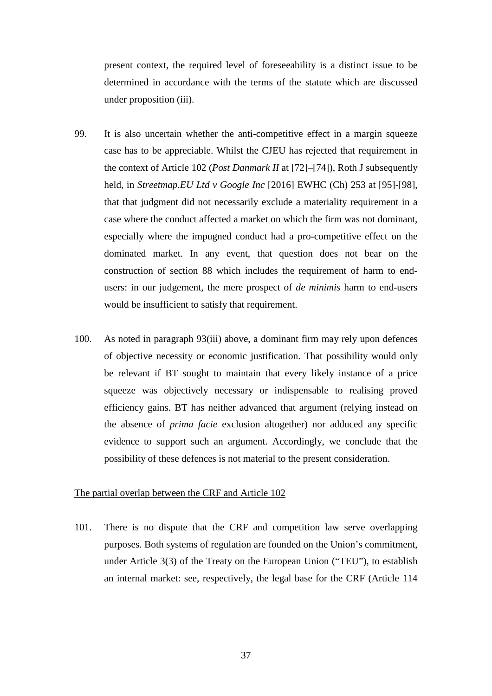present context, the required level of foreseeability is a distinct issue to be determined in accordance with the terms of the statute which are discussed under proposition (iii).

- 99. It is also uncertain whether the anti-competitive effect in a margin squeeze case has to be appreciable. Whilst the CJEU has rejected that requirement in the context of Article 102 (*Post Danmark II* at [72]–[74]), Roth J subsequently held, in *Streetmap.EU Ltd v Google Inc* [2016] EWHC (Ch) 253 at [95]-[98], that that judgment did not necessarily exclude a materiality requirement in a case where the conduct affected a market on which the firm was not dominant, especially where the impugned conduct had a pro-competitive effect on the dominated market. In any event, that question does not bear on the construction of section 88 which includes the requirement of harm to endusers: in our judgement, the mere prospect of *de minimis* harm to end-users would be insufficient to satisfy that requirement.
- 100. As noted in paragraph [93\(iii\)](#page-32-0) above, a dominant firm may rely upon defences of objective necessity or economic justification. That possibility would only be relevant if BT sought to maintain that every likely instance of a price squeeze was objectively necessary or indispensable to realising proved efficiency gains. BT has neither advanced that argument (relying instead on the absence of *prima facie* exclusion altogether) nor adduced any specific evidence to support such an argument. Accordingly, we conclude that the possibility of these defences is not material to the present consideration.

# The partial overlap between the CRF and Article 102

101. There is no dispute that the CRF and competition law serve overlapping purposes. Both systems of regulation are founded on the Union's commitment, under Article 3(3) of the Treaty on the European Union ("TEU"), to establish an internal market: see, respectively, the legal base for the CRF (Article 114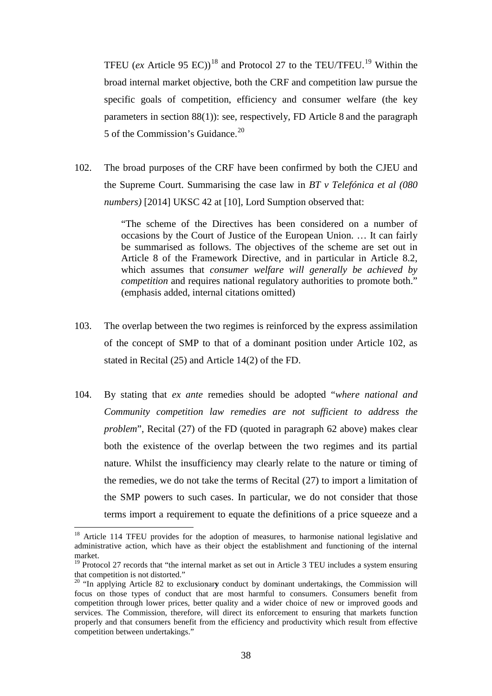TFEU (*ex* Article 95 EC))<sup>[18](#page-37-0)</sup> and Protocol 27 to the TEU/TFEU.<sup>[19](#page-37-1)</sup> Within the broad internal market objective, both the CRF and competition law pursue the specific goals of competition, efficiency and consumer welfare (the key parameters in section 88(1)): see, respectively, FD Article 8 and the paragraph 5 of the Commission's Guidance.[20](#page-37-2)

102. The broad purposes of the CRF have been confirmed by both the CJEU and the Supreme Court. Summarising the case law in *BT v Telefónica et al (080 numbers)* [2014] UKSC 42 at [10], Lord Sumption observed that:

> "The scheme of the Directives has been considered on a number of occasions by the Court of Justice of the European Union. … It can fairly be summarised as follows. The objectives of the scheme are set out in Article 8 of the Framework Directive, and in particular in Article 8.2, which assumes that *consumer welfare will generally be achieved by competition* and requires national regulatory authorities to promote both." (emphasis added, internal citations omitted)

- 103. The overlap between the two regimes is reinforced by the express assimilation of the concept of SMP to that of a dominant position under Article 102, as stated in Recital (25) and Article 14(2) of the FD.
- 104. By stating that *ex ante* remedies should be adopted "*where national and Community competition law remedies are not sufficient to address the problem*", Recital (27) of the FD (quoted in paragraph [62](#page-21-0) above) makes clear both the existence of the overlap between the two regimes and its partial nature. Whilst the insufficiency may clearly relate to the nature or timing of the remedies, we do not take the terms of Recital (27) to import a limitation of the SMP powers to such cases. In particular, we do not consider that those terms import a requirement to equate the definitions of a price squeeze and a

 $\overline{a}$ 

<span id="page-37-0"></span><sup>&</sup>lt;sup>18</sup> Article 114 TFEU provides for the adoption of measures, to harmonise national legislative and administrative action, which have as their object the establishment and functioning of the internal market.

<span id="page-37-1"></span><sup>&</sup>lt;sup>19</sup> Protocol 27 records that "the internal market as set out in Article 3 TEU includes a system ensuring that competition is not distorted."

<span id="page-37-2"></span><sup>&</sup>lt;sup>20</sup> "In applying Article 82 to exclusionary conduct by dominant undertakings, the Commission will focus on those types of conduct that are most harmful to consumers. Consumers benefit from competition through lower prices, better quality and a wider choice of new or improved goods and services. The Commission, therefore, will direct its enforcement to ensuring that markets function properly and that consumers benefit from the efficiency and productivity which result from effective competition between undertakings."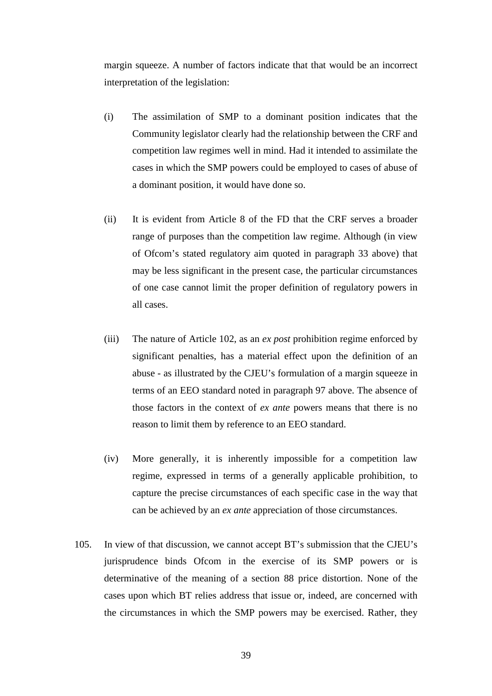margin squeeze. A number of factors indicate that that would be an incorrect interpretation of the legislation:

- (i) The assimilation of SMP to a dominant position indicates that the Community legislator clearly had the relationship between the CRF and competition law regimes well in mind. Had it intended to assimilate the cases in which the SMP powers could be employed to cases of abuse of a dominant position, it would have done so.
- (ii) It is evident from Article 8 of the FD that the CRF serves a broader range of purposes than the competition law regime. Although (in view of Ofcom's stated regulatory aim quoted in paragraph [33](#page-12-0) above) that may be less significant in the present case, the particular circumstances of one case cannot limit the proper definition of regulatory powers in all cases.
- (iii) The nature of Article 102, as an *ex post* prohibition regime enforced by significant penalties, has a material effect upon the definition of an abuse - as illustrated by the CJEU's formulation of a margin squeeze in terms of an EEO standard noted in paragraph [97](#page-35-0) above. The absence of those factors in the context of *ex ante* powers means that there is no reason to limit them by reference to an EEO standard.
- (iv) More generally, it is inherently impossible for a competition law regime, expressed in terms of a generally applicable prohibition, to capture the precise circumstances of each specific case in the way that can be achieved by an *ex ante* appreciation of those circumstances.
- 105. In view of that discussion, we cannot accept BT's submission that the CJEU's jurisprudence binds Ofcom in the exercise of its SMP powers or is determinative of the meaning of a section 88 price distortion. None of the cases upon which BT relies address that issue or, indeed, are concerned with the circumstances in which the SMP powers may be exercised. Rather, they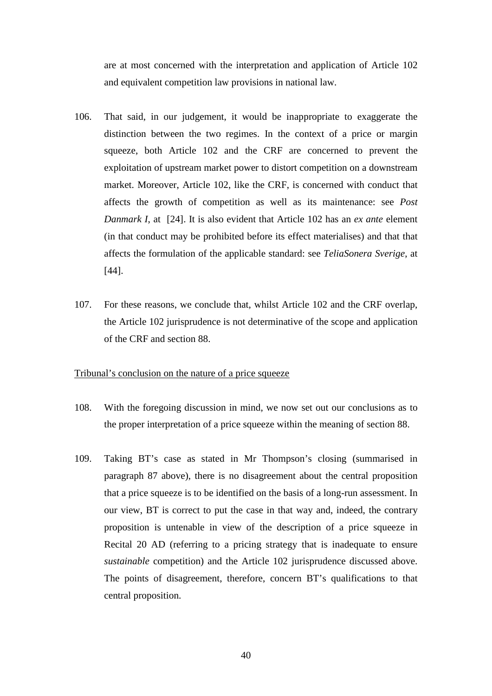are at most concerned with the interpretation and application of Article 102 and equivalent competition law provisions in national law.

- 106. That said, in our judgement, it would be inappropriate to exaggerate the distinction between the two regimes. In the context of a price or margin squeeze, both Article 102 and the CRF are concerned to prevent the exploitation of upstream market power to distort competition on a downstream market. Moreover, Article 102, like the CRF, is concerned with conduct that affects the growth of competition as well as its maintenance: see *Post Danmark I*, at [24]. It is also evident that Article 102 has an *ex ante* element (in that conduct may be prohibited before its effect materialises) and that that affects the formulation of the applicable standard: see *TeliaSonera Sverige*, at [44].
- 107. For these reasons, we conclude that, whilst Article 102 and the CRF overlap, the Article 102 jurisprudence is not determinative of the scope and application of the CRF and section 88.

#### Tribunal's conclusion on the nature of a price squeeze

- 108. With the foregoing discussion in mind, we now set out our conclusions as to the proper interpretation of a price squeeze within the meaning of section 88.
- 109. Taking BT's case as stated in Mr Thompson's closing (summarised in paragraph [87](#page-30-0) above), there is no disagreement about the central proposition that a price squeeze is to be identified on the basis of a long-run assessment. In our view, BT is correct to put the case in that way and, indeed, the contrary proposition is untenable in view of the description of a price squeeze in Recital 20 AD (referring to a pricing strategy that is inadequate to ensure *sustainable* competition) and the Article 102 jurisprudence discussed above. The points of disagreement, therefore, concern BT's qualifications to that central proposition.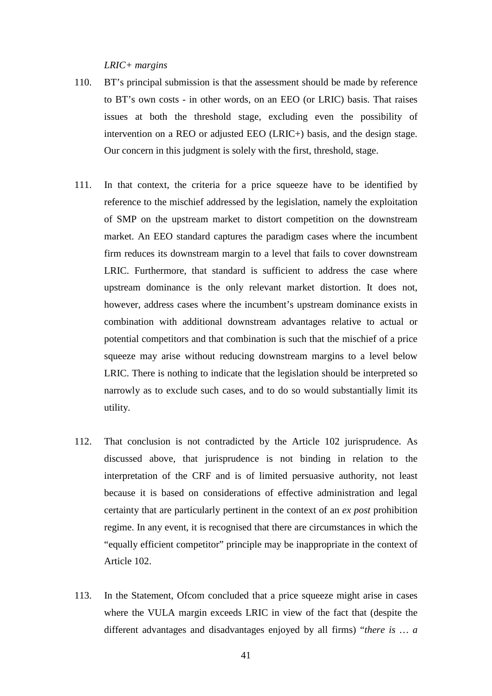## *LRIC+ margins*

- 110. BT's principal submission is that the assessment should be made by reference to BT's own costs - in other words, on an EEO (or LRIC) basis. That raises issues at both the threshold stage, excluding even the possibility of intervention on a REO or adjusted EEO (LRIC+) basis, and the design stage. Our concern in this judgment is solely with the first, threshold, stage.
- <span id="page-40-0"></span>111. In that context, the criteria for a price squeeze have to be identified by reference to the mischief addressed by the legislation, namely the exploitation of SMP on the upstream market to distort competition on the downstream market. An EEO standard captures the paradigm cases where the incumbent firm reduces its downstream margin to a level that fails to cover downstream LRIC. Furthermore, that standard is sufficient to address the case where upstream dominance is the only relevant market distortion. It does not, however, address cases where the incumbent's upstream dominance exists in combination with additional downstream advantages relative to actual or potential competitors and that combination is such that the mischief of a price squeeze may arise without reducing downstream margins to a level below LRIC. There is nothing to indicate that the legislation should be interpreted so narrowly as to exclude such cases, and to do so would substantially limit its utility.
- 112. That conclusion is not contradicted by the Article 102 jurisprudence. As discussed above, that jurisprudence is not binding in relation to the interpretation of the CRF and is of limited persuasive authority, not least because it is based on considerations of effective administration and legal certainty that are particularly pertinent in the context of an *ex post* prohibition regime. In any event, it is recognised that there are circumstances in which the "equally efficient competitor" principle may be inappropriate in the context of Article 102.
- 113. In the Statement, Ofcom concluded that a price squeeze might arise in cases where the VULA margin exceeds LRIC in view of the fact that (despite the different advantages and disadvantages enjoyed by all firms) "*there is … a*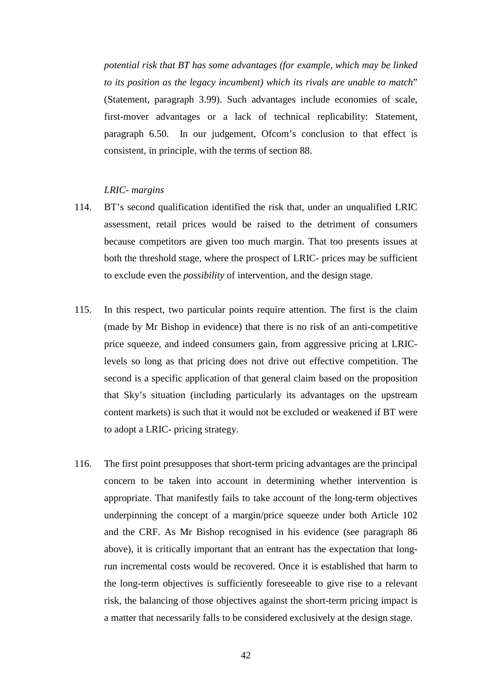*potential risk that BT has some advantages (for example, which may be linked to its position as the legacy incumbent) which its rivals are unable to match*" (Statement, paragraph 3.99). Such advantages include economies of scale, first-mover advantages or a lack of technical replicability: Statement, paragraph 6.50. In our judgement, Ofcom's conclusion to that effect is consistent, in principle, with the terms of section 88.

## *LRIC- margins*

- 114. BT's second qualification identified the risk that, under an unqualified LRIC assessment, retail prices would be raised to the detriment of consumers because competitors are given too much margin. That too presents issues at both the threshold stage, where the prospect of LRIC- prices may be sufficient to exclude even the *possibility* of intervention, and the design stage.
- 115. In this respect, two particular points require attention. The first is the claim (made by Mr Bishop in evidence) that there is no risk of an anti-competitive price squeeze, and indeed consumers gain, from aggressive pricing at LRIClevels so long as that pricing does not drive out effective competition. The second is a specific application of that general claim based on the proposition that Sky's situation (including particularly its advantages on the upstream content markets) is such that it would not be excluded or weakened if BT were to adopt a LRIC- pricing strategy.
- 116. The first point presupposes that short-term pricing advantages are the principal concern to be taken into account in determining whether intervention is appropriate. That manifestly fails to take account of the long-term objectives underpinning the concept of a margin/price squeeze under both Article 102 and the CRF. As Mr Bishop recognised in his evidence (see paragraph [86](#page-29-0)  above), it is critically important that an entrant has the expectation that longrun incremental costs would be recovered. Once it is established that harm to the long-term objectives is sufficiently foreseeable to give rise to a relevant risk, the balancing of those objectives against the short-term pricing impact is a matter that necessarily falls to be considered exclusively at the design stage.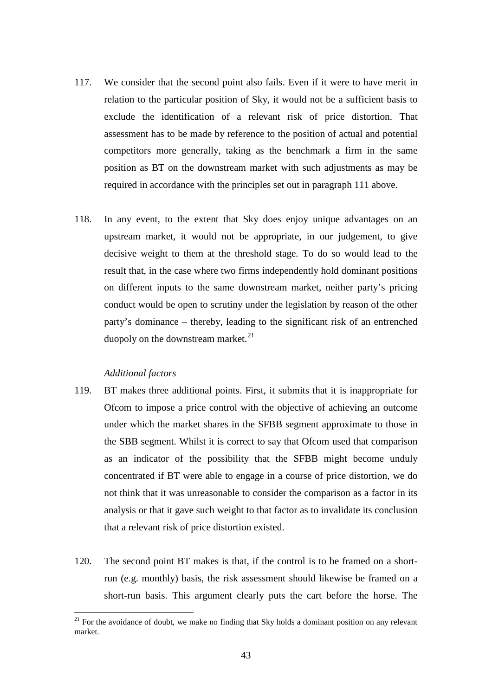- 117. We consider that the second point also fails. Even if it were to have merit in relation to the particular position of Sky, it would not be a sufficient basis to exclude the identification of a relevant risk of price distortion. That assessment has to be made by reference to the position of actual and potential competitors more generally, taking as the benchmark a firm in the same position as BT on the downstream market with such adjustments as may be required in accordance with the principles set out in paragraph [111](#page-40-0) above.
- 118. In any event, to the extent that Sky does enjoy unique advantages on an upstream market, it would not be appropriate, in our judgement, to give decisive weight to them at the threshold stage. To do so would lead to the result that, in the case where two firms independently hold dominant positions on different inputs to the same downstream market, neither party's pricing conduct would be open to scrutiny under the legislation by reason of the other party's dominance – thereby, leading to the significant risk of an entrenched duopoly on the downstream market. $^{21}$  $^{21}$  $^{21}$

## *Additional factors*

 $\overline{a}$ 

- 119. BT makes three additional points. First, it submits that it is inappropriate for Ofcom to impose a price control with the objective of achieving an outcome under which the market shares in the SFBB segment approximate to those in the SBB segment. Whilst it is correct to say that Ofcom used that comparison as an indicator of the possibility that the SFBB might become unduly concentrated if BT were able to engage in a course of price distortion, we do not think that it was unreasonable to consider the comparison as a factor in its analysis or that it gave such weight to that factor as to invalidate its conclusion that a relevant risk of price distortion existed.
- 120. The second point BT makes is that, if the control is to be framed on a shortrun (e.g. monthly) basis, the risk assessment should likewise be framed on a short-run basis. This argument clearly puts the cart before the horse. The

<span id="page-42-0"></span> $21$  For the avoidance of doubt, we make no finding that Sky holds a dominant position on any relevant market.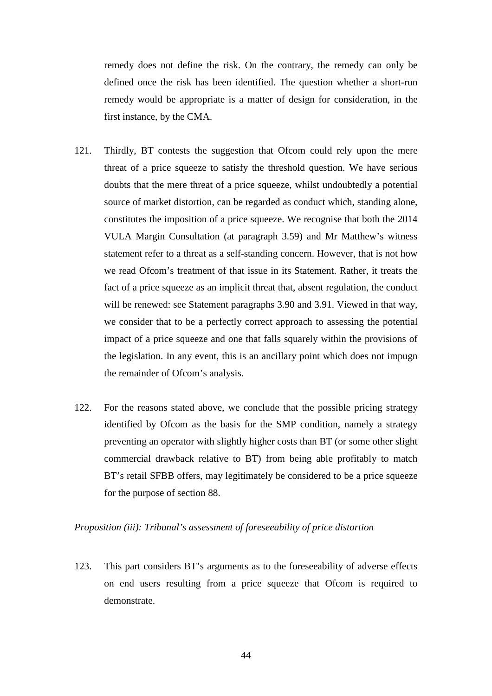remedy does not define the risk. On the contrary, the remedy can only be defined once the risk has been identified. The question whether a short-run remedy would be appropriate is a matter of design for consideration, in the first instance, by the CMA.

- 121. Thirdly, BT contests the suggestion that Ofcom could rely upon the mere threat of a price squeeze to satisfy the threshold question. We have serious doubts that the mere threat of a price squeeze, whilst undoubtedly a potential source of market distortion, can be regarded as conduct which, standing alone, constitutes the imposition of a price squeeze. We recognise that both the 2014 VULA Margin Consultation (at paragraph 3.59) and Mr Matthew's witness statement refer to a threat as a self-standing concern. However, that is not how we read Ofcom's treatment of that issue in its Statement. Rather, it treats the fact of a price squeeze as an implicit threat that, absent regulation, the conduct will be renewed: see Statement paragraphs 3.90 and 3.91. Viewed in that way, we consider that to be a perfectly correct approach to assessing the potential impact of a price squeeze and one that falls squarely within the provisions of the legislation. In any event, this is an ancillary point which does not impugn the remainder of Ofcom's analysis.
- 122. For the reasons stated above, we conclude that the possible pricing strategy identified by Ofcom as the basis for the SMP condition, namely a strategy preventing an operator with slightly higher costs than BT (or some other slight commercial drawback relative to BT) from being able profitably to match BT's retail SFBB offers, may legitimately be considered to be a price squeeze for the purpose of section 88.

# *Proposition (iii): Tribunal's assessment of foreseeability of price distortion*

123. This part considers BT's arguments as to the foreseeability of adverse effects on end users resulting from a price squeeze that Ofcom is required to demonstrate.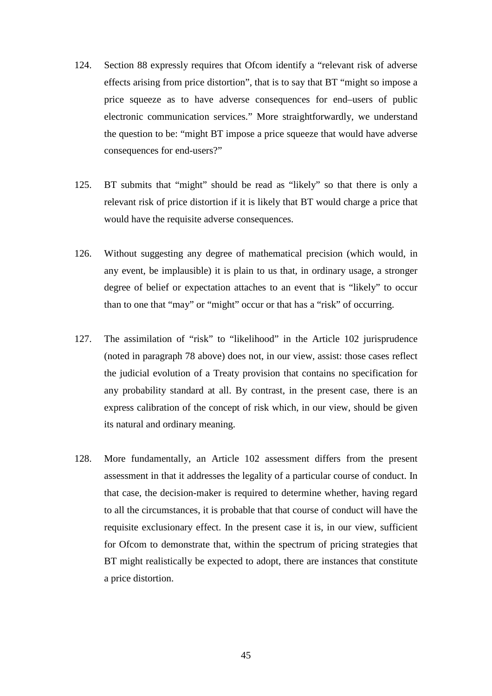- 124. Section 88 expressly requires that Ofcom identify a "relevant risk of adverse effects arising from price distortion", that is to say that BT "might so impose a price squeeze as to have adverse consequences for end–users of public electronic communication services." More straightforwardly, we understand the question to be: "might BT impose a price squeeze that would have adverse consequences for end-users?"
- 125. BT submits that "might" should be read as "likely" so that there is only a relevant risk of price distortion if it is likely that BT would charge a price that would have the requisite adverse consequences.
- 126. Without suggesting any degree of mathematical precision (which would, in any event, be implausible) it is plain to us that, in ordinary usage, a stronger degree of belief or expectation attaches to an event that is "likely" to occur than to one that "may" or "might" occur or that has a "risk" of occurring.
- 127. The assimilation of "risk" to "likelihood" in the Article 102 jurisprudence (noted in paragraph [78](#page-27-0) above) does not, in our view, assist: those cases reflect the judicial evolution of a Treaty provision that contains no specification for any probability standard at all. By contrast, in the present case, there is an express calibration of the concept of risk which, in our view, should be given its natural and ordinary meaning.
- 128. More fundamentally, an Article 102 assessment differs from the present assessment in that it addresses the legality of a particular course of conduct. In that case, the decision-maker is required to determine whether, having regard to all the circumstances, it is probable that that course of conduct will have the requisite exclusionary effect. In the present case it is, in our view, sufficient for Ofcom to demonstrate that, within the spectrum of pricing strategies that BT might realistically be expected to adopt, there are instances that constitute a price distortion.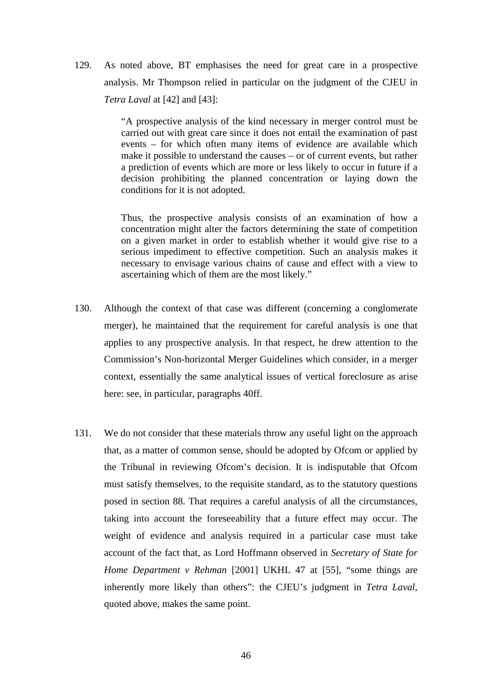129. As noted above, BT emphasises the need for great care in a prospective analysis. Mr Thompson relied in particular on the judgment of the CJEU in *Tetra Laval* at [42] and [43]:

> "A prospective analysis of the kind necessary in merger control must be carried out with great care since it does not entail the examination of past events – for which often many items of evidence are available which make it possible to understand the causes – or of current events, but rather a prediction of events which are more or less likely to occur in future if a decision prohibiting the planned concentration or laying down the conditions for it is not adopted.

> Thus, the prospective analysis consists of an examination of how a concentration might alter the factors determining the state of competition on a given market in order to establish whether it would give rise to a serious impediment to effective competition. Such an analysis makes it necessary to envisage various chains of cause and effect with a view to ascertaining which of them are the most likely."

- 130. Although the context of that case was different (concerning a conglomerate merger), he maintained that the requirement for careful analysis is one that applies to any prospective analysis. In that respect, he drew attention to the Commission's Non-horizontal Merger Guidelines which consider, in a merger context, essentially the same analytical issues of vertical foreclosure as arise here: see, in particular, paragraphs 40ff.
- 131. We do not consider that these materials throw any useful light on the approach that, as a matter of common sense, should be adopted by Ofcom or applied by the Tribunal in reviewing Ofcom's decision. It is indisputable that Ofcom must satisfy themselves, to the requisite standard, as to the statutory questions posed in section 88. That requires a careful analysis of all the circumstances, taking into account the foreseeability that a future effect may occur. The weight of evidence and analysis required in a particular case must take account of the fact that, as Lord Hoffmann observed in *Secretary of State for Home Department v Rehman* [2001] UKHL 47 at [55], "some things are inherently more likely than others": the CJEU's judgment in *Tetra Laval*, quoted above, makes the same point.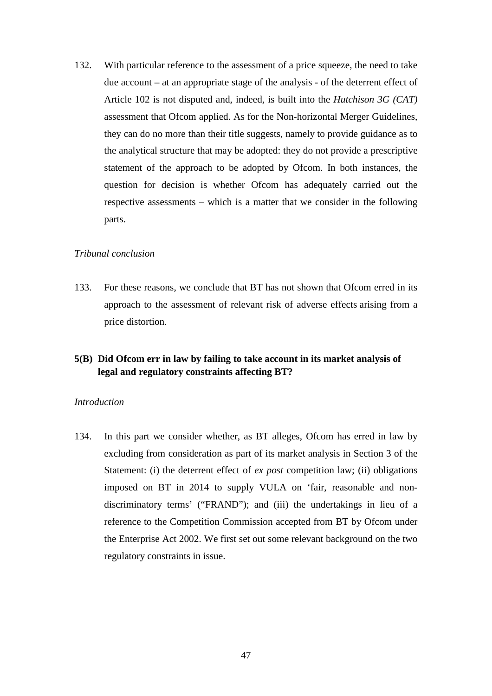132. With particular reference to the assessment of a price squeeze, the need to take due account – at an appropriate stage of the analysis - of the deterrent effect of Article 102 is not disputed and, indeed, is built into the *Hutchison 3G (CAT)* assessment that Ofcom applied. As for the Non-horizontal Merger Guidelines, they can do no more than their title suggests, namely to provide guidance as to the analytical structure that may be adopted: they do not provide a prescriptive statement of the approach to be adopted by Ofcom. In both instances, the question for decision is whether Ofcom has adequately carried out the respective assessments – which is a matter that we consider in the following parts.

#### *Tribunal conclusion*

133. For these reasons, we conclude that BT has not shown that Ofcom erred in its approach to the assessment of relevant risk of adverse effects arising from a price distortion.

# **5(B) Did Ofcom err in law by failing to take account in its market analysis of legal and regulatory constraints affecting BT?**

## *Introduction*

134. In this part we consider whether, as BT alleges, Ofcom has erred in law by excluding from consideration as part of its market analysis in Section 3 of the Statement: (i) the deterrent effect of *ex post* competition law; (ii) obligations imposed on BT in 2014 to supply VULA on 'fair, reasonable and nondiscriminatory terms' ("FRAND"); and (iii) the undertakings in lieu of a reference to the Competition Commission accepted from BT by Ofcom under the Enterprise Act 2002. We first set out some relevant background on the two regulatory constraints in issue.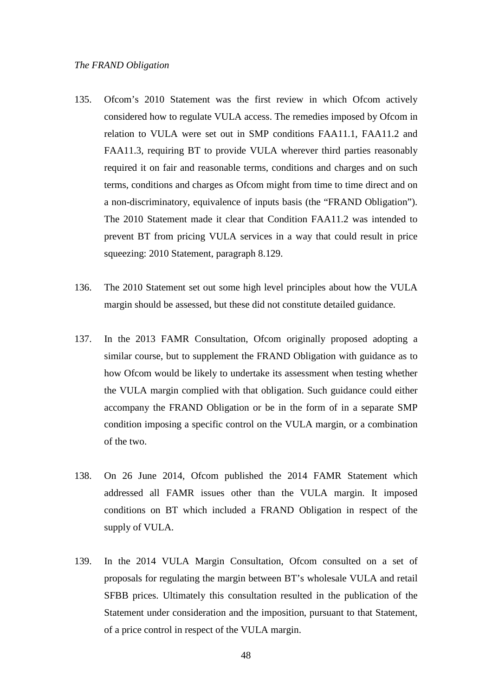- <span id="page-47-0"></span>135. Ofcom's 2010 Statement was the first review in which Ofcom actively considered how to regulate VULA access. The remedies imposed by Ofcom in relation to VULA were set out in SMP conditions FAA11.1, FAA11.2 and FAA11.3, requiring BT to provide VULA wherever third parties reasonably required it on fair and reasonable terms, conditions and charges and on such terms, conditions and charges as Ofcom might from time to time direct and on a non-discriminatory, equivalence of inputs basis (the "FRAND Obligation"). The 2010 Statement made it clear that Condition FAA11.2 was intended to prevent BT from pricing VULA services in a way that could result in price squeezing: 2010 Statement, paragraph 8.129.
- 136. The 2010 Statement set out some high level principles about how the VULA margin should be assessed, but these did not constitute detailed guidance.
- 137. In the 2013 FAMR Consultation, Ofcom originally proposed adopting a similar course, but to supplement the FRAND Obligation with guidance as to how Ofcom would be likely to undertake its assessment when testing whether the VULA margin complied with that obligation. Such guidance could either accompany the FRAND Obligation or be in the form of in a separate SMP condition imposing a specific control on the VULA margin, or a combination of the two.
- 138. On 26 June 2014, Ofcom published the 2014 FAMR Statement which addressed all FAMR issues other than the VULA margin. It imposed conditions on BT which included a FRAND Obligation in respect of the supply of VULA.
- <span id="page-47-1"></span>139. In the 2014 VULA Margin Consultation, Ofcom consulted on a set of proposals for regulating the margin between BT's wholesale VULA and retail SFBB prices. Ultimately this consultation resulted in the publication of the Statement under consideration and the imposition, pursuant to that Statement, of a price control in respect of the VULA margin.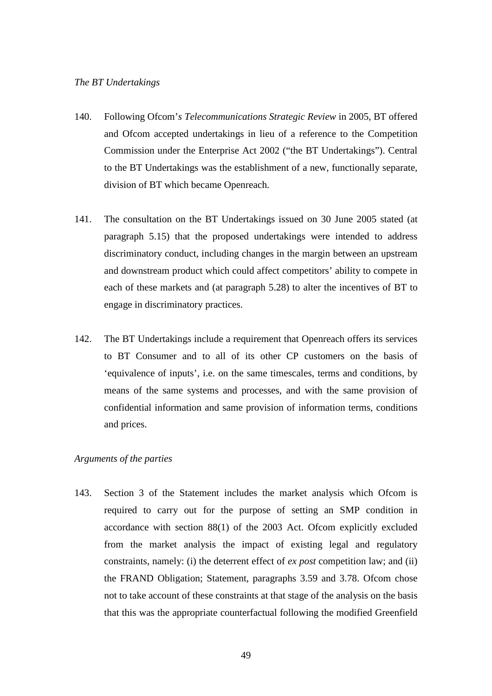#### *The BT Undertakings*

- <span id="page-48-0"></span>140. Following Ofcom'*s Telecommunications Strategic Review* in 2005, BT offered and Ofcom accepted undertakings in lieu of a reference to the Competition Commission under the Enterprise Act 2002 ("the BT Undertakings"). Central to the BT Undertakings was the establishment of a new, functionally separate, division of BT which became Openreach.
- 141. The consultation on the BT Undertakings issued on 30 June 2005 stated (at paragraph 5.15) that the proposed undertakings were intended to address discriminatory conduct, including changes in the margin between an upstream and downstream product which could affect competitors' ability to compete in each of these markets and (at paragraph 5.28) to alter the incentives of BT to engage in discriminatory practices.
- <span id="page-48-1"></span>142. The BT Undertakings include a requirement that Openreach offers its services to BT Consumer and to all of its other CP customers on the basis of 'equivalence of inputs', i.e. on the same timescales, terms and conditions, by means of the same systems and processes, and with the same provision of confidential information and same provision of information terms, conditions and prices.

# *Arguments of the parties*

143. Section 3 of the Statement includes the market analysis which Ofcom is required to carry out for the purpose of setting an SMP condition in accordance with section 88(1) of the 2003 Act. Ofcom explicitly excluded from the market analysis the impact of existing legal and regulatory constraints, namely: (i) the deterrent effect of *ex post* competition law; and (ii) the FRAND Obligation; Statement, paragraphs 3.59 and 3.78. Ofcom chose not to take account of these constraints at that stage of the analysis on the basis that this was the appropriate counterfactual following the modified Greenfield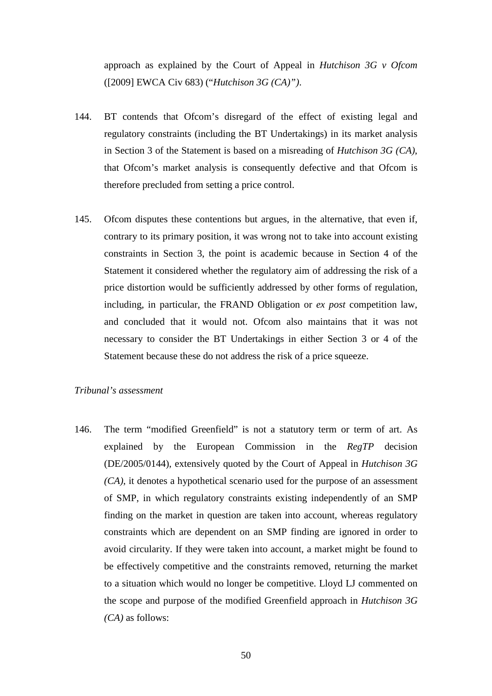approach as explained by the Court of Appeal in *Hutchison 3G v Ofcom* ([2009] EWCA Civ 683) ("*Hutchison 3G (CA)")*.

- 144. BT contends that Ofcom's disregard of the effect of existing legal and regulatory constraints (including the BT Undertakings) in its market analysis in Section 3 of the Statement is based on a misreading of *Hutchison 3G (CA)*, that Ofcom's market analysis is consequently defective and that Ofcom is therefore precluded from setting a price control.
- 145. Ofcom disputes these contentions but argues, in the alternative, that even if, contrary to its primary position, it was wrong not to take into account existing constraints in Section 3, the point is academic because in Section 4 of the Statement it considered whether the regulatory aim of addressing the risk of a price distortion would be sufficiently addressed by other forms of regulation, including, in particular, the FRAND Obligation or *ex post* competition law, and concluded that it would not. Ofcom also maintains that it was not necessary to consider the BT Undertakings in either Section 3 or 4 of the Statement because these do not address the risk of a price squeeze.

# *Tribunal's assessment*

146. The term "modified Greenfield" is not a statutory term or term of art. As explained by the European Commission in the *RegTP* decision (DE/2005/0144), extensively quoted by the Court of Appeal in *Hutchison 3G (CA)*, it denotes a hypothetical scenario used for the purpose of an assessment of SMP, in which regulatory constraints existing independently of an SMP finding on the market in question are taken into account, whereas regulatory constraints which are dependent on an SMP finding are ignored in order to avoid circularity. If they were taken into account, a market might be found to be effectively competitive and the constraints removed, returning the market to a situation which would no longer be competitive. Lloyd LJ commented on the scope and purpose of the modified Greenfield approach in *Hutchison 3G (CA)* as follows: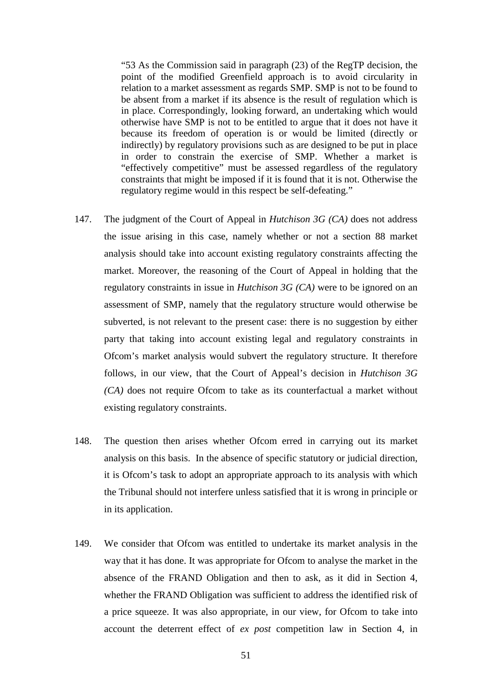"53 As the Commission said in paragraph (23) of the RegTP decision, the point of the modified Greenfield approach is to avoid circularity in relation to a market assessment as regards SMP. SMP is not to be found to be absent from a market if its absence is the result of regulation which is in place. Correspondingly, looking forward, an undertaking which would otherwise have SMP is not to be entitled to argue that it does not have it because its freedom of operation is or would be limited (directly or indirectly) by regulatory provisions such as are designed to be put in place in order to constrain the exercise of SMP. Whether a market is "effectively competitive" must be assessed regardless of the regulatory constraints that might be imposed if it is found that it is not. Otherwise the regulatory regime would in this respect be self-defeating."

- 147. The judgment of the Court of Appeal in *Hutchison 3G (CA)* does not address the issue arising in this case, namely whether or not a section 88 market analysis should take into account existing regulatory constraints affecting the market. Moreover, the reasoning of the Court of Appeal in holding that the regulatory constraints in issue in *Hutchison 3G (CA)* were to be ignored on an assessment of SMP, namely that the regulatory structure would otherwise be subverted, is not relevant to the present case: there is no suggestion by either party that taking into account existing legal and regulatory constraints in Ofcom's market analysis would subvert the regulatory structure. It therefore follows, in our view, that the Court of Appeal's decision in *Hutchison 3G (CA)* does not require Ofcom to take as its counterfactual a market without existing regulatory constraints.
- 148. The question then arises whether Ofcom erred in carrying out its market analysis on this basis. In the absence of specific statutory or judicial direction, it is Ofcom's task to adopt an appropriate approach to its analysis with which the Tribunal should not interfere unless satisfied that it is wrong in principle or in its application.
- 149. We consider that Ofcom was entitled to undertake its market analysis in the way that it has done. It was appropriate for Ofcom to analyse the market in the absence of the FRAND Obligation and then to ask, as it did in Section 4, whether the FRAND Obligation was sufficient to address the identified risk of a price squeeze. It was also appropriate, in our view, for Ofcom to take into account the deterrent effect of *ex post* competition law in Section 4, in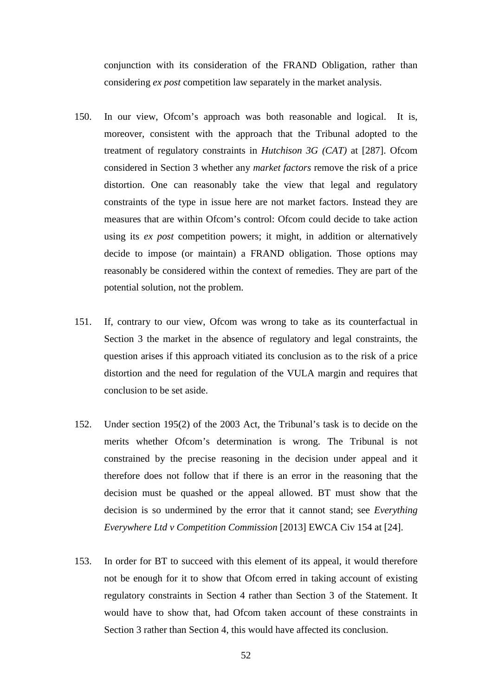conjunction with its consideration of the FRAND Obligation, rather than considering *ex post* competition law separately in the market analysis.

- 150. In our view, Ofcom's approach was both reasonable and logical. It is, moreover, consistent with the approach that the Tribunal adopted to the treatment of regulatory constraints in *Hutchison 3G (CAT)* at [287]. Ofcom considered in Section 3 whether any *market factors* remove the risk of a price distortion. One can reasonably take the view that legal and regulatory constraints of the type in issue here are not market factors. Instead they are measures that are within Ofcom's control: Ofcom could decide to take action using its *ex post* competition powers; it might, in addition or alternatively decide to impose (or maintain) a FRAND obligation. Those options may reasonably be considered within the context of remedies. They are part of the potential solution, not the problem.
- 151. If, contrary to our view, Ofcom was wrong to take as its counterfactual in Section 3 the market in the absence of regulatory and legal constraints, the question arises if this approach vitiated its conclusion as to the risk of a price distortion and the need for regulation of the VULA margin and requires that conclusion to be set aside.
- 152. Under section 195(2) of the 2003 Act, the Tribunal's task is to decide on the merits whether Ofcom's determination is wrong. The Tribunal is not constrained by the precise reasoning in the decision under appeal and it therefore does not follow that if there is an error in the reasoning that the decision must be quashed or the appeal allowed. BT must show that the decision is so undermined by the error that it cannot stand; see *Everything Everywhere Ltd v Competition Commission* [2013] EWCA Civ 154 at [24].
- 153. In order for BT to succeed with this element of its appeal, it would therefore not be enough for it to show that Ofcom erred in taking account of existing regulatory constraints in Section 4 rather than Section 3 of the Statement. It would have to show that, had Ofcom taken account of these constraints in Section 3 rather than Section 4, this would have affected its conclusion.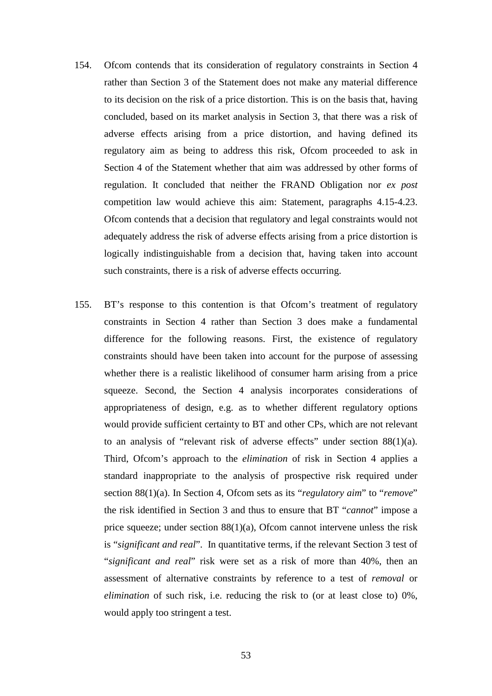- 154. Ofcom contends that its consideration of regulatory constraints in Section 4 rather than Section 3 of the Statement does not make any material difference to its decision on the risk of a price distortion. This is on the basis that, having concluded, based on its market analysis in Section 3, that there was a risk of adverse effects arising from a price distortion, and having defined its regulatory aim as being to address this risk, Ofcom proceeded to ask in Section 4 of the Statement whether that aim was addressed by other forms of regulation. It concluded that neither the FRAND Obligation nor *ex post* competition law would achieve this aim: Statement, paragraphs 4.15-4.23. Ofcom contends that a decision that regulatory and legal constraints would not adequately address the risk of adverse effects arising from a price distortion is logically indistinguishable from a decision that, having taken into account such constraints, there is a risk of adverse effects occurring.
- 155. BT's response to this contention is that Ofcom's treatment of regulatory constraints in Section 4 rather than Section 3 does make a fundamental difference for the following reasons. First, the existence of regulatory constraints should have been taken into account for the purpose of assessing whether there is a realistic likelihood of consumer harm arising from a price squeeze. Second, the Section 4 analysis incorporates considerations of appropriateness of design, e.g. as to whether different regulatory options would provide sufficient certainty to BT and other CPs, which are not relevant to an analysis of "relevant risk of adverse effects" under section 88(1)(a). Third, Ofcom's approach to the *elimination* of risk in Section 4 applies a standard inappropriate to the analysis of prospective risk required under section 88(1)(a). In Section 4, Ofcom sets as its "*regulatory aim*" to "*remove*" the risk identified in Section 3 and thus to ensure that BT "*cannot*" impose a price squeeze; under section  $88(1)(a)$ , Ofcom cannot intervene unless the risk is "*significant and real*". In quantitative terms, if the relevant Section 3 test of "*significant and real*" risk were set as a risk of more than 40%, then an assessment of alternative constraints by reference to a test of *removal* or *elimination* of such risk, i.e. reducing the risk to (or at least close to) 0%, would apply too stringent a test.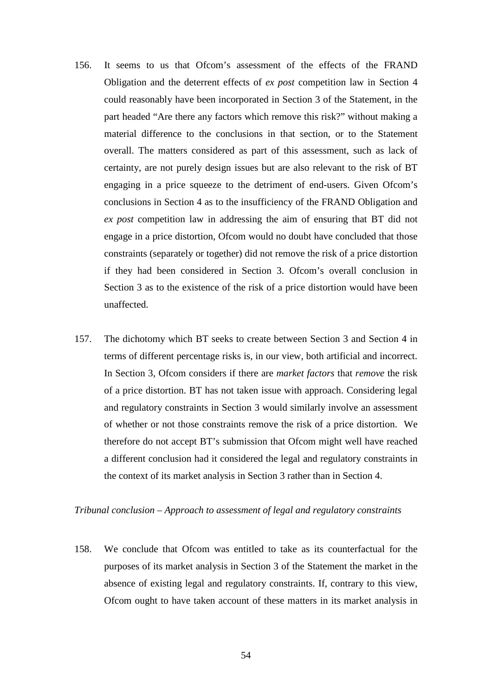- 156. It seems to us that Ofcom's assessment of the effects of the FRAND Obligation and the deterrent effects of *ex post* competition law in Section 4 could reasonably have been incorporated in Section 3 of the Statement, in the part headed "Are there any factors which remove this risk?" without making a material difference to the conclusions in that section, or to the Statement overall. The matters considered as part of this assessment, such as lack of certainty, are not purely design issues but are also relevant to the risk of BT engaging in a price squeeze to the detriment of end-users. Given Ofcom's conclusions in Section 4 as to the insufficiency of the FRAND Obligation and *ex post* competition law in addressing the aim of ensuring that BT did not engage in a price distortion, Ofcom would no doubt have concluded that those constraints (separately or together) did not remove the risk of a price distortion if they had been considered in Section 3. Ofcom's overall conclusion in Section 3 as to the existence of the risk of a price distortion would have been unaffected.
- 157. The dichotomy which BT seeks to create between Section 3 and Section 4 in terms of different percentage risks is, in our view, both artificial and incorrect. In Section 3, Ofcom considers if there are *market factors* that *remove* the risk of a price distortion. BT has not taken issue with approach. Considering legal and regulatory constraints in Section 3 would similarly involve an assessment of whether or not those constraints remove the risk of a price distortion. We therefore do not accept BT's submission that Ofcom might well have reached a different conclusion had it considered the legal and regulatory constraints in the context of its market analysis in Section 3 rather than in Section 4.

### *Tribunal conclusion – Approach to assessment of legal and regulatory constraints*

158. We conclude that Ofcom was entitled to take as its counterfactual for the purposes of its market analysis in Section 3 of the Statement the market in the absence of existing legal and regulatory constraints. If, contrary to this view, Ofcom ought to have taken account of these matters in its market analysis in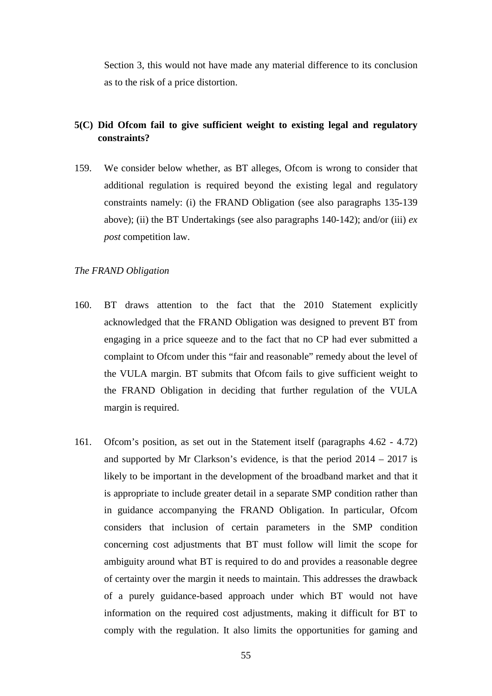Section 3, this would not have made any material difference to its conclusion as to the risk of a price distortion.

# **5(C) Did Ofcom fail to give sufficient weight to existing legal and regulatory constraints?**

159. We consider below whether, as BT alleges, Ofcom is wrong to consider that additional regulation is required beyond the existing legal and regulatory constraints namely: (i) the FRAND Obligation (see also paragraphs [135-](#page-47-0)[139](#page-47-1)  above); (ii) the BT Undertakings (see also paragraphs [140](#page-48-0)[-142\)](#page-48-1); and/or (iii) *ex post* competition law.

## *The FRAND Obligation*

- 160. BT draws attention to the fact that the 2010 Statement explicitly acknowledged that the FRAND Obligation was designed to prevent BT from engaging in a price squeeze and to the fact that no CP had ever submitted a complaint to Ofcom under this "fair and reasonable" remedy about the level of the VULA margin. BT submits that Ofcom fails to give sufficient weight to the FRAND Obligation in deciding that further regulation of the VULA margin is required.
- 161. Ofcom's position, as set out in the Statement itself (paragraphs 4.62 4.72) and supported by Mr Clarkson's evidence, is that the period  $2014 - 2017$  is likely to be important in the development of the broadband market and that it is appropriate to include greater detail in a separate SMP condition rather than in guidance accompanying the FRAND Obligation. In particular, Ofcom considers that inclusion of certain parameters in the SMP condition concerning cost adjustments that BT must follow will limit the scope for ambiguity around what BT is required to do and provides a reasonable degree of certainty over the margin it needs to maintain. This addresses the drawback of a purely guidance-based approach under which BT would not have information on the required cost adjustments, making it difficult for BT to comply with the regulation. It also limits the opportunities for gaming and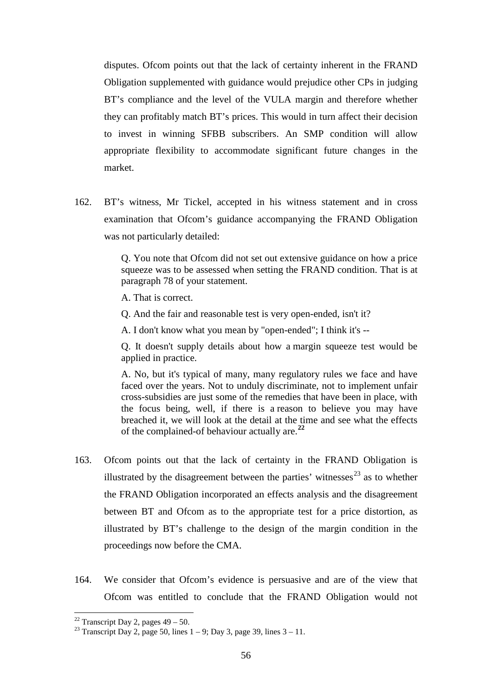disputes. Ofcom points out that the lack of certainty inherent in the FRAND Obligation supplemented with guidance would prejudice other CPs in judging BT's compliance and the level of the VULA margin and therefore whether they can profitably match BT's prices. This would in turn affect their decision to invest in winning SFBB subscribers. An SMP condition will allow appropriate flexibility to accommodate significant future changes in the market.

162. BT's witness, Mr Tickel, accepted in his witness statement and in cross examination that Ofcom's guidance accompanying the FRAND Obligation was not particularly detailed:

> Q. You note that Ofcom did not set out extensive guidance on how a price squeeze was to be assessed when setting the FRAND condition. That is at paragraph 78 of your statement.

A. That is correct.

Q. And the fair and reasonable test is very open-ended, isn't it?

A. I don't know what you mean by "open-ended"; I think it's --

Q. It doesn't supply details about how a margin squeeze test would be applied in practice.

A. No, but it's typical of many, many regulatory rules we face and have faced over the years. Not to unduly discriminate, not to implement unfair cross-subsidies are just some of the remedies that have been in place, with the focus being, well, if there is a reason to believe you may have breached it, we will look at the detail at the time and see what the effects of the complained-of behaviour actually are.**[22](#page-55-0)**

- 163. Ofcom points out that the lack of certainty in the FRAND Obligation is illustrated by the disagreement between the parties' witnesses $^{23}$  $^{23}$  $^{23}$  as to whether the FRAND Obligation incorporated an effects analysis and the disagreement between BT and Ofcom as to the appropriate test for a price distortion, as illustrated by BT's challenge to the design of the margin condition in the proceedings now before the CMA.
- 164. We consider that Ofcom's evidence is persuasive and are of the view that Ofcom was entitled to conclude that the FRAND Obligation would not

<span id="page-55-0"></span><sup>&</sup>lt;sup>22</sup> Transcript Day 2, pages  $49 - 50$ .

<span id="page-55-1"></span><sup>&</sup>lt;sup>23</sup> Transcript Day 2, page 50, lines  $1 - 9$ ; Day 3, page 39, lines  $3 - 11$ .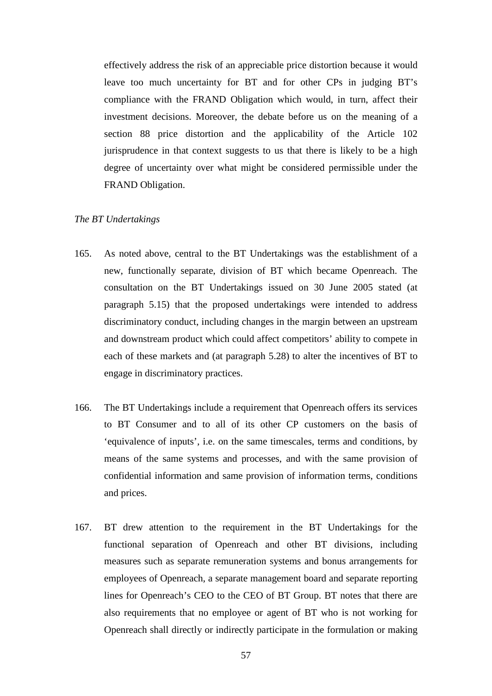effectively address the risk of an appreciable price distortion because it would leave too much uncertainty for BT and for other CPs in judging BT's compliance with the FRAND Obligation which would, in turn, affect their investment decisions. Moreover, the debate before us on the meaning of a section 88 price distortion and the applicability of the Article 102 jurisprudence in that context suggests to us that there is likely to be a high degree of uncertainty over what might be considered permissible under the FRAND Obligation.

# *The BT Undertakings*

- 165. As noted above, central to the BT Undertakings was the establishment of a new, functionally separate, division of BT which became Openreach. The consultation on the BT Undertakings issued on 30 June 2005 stated (at paragraph 5.15) that the proposed undertakings were intended to address discriminatory conduct, including changes in the margin between an upstream and downstream product which could affect competitors' ability to compete in each of these markets and (at paragraph 5.28) to alter the incentives of BT to engage in discriminatory practices.
- 166. The BT Undertakings include a requirement that Openreach offers its services to BT Consumer and to all of its other CP customers on the basis of 'equivalence of inputs', i.e. on the same timescales, terms and conditions, by means of the same systems and processes, and with the same provision of confidential information and same provision of information terms, conditions and prices.
- 167. BT drew attention to the requirement in the BT Undertakings for the functional separation of Openreach and other BT divisions, including measures such as separate remuneration systems and bonus arrangements for employees of Openreach, a separate management board and separate reporting lines for Openreach's CEO to the CEO of BT Group. BT notes that there are also requirements that no employee or agent of BT who is not working for Openreach shall directly or indirectly participate in the formulation or making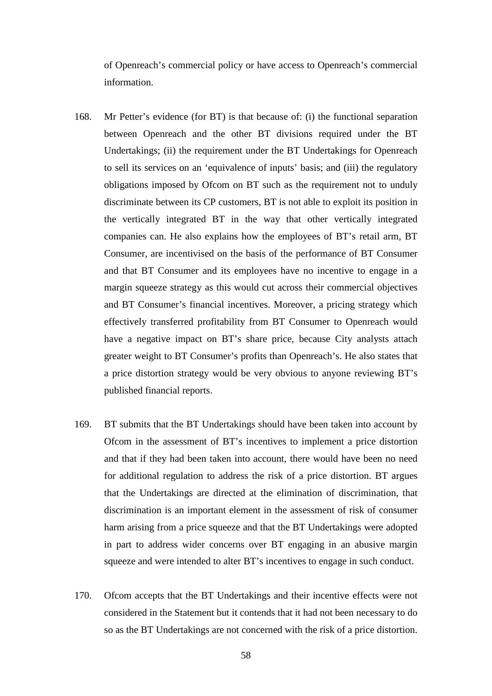of Openreach's commercial policy or have access to Openreach's commercial information.

- 168. Mr Petter's evidence (for BT) is that because of: (i) the functional separation between Openreach and the other BT divisions required under the BT Undertakings; (ii) the requirement under the BT Undertakings for Openreach to sell its services on an 'equivalence of inputs' basis; and (iii) the regulatory obligations imposed by Ofcom on BT such as the requirement not to unduly discriminate between its CP customers, BT is not able to exploit its position in the vertically integrated BT in the way that other vertically integrated companies can. He also explains how the employees of BT's retail arm, BT Consumer, are incentivised on the basis of the performance of BT Consumer and that BT Consumer and its employees have no incentive to engage in a margin squeeze strategy as this would cut across their commercial objectives and BT Consumer's financial incentives. Moreover, a pricing strategy which effectively transferred profitability from BT Consumer to Openreach would have a negative impact on BT's share price, because City analysts attach greater weight to BT Consumer's profits than Openreach's. He also states that a price distortion strategy would be very obvious to anyone reviewing BT's published financial reports.
- 169. BT submits that the BT Undertakings should have been taken into account by Ofcom in the assessment of BT's incentives to implement a price distortion and that if they had been taken into account, there would have been no need for additional regulation to address the risk of a price distortion. BT argues that the Undertakings are directed at the elimination of discrimination, that discrimination is an important element in the assessment of risk of consumer harm arising from a price squeeze and that the BT Undertakings were adopted in part to address wider concerns over BT engaging in an abusive margin squeeze and were intended to alter BT's incentives to engage in such conduct.
- 170. Ofcom accepts that the BT Undertakings and their incentive effects were not considered in the Statement but it contends that it had not been necessary to do so as the BT Undertakings are not concerned with the risk of a price distortion.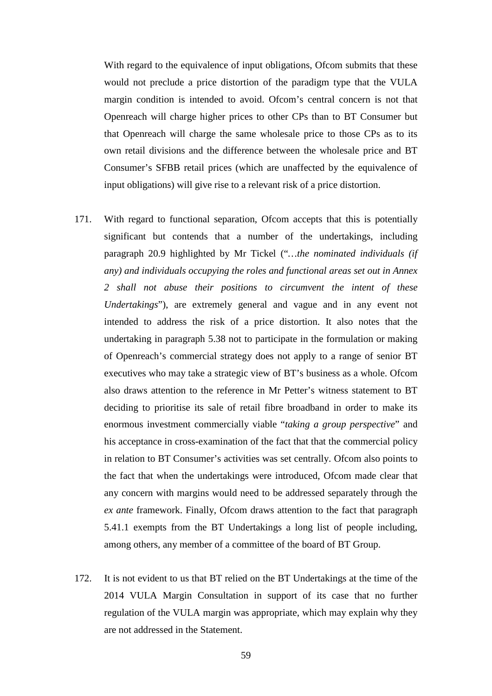With regard to the equivalence of input obligations, Ofcom submits that these would not preclude a price distortion of the paradigm type that the VULA margin condition is intended to avoid. Ofcom's central concern is not that Openreach will charge higher prices to other CPs than to BT Consumer but that Openreach will charge the same wholesale price to those CPs as to its own retail divisions and the difference between the wholesale price and BT Consumer's SFBB retail prices (which are unaffected by the equivalence of input obligations) will give rise to a relevant risk of a price distortion.

- 171. With regard to functional separation, Ofcom accepts that this is potentially significant but contends that a number of the undertakings, including paragraph 20.9 highlighted by Mr Tickel ("*…the nominated individuals (if any) and individuals occupying the roles and functional areas set out in Annex 2 shall not abuse their positions to circumvent the intent of these Undertakings*"), are extremely general and vague and in any event not intended to address the risk of a price distortion. It also notes that the undertaking in paragraph 5.38 not to participate in the formulation or making of Openreach's commercial strategy does not apply to a range of senior BT executives who may take a strategic view of BT's business as a whole. Ofcom also draws attention to the reference in Mr Petter's witness statement to BT deciding to prioritise its sale of retail fibre broadband in order to make its enormous investment commercially viable "*taking a group perspective*" and his acceptance in cross-examination of the fact that that the commercial policy in relation to BT Consumer's activities was set centrally. Ofcom also points to the fact that when the undertakings were introduced, Ofcom made clear that any concern with margins would need to be addressed separately through the *ex ante* framework. Finally, Ofcom draws attention to the fact that paragraph 5.41.1 exempts from the BT Undertakings a long list of people including, among others, any member of a committee of the board of BT Group.
- 172. It is not evident to us that BT relied on the BT Undertakings at the time of the 2014 VULA Margin Consultation in support of its case that no further regulation of the VULA margin was appropriate, which may explain why they are not addressed in the Statement.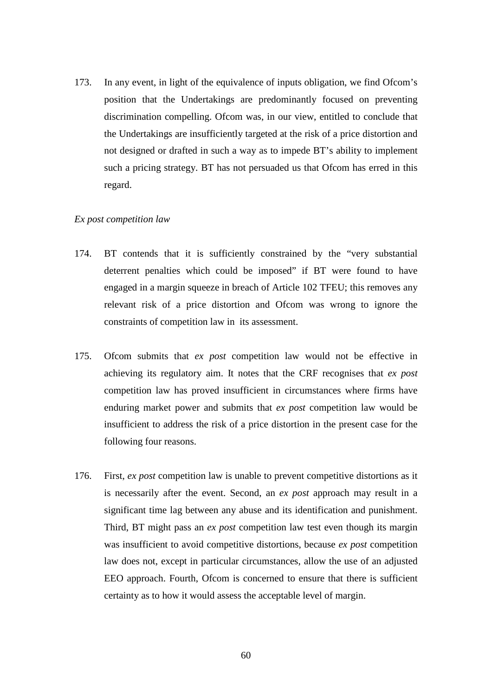173. In any event, in light of the equivalence of inputs obligation, we find Ofcom's position that the Undertakings are predominantly focused on preventing discrimination compelling. Ofcom was, in our view, entitled to conclude that the Undertakings are insufficiently targeted at the risk of a price distortion and not designed or drafted in such a way as to impede BT's ability to implement such a pricing strategy. BT has not persuaded us that Ofcom has erred in this regard.

#### *Ex post competition law*

- 174. BT contends that it is sufficiently constrained by the "very substantial deterrent penalties which could be imposed" if BT were found to have engaged in a margin squeeze in breach of Article 102 TFEU; this removes any relevant risk of a price distortion and Ofcom was wrong to ignore the constraints of competition law in its assessment.
- 175. Ofcom submits that *ex post* competition law would not be effective in achieving its regulatory aim. It notes that the CRF recognises that *ex post* competition law has proved insufficient in circumstances where firms have enduring market power and submits that *ex post* competition law would be insufficient to address the risk of a price distortion in the present case for the following four reasons.
- 176. First, *ex post* competition law is unable to prevent competitive distortions as it is necessarily after the event. Second, an *ex post* approach may result in a significant time lag between any abuse and its identification and punishment. Third, BT might pass an *ex post* competition law test even though its margin was insufficient to avoid competitive distortions, because *ex post* competition law does not, except in particular circumstances, allow the use of an adjusted EEO approach. Fourth, Ofcom is concerned to ensure that there is sufficient certainty as to how it would assess the acceptable level of margin.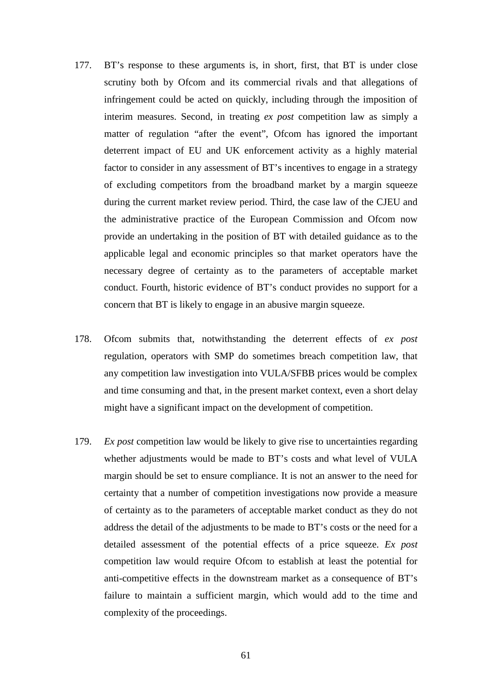- 177. BT's response to these arguments is, in short, first, that BT is under close scrutiny both by Ofcom and its commercial rivals and that allegations of infringement could be acted on quickly, including through the imposition of interim measures. Second, in treating *ex post* competition law as simply a matter of regulation "after the event", Ofcom has ignored the important deterrent impact of EU and UK enforcement activity as a highly material factor to consider in any assessment of BT's incentives to engage in a strategy of excluding competitors from the broadband market by a margin squeeze during the current market review period. Third, the case law of the CJEU and the administrative practice of the European Commission and Ofcom now provide an undertaking in the position of BT with detailed guidance as to the applicable legal and economic principles so that market operators have the necessary degree of certainty as to the parameters of acceptable market conduct. Fourth, historic evidence of BT's conduct provides no support for a concern that BT is likely to engage in an abusive margin squeeze.
- 178. Ofcom submits that, notwithstanding the deterrent effects of *ex post* regulation, operators with SMP do sometimes breach competition law, that any competition law investigation into VULA/SFBB prices would be complex and time consuming and that, in the present market context, even a short delay might have a significant impact on the development of competition.
- 179. *Ex post* competition law would be likely to give rise to uncertainties regarding whether adjustments would be made to BT's costs and what level of VULA margin should be set to ensure compliance. It is not an answer to the need for certainty that a number of competition investigations now provide a measure of certainty as to the parameters of acceptable market conduct as they do not address the detail of the adjustments to be made to BT's costs or the need for a detailed assessment of the potential effects of a price squeeze. *Ex post* competition law would require Ofcom to establish at least the potential for anti-competitive effects in the downstream market as a consequence of BT's failure to maintain a sufficient margin, which would add to the time and complexity of the proceedings.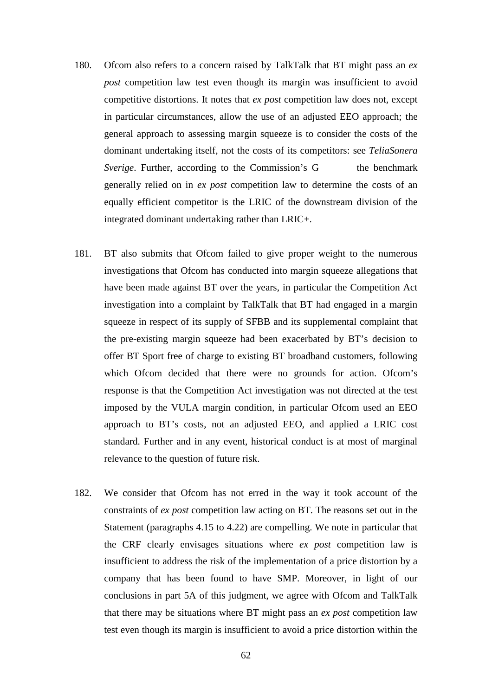- 180. Ofcom also refers to a concern raised by TalkTalk that BT might pass an *ex post* competition law test even though its margin was insufficient to avoid competitive distortions. It notes that *ex post* competition law does not, except in particular circumstances, allow the use of an adjusted EEO approach; the general approach to assessing margin squeeze is to consider the costs of the dominant undertaking itself, not the costs of its competitors: see *TeliaSonera Sverige*. Further, according to the Commission's G the benchmark generally relied on in *ex post* competition law to determine the costs of an equally efficient competitor is the LRIC of the downstream division of the integrated dominant undertaking rather than LRIC+.
- 181. BT also submits that Ofcom failed to give proper weight to the numerous investigations that Ofcom has conducted into margin squeeze allegations that have been made against BT over the years, in particular the Competition Act investigation into a complaint by TalkTalk that BT had engaged in a margin squeeze in respect of its supply of SFBB and its supplemental complaint that the pre-existing margin squeeze had been exacerbated by BT's decision to offer BT Sport free of charge to existing BT broadband customers, following which Ofcom decided that there were no grounds for action. Ofcom's response is that the Competition Act investigation was not directed at the test imposed by the VULA margin condition, in particular Ofcom used an EEO approach to BT's costs, not an adjusted EEO, and applied a LRIC cost standard. Further and in any event, historical conduct is at most of marginal relevance to the question of future risk.
- 182. We consider that Ofcom has not erred in the way it took account of the constraints of *ex post* competition law acting on BT. The reasons set out in the Statement (paragraphs 4.15 to 4.22) are compelling. We note in particular that the CRF clearly envisages situations where *ex post* competition law is insufficient to address the risk of the implementation of a price distortion by a company that has been found to have SMP. Moreover, in light of our conclusions in part 5A of this judgment, we agree with Ofcom and TalkTalk that there may be situations where BT might pass an *ex post* competition law test even though its margin is insufficient to avoid a price distortion within the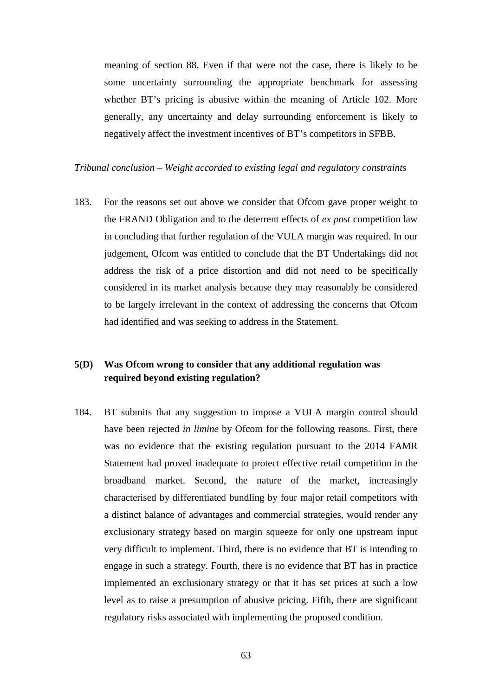meaning of section 88. Even if that were not the case, there is likely to be some uncertainty surrounding the appropriate benchmark for assessing whether BT's pricing is abusive within the meaning of Article 102. More generally, any uncertainty and delay surrounding enforcement is likely to negatively affect the investment incentives of BT's competitors in SFBB.

## *Tribunal conclusion – Weight accorded to existing legal and regulatory constraints*

183. For the reasons set out above we consider that Ofcom gave proper weight to the FRAND Obligation and to the deterrent effects of *ex post* competition law in concluding that further regulation of the VULA margin was required. In our judgement, Ofcom was entitled to conclude that the BT Undertakings did not address the risk of a price distortion and did not need to be specifically considered in its market analysis because they may reasonably be considered to be largely irrelevant in the context of addressing the concerns that Ofcom had identified and was seeking to address in the Statement.

# **5(D) Was Ofcom wrong to consider that any additional regulation was required beyond existing regulation?**

184. BT submits that any suggestion to impose a VULA margin control should have been rejected *in limine* by Ofcom for the following reasons. First, there was no evidence that the existing regulation pursuant to the 2014 FAMR Statement had proved inadequate to protect effective retail competition in the broadband market. Second, the nature of the market, increasingly characterised by differentiated bundling by four major retail competitors with a distinct balance of advantages and commercial strategies, would render any exclusionary strategy based on margin squeeze for only one upstream input very difficult to implement. Third, there is no evidence that BT is intending to engage in such a strategy. Fourth, there is no evidence that BT has in practice implemented an exclusionary strategy or that it has set prices at such a low level as to raise a presumption of abusive pricing. Fifth, there are significant regulatory risks associated with implementing the proposed condition.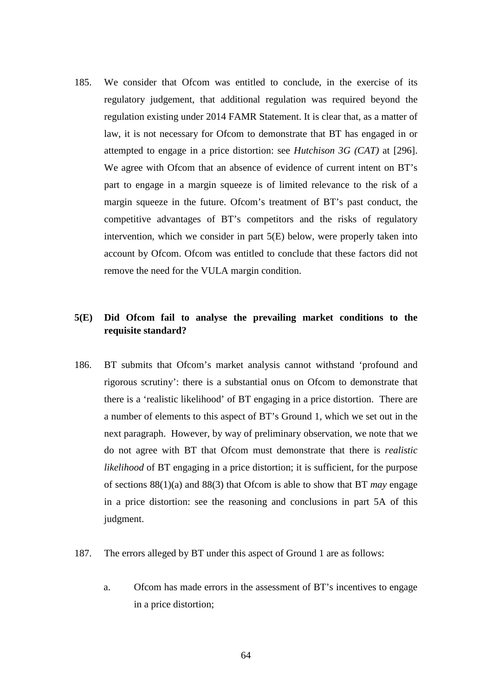185. We consider that Ofcom was entitled to conclude, in the exercise of its regulatory judgement, that additional regulation was required beyond the regulation existing under 2014 FAMR Statement. It is clear that, as a matter of law, it is not necessary for Ofcom to demonstrate that BT has engaged in or attempted to engage in a price distortion: see *Hutchison 3G (CAT)* at [296]. We agree with Ofcom that an absence of evidence of current intent on BT's part to engage in a margin squeeze is of limited relevance to the risk of a margin squeeze in the future. Ofcom's treatment of BT's past conduct, the competitive advantages of BT's competitors and the risks of regulatory intervention, which we consider in part 5(E) below, were properly taken into account by Ofcom. Ofcom was entitled to conclude that these factors did not remove the need for the VULA margin condition.

# **5(E) Did Ofcom fail to analyse the prevailing market conditions to the requisite standard?**

- 186. BT submits that Ofcom's market analysis cannot withstand 'profound and rigorous scrutiny': there is a substantial onus on Ofcom to demonstrate that there is a 'realistic likelihood' of BT engaging in a price distortion. There are a number of elements to this aspect of BT's Ground 1, which we set out in the next paragraph. However, by way of preliminary observation, we note that we do not agree with BT that Ofcom must demonstrate that there is *realistic likelihood* of BT engaging in a price distortion; it is sufficient, for the purpose of sections 88(1)(a) and 88(3) that Ofcom is able to show that BT *may* engage in a price distortion: see the reasoning and conclusions in part 5A of this judgment.
- 187. The errors alleged by BT under this aspect of Ground 1 are as follows:
	- a. Ofcom has made errors in the assessment of BT's incentives to engage in a price distortion;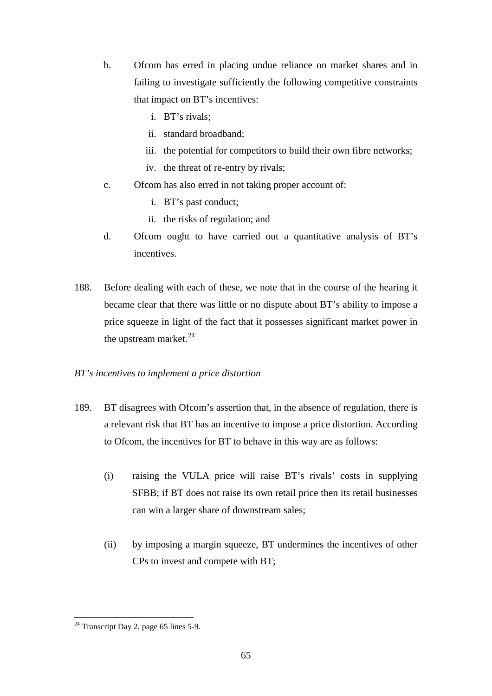- b. Ofcom has erred in placing undue reliance on market shares and in failing to investigate sufficiently the following competitive constraints that impact on BT's incentives:
	- i. BT's rivals;
	- ii. standard broadband;
	- iii. the potential for competitors to build their own fibre networks;
	- iv. the threat of re-entry by rivals;
- c. Ofcom has also erred in not taking proper account of:
	- i. BT's past conduct;
	- ii. the risks of regulation; and
- d. Ofcom ought to have carried out a quantitative analysis of BT's incentives.
- 188. Before dealing with each of these, we note that in the course of the hearing it became clear that there was little or no dispute about BT's ability to impose a price squeeze in light of the fact that it possesses significant market power in the upstream market.<sup>[24](#page-64-0)</sup>

# *BT's incentives to implement a price distortion*

- 189. BT disagrees with Ofcom's assertion that, in the absence of regulation, there is a relevant risk that BT has an incentive to impose a price distortion. According to Ofcom, the incentives for BT to behave in this way are as follows:
	- (i) raising the VULA price will raise BT's rivals' costs in supplying SFBB; if BT does not raise its own retail price then its retail businesses can win a larger share of downstream sales;
	- (ii) by imposing a margin squeeze, BT undermines the incentives of other CPs to invest and compete with BT;

 $\overline{a}$ 

<span id="page-64-0"></span> $24$  Transcript Day 2, page 65 lines 5-9.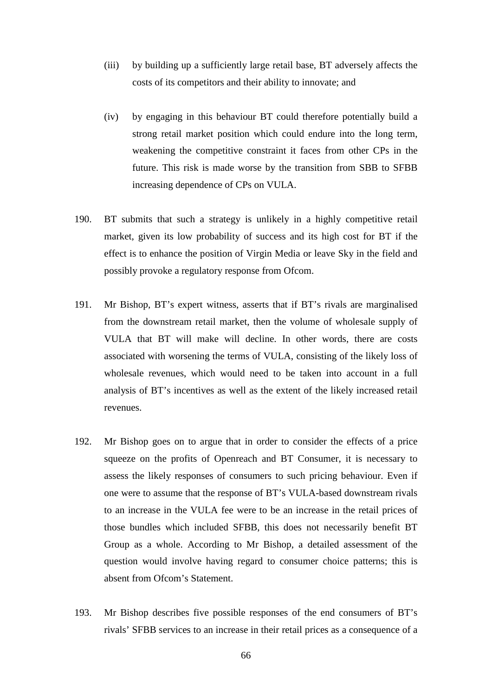- (iii) by building up a sufficiently large retail base, BT adversely affects the costs of its competitors and their ability to innovate; and
- (iv) by engaging in this behaviour BT could therefore potentially build a strong retail market position which could endure into the long term, weakening the competitive constraint it faces from other CPs in the future. This risk is made worse by the transition from SBB to SFBB increasing dependence of CPs on VULA.
- 190. BT submits that such a strategy is unlikely in a highly competitive retail market, given its low probability of success and its high cost for BT if the effect is to enhance the position of Virgin Media or leave Sky in the field and possibly provoke a regulatory response from Ofcom.
- 191. Mr Bishop, BT's expert witness, asserts that if BT's rivals are marginalised from the downstream retail market, then the volume of wholesale supply of VULA that BT will make will decline. In other words, there are costs associated with worsening the terms of VULA, consisting of the likely loss of wholesale revenues, which would need to be taken into account in a full analysis of BT's incentives as well as the extent of the likely increased retail revenues.
- 192. Mr Bishop goes on to argue that in order to consider the effects of a price squeeze on the profits of Openreach and BT Consumer, it is necessary to assess the likely responses of consumers to such pricing behaviour. Even if one were to assume that the response of BT's VULA-based downstream rivals to an increase in the VULA fee were to be an increase in the retail prices of those bundles which included SFBB, this does not necessarily benefit BT Group as a whole. According to Mr Bishop, a detailed assessment of the question would involve having regard to consumer choice patterns; this is absent from Ofcom's Statement.
- <span id="page-65-0"></span>193. Mr Bishop describes five possible responses of the end consumers of BT's rivals' SFBB services to an increase in their retail prices as a consequence of a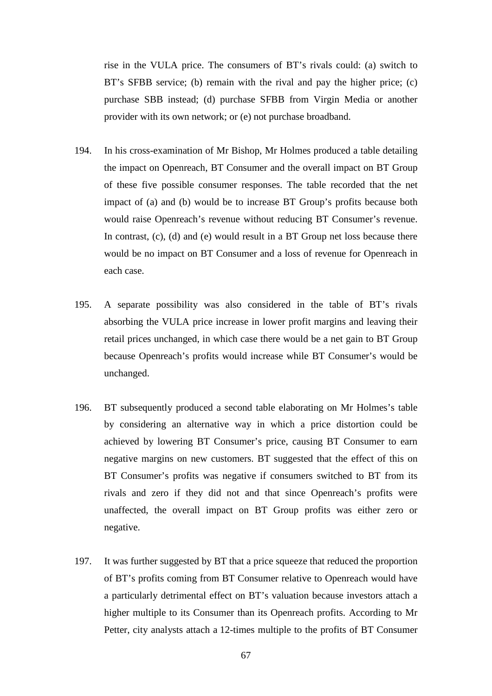rise in the VULA price. The consumers of BT's rivals could: (a) switch to BT's SFBB service; (b) remain with the rival and pay the higher price; (c) purchase SBB instead; (d) purchase SFBB from Virgin Media or another provider with its own network; or (e) not purchase broadband.

- 194. In his cross-examination of Mr Bishop, Mr Holmes produced a table detailing the impact on Openreach, BT Consumer and the overall impact on BT Group of these five possible consumer responses. The table recorded that the net impact of (a) and (b) would be to increase BT Group's profits because both would raise Openreach's revenue without reducing BT Consumer's revenue. In contrast, (c), (d) and (e) would result in a BT Group net loss because there would be no impact on BT Consumer and a loss of revenue for Openreach in each case.
- <span id="page-66-0"></span>195. A separate possibility was also considered in the table of BT's rivals absorbing the VULA price increase in lower profit margins and leaving their retail prices unchanged, in which case there would be a net gain to BT Group because Openreach's profits would increase while BT Consumer's would be unchanged.
- 196. BT subsequently produced a second table elaborating on Mr Holmes's table by considering an alternative way in which a price distortion could be achieved by lowering BT Consumer's price, causing BT Consumer to earn negative margins on new customers. BT suggested that the effect of this on BT Consumer's profits was negative if consumers switched to BT from its rivals and zero if they did not and that since Openreach's profits were unaffected, the overall impact on BT Group profits was either zero or negative.
- 197. It was further suggested by BT that a price squeeze that reduced the proportion of BT's profits coming from BT Consumer relative to Openreach would have a particularly detrimental effect on BT's valuation because investors attach a higher multiple to its Consumer than its Openreach profits. According to Mr Petter, city analysts attach a 12-times multiple to the profits of BT Consumer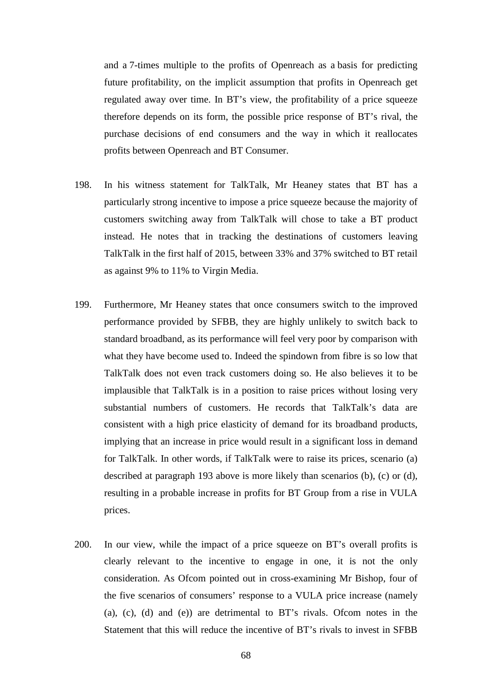and a 7-times multiple to the profits of Openreach as a basis for predicting future profitability, on the implicit assumption that profits in Openreach get regulated away over time. In BT's view, the profitability of a price squeeze therefore depends on its form, the possible price response of BT's rival, the purchase decisions of end consumers and the way in which it reallocates profits between Openreach and BT Consumer.

- 198. In his witness statement for TalkTalk, Mr Heaney states that BT has a particularly strong incentive to impose a price squeeze because the majority of customers switching away from TalkTalk will chose to take a BT product instead. He notes that in tracking the destinations of customers leaving TalkTalk in the first half of 2015, between 33% and 37% switched to BT retail as against 9% to 11% to Virgin Media.
- 199. Furthermore, Mr Heaney states that once consumers switch to the improved performance provided by SFBB, they are highly unlikely to switch back to standard broadband, as its performance will feel very poor by comparison with what they have become used to. Indeed the spindown from fibre is so low that TalkTalk does not even track customers doing so. He also believes it to be implausible that TalkTalk is in a position to raise prices without losing very substantial numbers of customers. He records that TalkTalk's data are consistent with a high price elasticity of demand for its broadband products, implying that an increase in price would result in a significant loss in demand for TalkTalk. In other words, if TalkTalk were to raise its prices, scenario (a) described at paragraph [193](#page-65-0) above is more likely than scenarios (b), (c) or (d), resulting in a probable increase in profits for BT Group from a rise in VULA prices.
- 200. In our view, while the impact of a price squeeze on BT's overall profits is clearly relevant to the incentive to engage in one, it is not the only consideration. As Ofcom pointed out in cross-examining Mr Bishop, four of the five scenarios of consumers' response to a VULA price increase (namely (a), (c), (d) and (e)) are detrimental to BT's rivals. Ofcom notes in the Statement that this will reduce the incentive of BT's rivals to invest in SFBB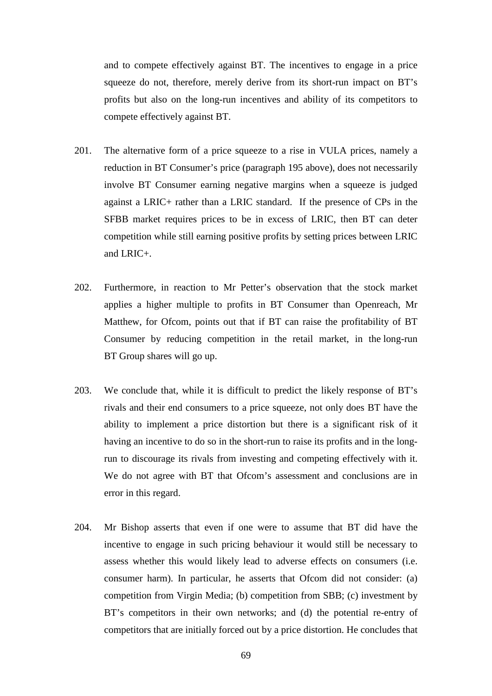and to compete effectively against BT. The incentives to engage in a price squeeze do not, therefore, merely derive from its short-run impact on BT's profits but also on the long-run incentives and ability of its competitors to compete effectively against BT.

- 201. The alternative form of a price squeeze to a rise in VULA prices, namely a reduction in BT Consumer's price (paragraph [195](#page-66-0) above), does not necessarily involve BT Consumer earning negative margins when a squeeze is judged against a LRIC+ rather than a LRIC standard. If the presence of CPs in the SFBB market requires prices to be in excess of LRIC, then BT can deter competition while still earning positive profits by setting prices between LRIC and LRIC+.
- 202. Furthermore, in reaction to Mr Petter's observation that the stock market applies a higher multiple to profits in BT Consumer than Openreach, Mr Matthew, for Ofcom, points out that if BT can raise the profitability of BT Consumer by reducing competition in the retail market, in the long-run BT Group shares will go up.
- 203. We conclude that, while it is difficult to predict the likely response of BT's rivals and their end consumers to a price squeeze, not only does BT have the ability to implement a price distortion but there is a significant risk of it having an incentive to do so in the short-run to raise its profits and in the longrun to discourage its rivals from investing and competing effectively with it. We do not agree with BT that Ofcom's assessment and conclusions are in error in this regard.
- 204. Mr Bishop asserts that even if one were to assume that BT did have the incentive to engage in such pricing behaviour it would still be necessary to assess whether this would likely lead to adverse effects on consumers (i.e. consumer harm). In particular, he asserts that Ofcom did not consider: (a) competition from Virgin Media; (b) competition from SBB; (c) investment by BT's competitors in their own networks; and (d) the potential re-entry of competitors that are initially forced out by a price distortion. He concludes that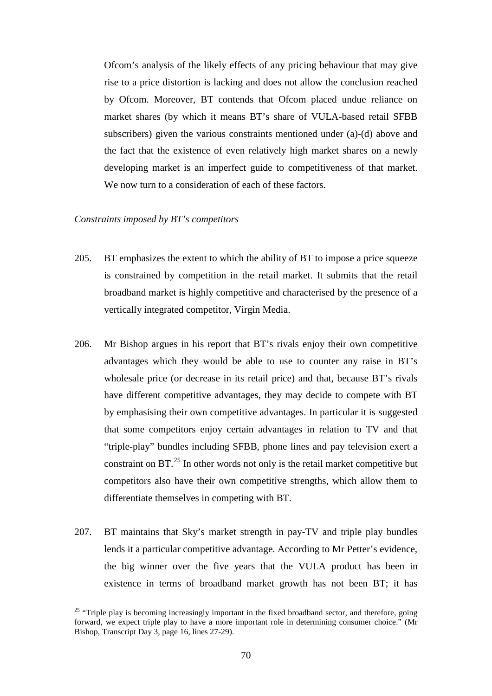Ofcom's analysis of the likely effects of any pricing behaviour that may give rise to a price distortion is lacking and does not allow the conclusion reached by Ofcom. Moreover, BT contends that Ofcom placed undue reliance on market shares (by which it means BT's share of VULA-based retail SFBB subscribers) given the various constraints mentioned under (a)-(d) above and the fact that the existence of even relatively high market shares on a newly developing market is an imperfect guide to competitiveness of that market. We now turn to a consideration of each of these factors.

# *Constraints imposed by BT's competitors*

 $\overline{a}$ 

- 205. BT emphasizes the extent to which the ability of BT to impose a price squeeze is constrained by competition in the retail market. It submits that the retail broadband market is highly competitive and characterised by the presence of a vertically integrated competitor, Virgin Media.
- 206. Mr Bishop argues in his report that BT's rivals enjoy their own competitive advantages which they would be able to use to counter any raise in BT's wholesale price (or decrease in its retail price) and that, because BT's rivals have different competitive advantages, they may decide to compete with BT by emphasising their own competitive advantages. In particular it is suggested that some competitors enjoy certain advantages in relation to TV and that "triple-play" bundles including SFBB, phone lines and pay television exert a constraint on  $BT<sup>25</sup>$  $BT<sup>25</sup>$  $BT<sup>25</sup>$  In other words not only is the retail market competitive but competitors also have their own competitive strengths, which allow them to differentiate themselves in competing with BT.
- 207. BT maintains that Sky's market strength in pay-TV and triple play bundles lends it a particular competitive advantage. According to Mr Petter's evidence, the big winner over the five years that the VULA product has been in existence in terms of broadband market growth has not been BT; it has

<span id="page-69-0"></span><sup>&</sup>lt;sup>25</sup> "Triple play is becoming increasingly important in the fixed broadband sector, and therefore, going forward, we expect triple play to have a more important role in determining consumer choice." (Mr Bishop, Transcript Day 3, page 16, lines 27-29).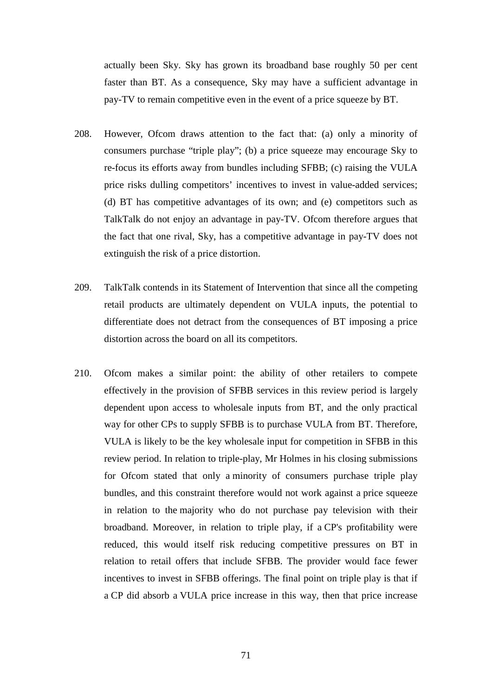actually been Sky. Sky has grown its broadband base roughly 50 per cent faster than BT. As a consequence, Sky may have a sufficient advantage in pay-TV to remain competitive even in the event of a price squeeze by BT.

- 208. However, Ofcom draws attention to the fact that: (a) only a minority of consumers purchase "triple play"; (b) a price squeeze may encourage Sky to re-focus its efforts away from bundles including SFBB; (c) raising the VULA price risks dulling competitors' incentives to invest in value-added services; (d) BT has competitive advantages of its own; and (e) competitors such as TalkTalk do not enjoy an advantage in pay-TV. Ofcom therefore argues that the fact that one rival, Sky, has a competitive advantage in pay-TV does not extinguish the risk of a price distortion.
- 209. TalkTalk contends in its Statement of Intervention that since all the competing retail products are ultimately dependent on VULA inputs, the potential to differentiate does not detract from the consequences of BT imposing a price distortion across the board on all its competitors.
- 210. Ofcom makes a similar point: the ability of other retailers to compete effectively in the provision of SFBB services in this review period is largely dependent upon access to wholesale inputs from BT, and the only practical way for other CPs to supply SFBB is to purchase VULA from BT. Therefore, VULA is likely to be the key wholesale input for competition in SFBB in this review period. In relation to triple-play, Mr Holmes in his closing submissions for Ofcom stated that only a minority of consumers purchase triple play bundles, and this constraint therefore would not work against a price squeeze in relation to the majority who do not purchase pay television with their broadband. Moreover, in relation to triple play, if a CP's profitability were reduced, this would itself risk reducing competitive pressures on BT in relation to retail offers that include SFBB. The provider would face fewer incentives to invest in SFBB offerings. The final point on triple play is that if a CP did absorb a VULA price increase in this way, then that price increase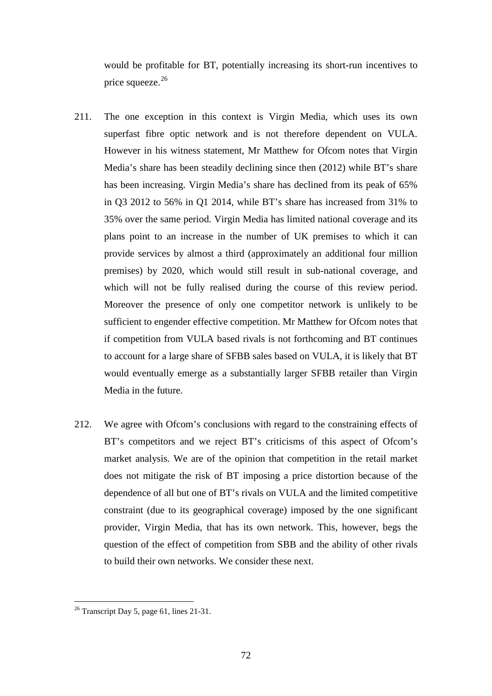would be profitable for BT, potentially increasing its short-run incentives to price squeeze.<sup>26</sup>

- 211. The one exception in this context is Virgin Media, which uses its own superfast fibre optic network and is not therefore dependent on VULA. However in his witness statement, Mr Matthew for Ofcom notes that Virgin Media's share has been steadily declining since then (2012) while BT's share has been increasing. Virgin Media's share has declined from its peak of 65% in Q3 2012 to 56% in Q1 2014, while BT's share has increased from 31% to 35% over the same period. Virgin Media has limited national coverage and its plans point to an increase in the number of UK premises to which it can provide services by almost a third (approximately an additional four million premises) by 2020, which would still result in sub-national coverage, and which will not be fully realised during the course of this review period. Moreover the presence of only one competitor network is unlikely to be sufficient to engender effective competition. Mr Matthew for Ofcom notes that if competition from VULA based rivals is not forthcoming and BT continues to account for a large share of SFBB sales based on VULA, it is likely that BT would eventually emerge as a substantially larger SFBB retailer than Virgin Media in the future.
- 212. We agree with Ofcom's conclusions with regard to the constraining effects of BT's competitors and we reject BT's criticisms of this aspect of Ofcom's market analysis. We are of the opinion that competition in the retail market does not mitigate the risk of BT imposing a price distortion because of the dependence of all but one of BT's rivals on VULA and the limited competitive constraint (due to its geographical coverage) imposed by the one significant provider, Virgin Media, that has its own network. This, however, begs the question of the effect of competition from SBB and the ability of other rivals to build their own networks. We consider these next.

 $\overline{a}$ 

<span id="page-71-0"></span> $26$  Transcript Day 5, page 61, lines 21-31.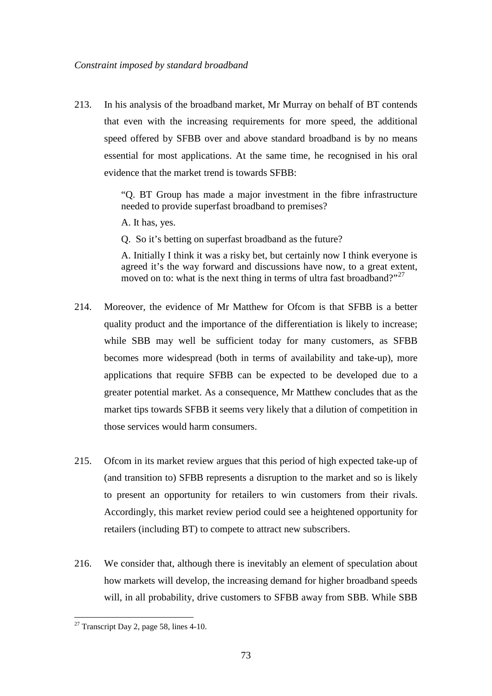213. In his analysis of the broadband market, Mr Murray on behalf of BT contends that even with the increasing requirements for more speed, the additional speed offered by SFBB over and above standard broadband is by no means essential for most applications. At the same time, he recognised in his oral evidence that the market trend is towards SFBB:

> "Q. BT Group has made a major investment in the fibre infrastructure needed to provide superfast broadband to premises?

A. It has, yes.

Q. So it's betting on superfast broadband as the future?

A. Initially I think it was a risky bet, but certainly now I think everyone is agreed it's the way forward and discussions have now, to a great extent, moved on to: what is the next thing in terms of ultra fast broadband?"<sup>[27](#page-72-0)</sup>

- 214. Moreover, the evidence of Mr Matthew for Ofcom is that SFBB is a better quality product and the importance of the differentiation is likely to increase; while SBB may well be sufficient today for many customers, as SFBB becomes more widespread (both in terms of availability and take-up), more applications that require SFBB can be expected to be developed due to a greater potential market. As a consequence, Mr Matthew concludes that as the market tips towards SFBB it seems very likely that a dilution of competition in those services would harm consumers.
- 215. Ofcom in its market review argues that this period of high expected take-up of (and transition to) SFBB represents a disruption to the market and so is likely to present an opportunity for retailers to win customers from their rivals. Accordingly, this market review period could see a heightened opportunity for retailers (including BT) to compete to attract new subscribers.
- <span id="page-72-1"></span>216. We consider that, although there is inevitably an element of speculation about how markets will develop, the increasing demand for higher broadband speeds will, in all probability, drive customers to SFBB away from SBB. While SBB

 $\overline{a}$ 

<span id="page-72-0"></span> $27$  Transcript Day 2, page 58, lines 4-10.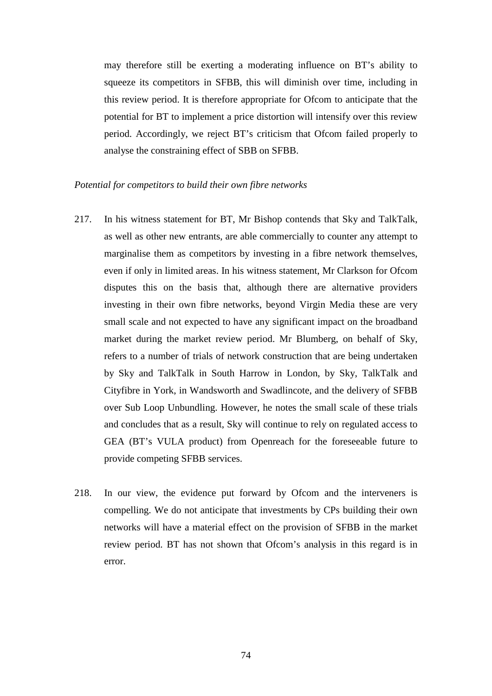may therefore still be exerting a moderating influence on BT's ability to squeeze its competitors in SFBB, this will diminish over time, including in this review period. It is therefore appropriate for Ofcom to anticipate that the potential for BT to implement a price distortion will intensify over this review period. Accordingly, we reject BT's criticism that Ofcom failed properly to analyse the constraining effect of SBB on SFBB.

#### *Potential for competitors to build their own fibre networks*

- 217. In his witness statement for BT, Mr Bishop contends that Sky and TalkTalk, as well as other new entrants, are able commercially to counter any attempt to marginalise them as competitors by investing in a fibre network themselves, even if only in limited areas. In his witness statement, Mr Clarkson for Ofcom disputes this on the basis that, although there are alternative providers investing in their own fibre networks, beyond Virgin Media these are very small scale and not expected to have any significant impact on the broadband market during the market review period. Mr Blumberg, on behalf of Sky, refers to a number of trials of network construction that are being undertaken by Sky and TalkTalk in South Harrow in London, by Sky, TalkTalk and Cityfibre in York, in Wandsworth and Swadlincote, and the delivery of SFBB over Sub Loop Unbundling. However, he notes the small scale of these trials and concludes that as a result, Sky will continue to rely on regulated access to GEA (BT's VULA product) from Openreach for the foreseeable future to provide competing SFBB services.
- 218. In our view, the evidence put forward by Ofcom and the interveners is compelling. We do not anticipate that investments by CPs building their own networks will have a material effect on the provision of SFBB in the market review period. BT has not shown that Ofcom's analysis in this regard is in error.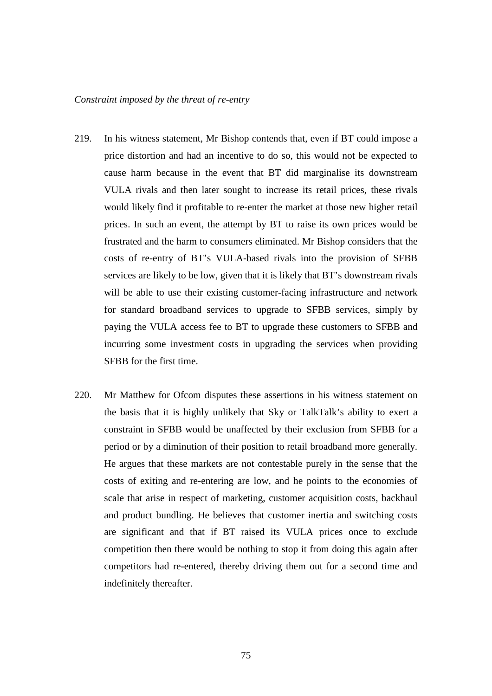### *Constraint imposed by the threat of re-entry*

- 219. In his witness statement, Mr Bishop contends that, even if BT could impose a price distortion and had an incentive to do so, this would not be expected to cause harm because in the event that BT did marginalise its downstream VULA rivals and then later sought to increase its retail prices, these rivals would likely find it profitable to re-enter the market at those new higher retail prices. In such an event, the attempt by BT to raise its own prices would be frustrated and the harm to consumers eliminated. Mr Bishop considers that the costs of re-entry of BT's VULA-based rivals into the provision of SFBB services are likely to be low, given that it is likely that BT's downstream rivals will be able to use their existing customer-facing infrastructure and network for standard broadband services to upgrade to SFBB services, simply by paying the VULA access fee to BT to upgrade these customers to SFBB and incurring some investment costs in upgrading the services when providing SFBB for the first time.
- 220. Mr Matthew for Ofcom disputes these assertions in his witness statement on the basis that it is highly unlikely that Sky or TalkTalk's ability to exert a constraint in SFBB would be unaffected by their exclusion from SFBB for a period or by a diminution of their position to retail broadband more generally. He argues that these markets are not contestable purely in the sense that the costs of exiting and re-entering are low, and he points to the economies of scale that arise in respect of marketing, customer acquisition costs, backhaul and product bundling. He believes that customer inertia and switching costs are significant and that if BT raised its VULA prices once to exclude competition then there would be nothing to stop it from doing this again after competitors had re-entered, thereby driving them out for a second time and indefinitely thereafter.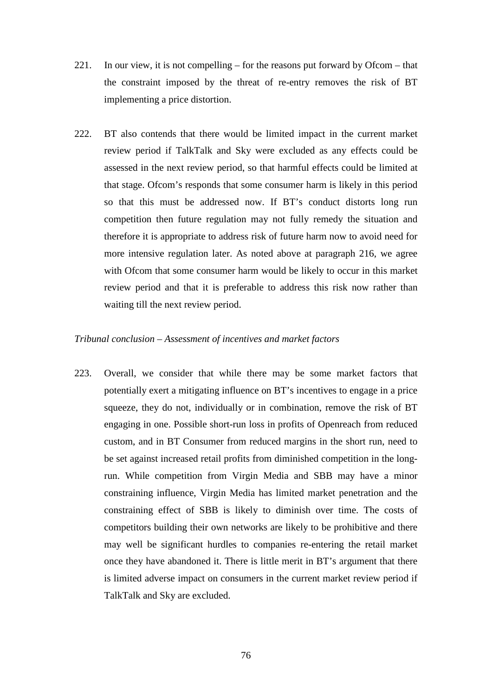- 221. In our view, it is not compelling for the reasons put forward by Ofcom that the constraint imposed by the threat of re-entry removes the risk of BT implementing a price distortion.
- 222. BT also contends that there would be limited impact in the current market review period if TalkTalk and Sky were excluded as any effects could be assessed in the next review period, so that harmful effects could be limited at that stage. Ofcom's responds that some consumer harm is likely in this period so that this must be addressed now. If BT's conduct distorts long run competition then future regulation may not fully remedy the situation and therefore it is appropriate to address risk of future harm now to avoid need for more intensive regulation later. As noted above at paragraph [216,](#page-72-1) we agree with Ofcom that some consumer harm would be likely to occur in this market review period and that it is preferable to address this risk now rather than waiting till the next review period.

### *Tribunal conclusion – Assessment of incentives and market factors*

223. Overall, we consider that while there may be some market factors that potentially exert a mitigating influence on BT's incentives to engage in a price squeeze, they do not, individually or in combination, remove the risk of BT engaging in one. Possible short-run loss in profits of Openreach from reduced custom, and in BT Consumer from reduced margins in the short run, need to be set against increased retail profits from diminished competition in the longrun. While competition from Virgin Media and SBB may have a minor constraining influence, Virgin Media has limited market penetration and the constraining effect of SBB is likely to diminish over time. The costs of competitors building their own networks are likely to be prohibitive and there may well be significant hurdles to companies re-entering the retail market once they have abandoned it. There is little merit in BT's argument that there is limited adverse impact on consumers in the current market review period if TalkTalk and Sky are excluded.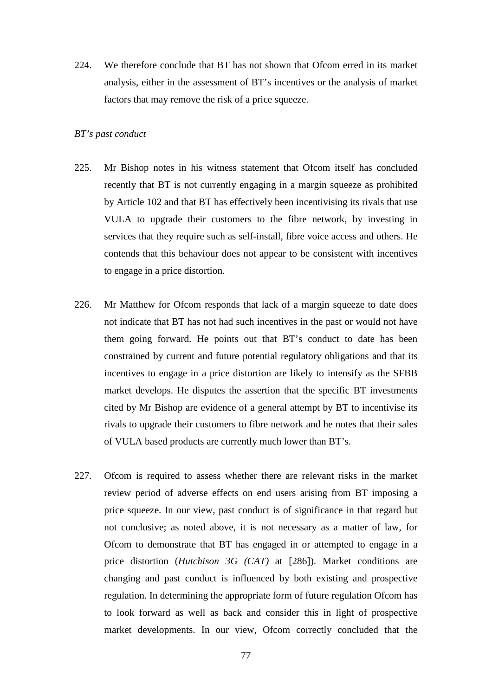224. We therefore conclude that BT has not shown that Ofcom erred in its market analysis, either in the assessment of BT's incentives or the analysis of market factors that may remove the risk of a price squeeze.

### *BT's past conduct*

- 225. Mr Bishop notes in his witness statement that Ofcom itself has concluded recently that BT is not currently engaging in a margin squeeze as prohibited by Article 102 and that BT has effectively been incentivising its rivals that use VULA to upgrade their customers to the fibre network, by investing in services that they require such as self-install, fibre voice access and others. He contends that this behaviour does not appear to be consistent with incentives to engage in a price distortion.
- 226. Mr Matthew for Ofcom responds that lack of a margin squeeze to date does not indicate that BT has not had such incentives in the past or would not have them going forward. He points out that BT's conduct to date has been constrained by current and future potential regulatory obligations and that its incentives to engage in a price distortion are likely to intensify as the SFBB market develops. He disputes the assertion that the specific BT investments cited by Mr Bishop are evidence of a general attempt by BT to incentivise its rivals to upgrade their customers to fibre network and he notes that their sales of VULA based products are currently much lower than BT's.
- 227. Ofcom is required to assess whether there are relevant risks in the market review period of adverse effects on end users arising from BT imposing a price squeeze. In our view, past conduct is of significance in that regard but not conclusive; as noted above, it is not necessary as a matter of law, for Ofcom to demonstrate that BT has engaged in or attempted to engage in a price distortion (*Hutchison 3G (CAT)* at [286]). Market conditions are changing and past conduct is influenced by both existing and prospective regulation. In determining the appropriate form of future regulation Ofcom has to look forward as well as back and consider this in light of prospective market developments. In our view, Ofcom correctly concluded that the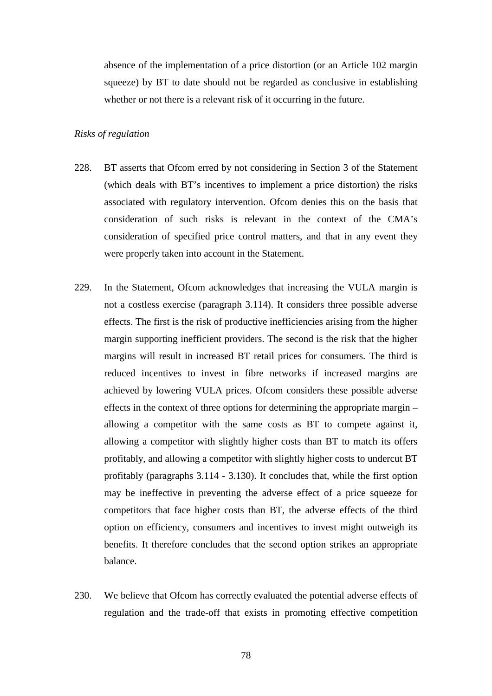absence of the implementation of a price distortion (or an Article 102 margin squeeze) by BT to date should not be regarded as conclusive in establishing whether or not there is a relevant risk of it occurring in the future.

### *Risks of regulation*

- 228. BT asserts that Ofcom erred by not considering in Section 3 of the Statement (which deals with BT's incentives to implement a price distortion) the risks associated with regulatory intervention. Ofcom denies this on the basis that consideration of such risks is relevant in the context of the CMA's consideration of specified price control matters, and that in any event they were properly taken into account in the Statement.
- 229. In the Statement, Ofcom acknowledges that increasing the VULA margin is not a costless exercise (paragraph 3.114). It considers three possible adverse effects. The first is the risk of productive inefficiencies arising from the higher margin supporting inefficient providers. The second is the risk that the higher margins will result in increased BT retail prices for consumers. The third is reduced incentives to invest in fibre networks if increased margins are achieved by lowering VULA prices. Ofcom considers these possible adverse effects in the context of three options for determining the appropriate margin – allowing a competitor with the same costs as BT to compete against it, allowing a competitor with slightly higher costs than BT to match its offers profitably, and allowing a competitor with slightly higher costs to undercut BT profitably (paragraphs 3.114 - 3.130). It concludes that, while the first option may be ineffective in preventing the adverse effect of a price squeeze for competitors that face higher costs than BT, the adverse effects of the third option on efficiency, consumers and incentives to invest might outweigh its benefits. It therefore concludes that the second option strikes an appropriate balance.
- 230. We believe that Ofcom has correctly evaluated the potential adverse effects of regulation and the trade-off that exists in promoting effective competition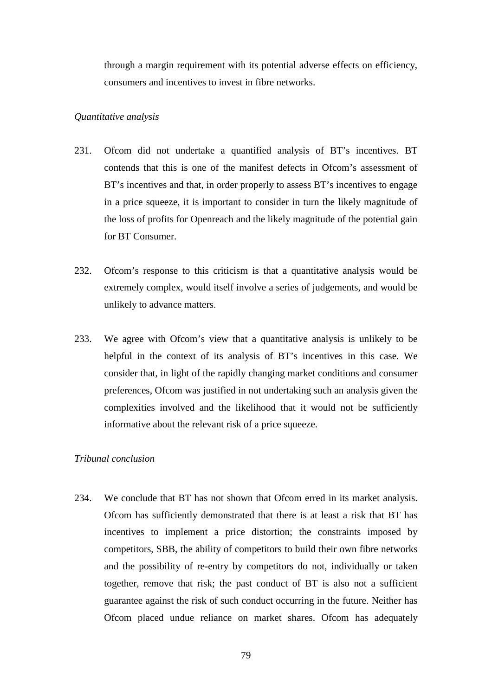through a margin requirement with its potential adverse effects on efficiency, consumers and incentives to invest in fibre networks.

#### *Quantitative analysis*

- 231. Ofcom did not undertake a quantified analysis of BT's incentives. BT contends that this is one of the manifest defects in Ofcom's assessment of BT's incentives and that, in order properly to assess BT's incentives to engage in a price squeeze, it is important to consider in turn the likely magnitude of the loss of profits for Openreach and the likely magnitude of the potential gain for BT Consumer.
- 232. Ofcom's response to this criticism is that a quantitative analysis would be extremely complex, would itself involve a series of judgements, and would be unlikely to advance matters.
- 233. We agree with Ofcom's view that a quantitative analysis is unlikely to be helpful in the context of its analysis of BT's incentives in this case. We consider that, in light of the rapidly changing market conditions and consumer preferences, Ofcom was justified in not undertaking such an analysis given the complexities involved and the likelihood that it would not be sufficiently informative about the relevant risk of a price squeeze.

## *Tribunal conclusion*

234. We conclude that BT has not shown that Ofcom erred in its market analysis. Ofcom has sufficiently demonstrated that there is at least a risk that BT has incentives to implement a price distortion; the constraints imposed by competitors, SBB, the ability of competitors to build their own fibre networks and the possibility of re-entry by competitors do not, individually or taken together, remove that risk; the past conduct of BT is also not a sufficient guarantee against the risk of such conduct occurring in the future. Neither has Ofcom placed undue reliance on market shares. Ofcom has adequately